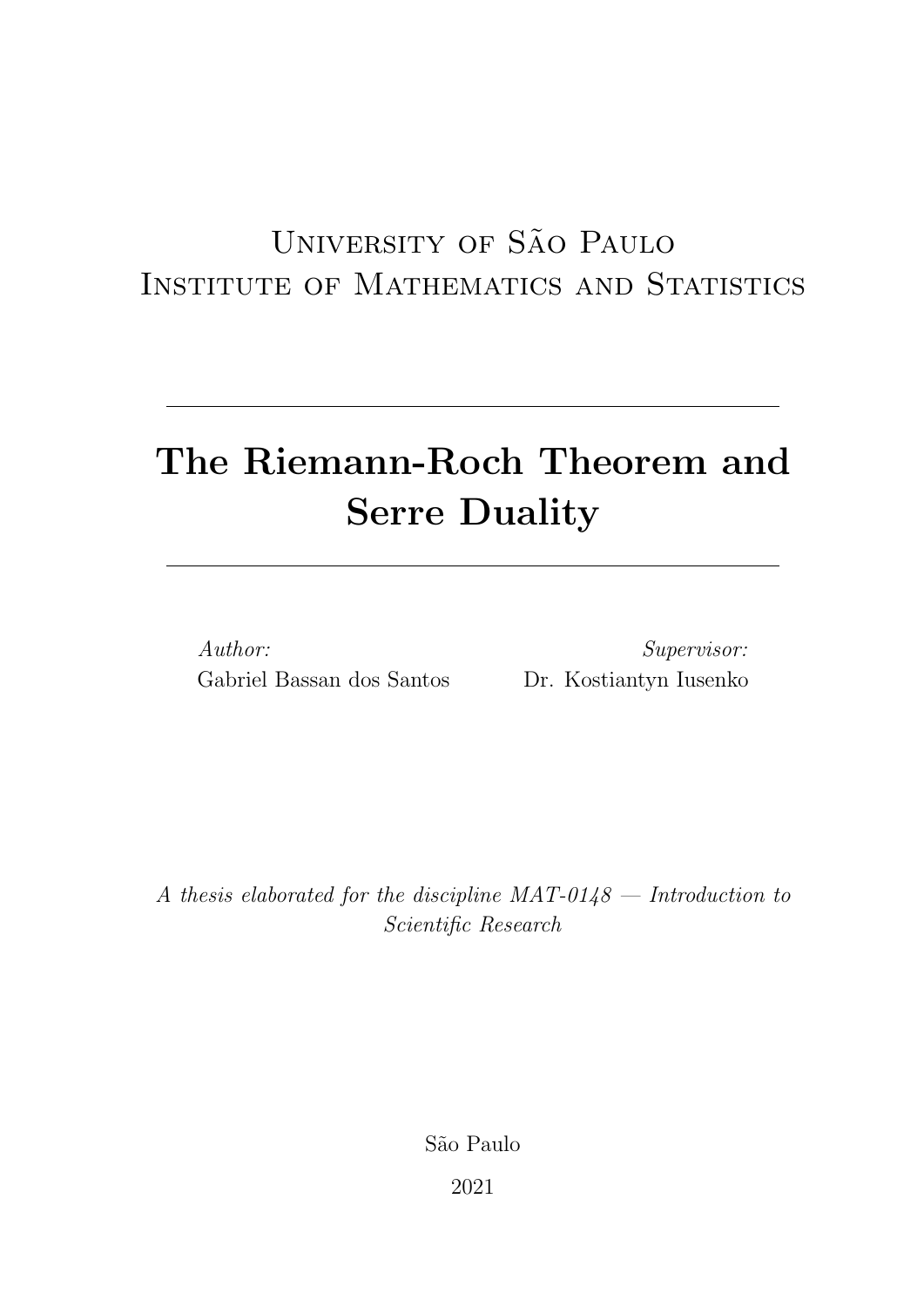## UNIVERSITY OF SÃO PAULO Institute of Mathematics and Statistics

# The Riemann-Roch Theorem and Serre Duality

Author: Gabriel Bassan dos Santos

Supervisor: Dr. Kostiantyn Iusenko

A thesis elaborated for the discipline  $MAT-0148 - Introduction$  to Scientific Research

S˜ao Paulo

2021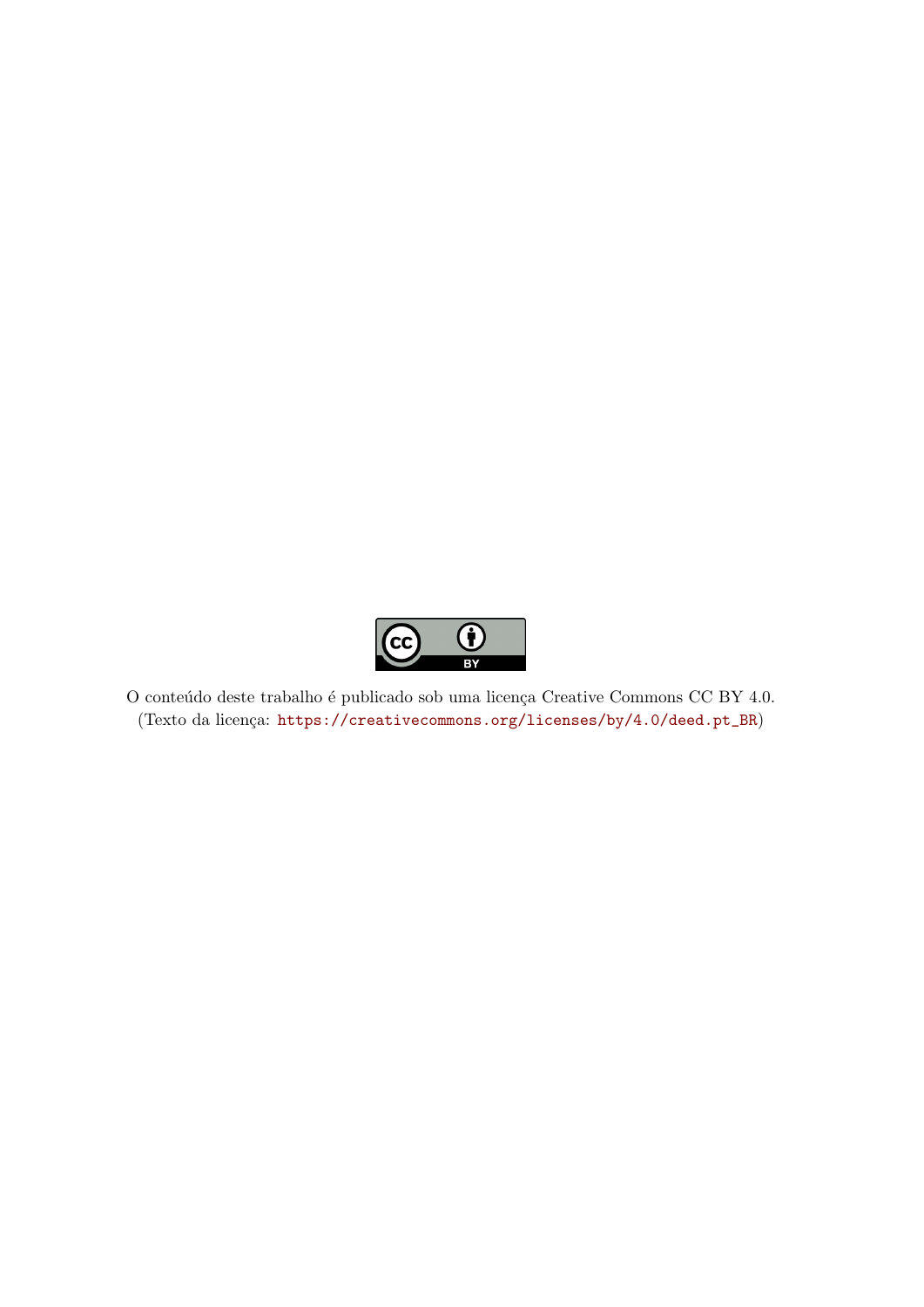

O conteúdo deste trabalho é publicado sob uma licença Creative Commons CC BY 4.0.  $(Texto da licença: [https://creativecommons.org/licenses/by/4.0/deed.pt\_BR\)](https://creativecommons.org/licenses/by/4.0/)$  $(Texto da licença: [https://creativecommons.org/licenses/by/4.0/deed.pt\_BR\)](https://creativecommons.org/licenses/by/4.0/)$  $(Texto da licença: [https://creativecommons.org/licenses/by/4.0/deed.pt\_BR\)](https://creativecommons.org/licenses/by/4.0/)$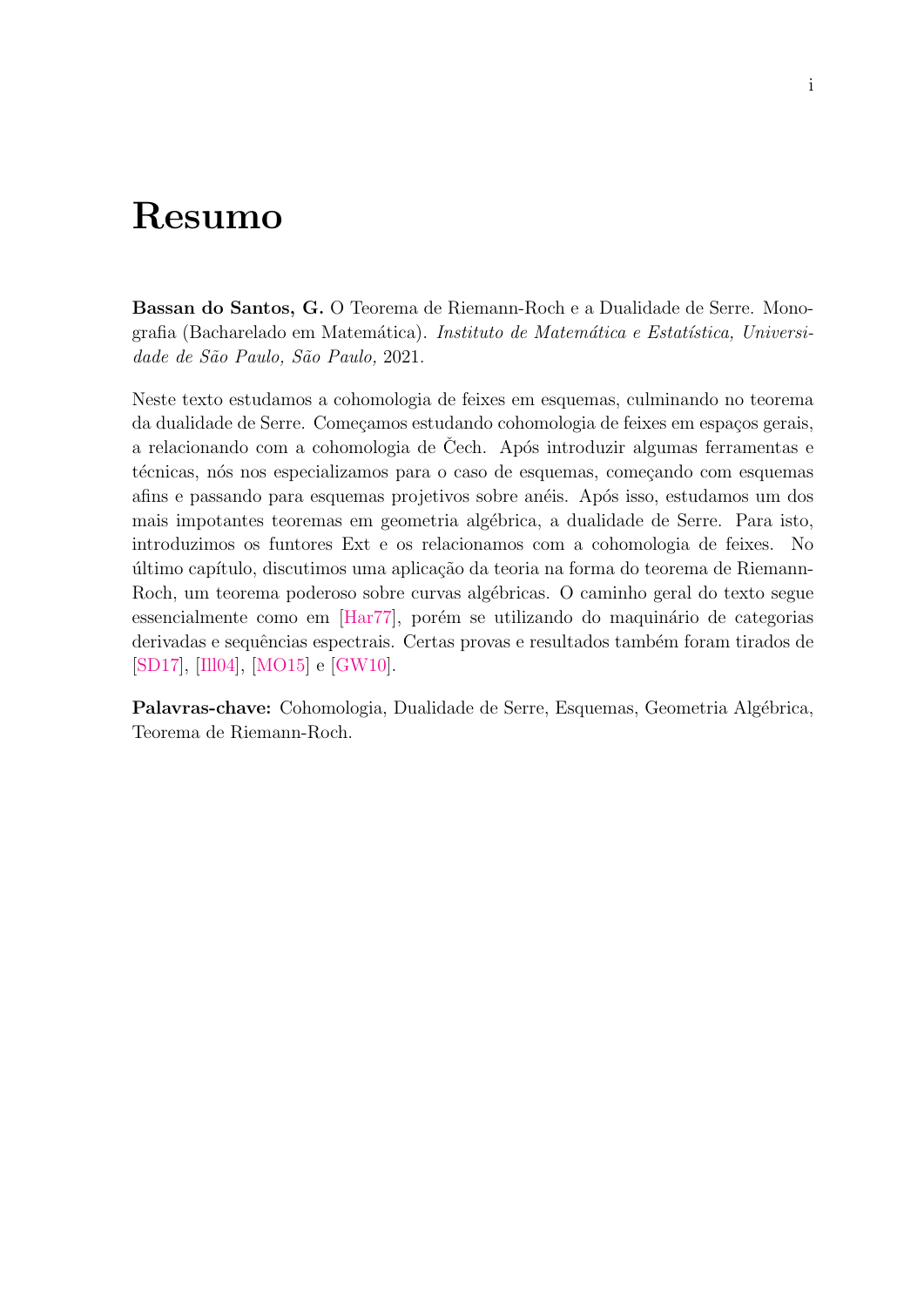## Resumo

Bassan do Santos, G. O Teorema de Riemann-Roch e a Dualidade de Serre. Monografia (Bacharelado em Matemática). Instituto de Matemática e Estatística, Universidade de São Paulo, São Paulo, 2021.

Neste texto estudamos a cohomologia de feixes em esquemas, culminando no teorema da dualidade de Serre. Começamos estudando cohomologia de feixes em espaços gerais, a relacionando com a cohomologia de Cech. Após introduzir algumas ferramentas e técnicas, nós nos especializamos para o caso de esquemas, começando com esquemas afins e passando para esquemas projetivos sobre anéis. Após isso, estudamos um dos mais impotantes teoremas em geometria alg´ebrica, a dualidade de Serre. Para isto, introduzimos os funtores Ext e os relacionamos com a cohomologia de feixes. No último capítulo, discutimos uma aplicação da teoria na forma do teorema de Riemann-Roch, um teorema poderoso sobre curvas algébricas. O caminho geral do texto segue essencialmente como em [\[Har77\]](#page-56-0), porém se utilizando do maquinário de categorias derivadas e sequências espectrais. Certas provas e resultados também foram tirados de [\[SD17\]](#page-57-0), [\[Ill04\]](#page-56-1), [\[MO15\]](#page-57-1) e [\[GW10\]](#page-56-2).

Palavras-chave: Cohomologia, Dualidade de Serre, Esquemas, Geometria Algébrica, Teorema de Riemann-Roch.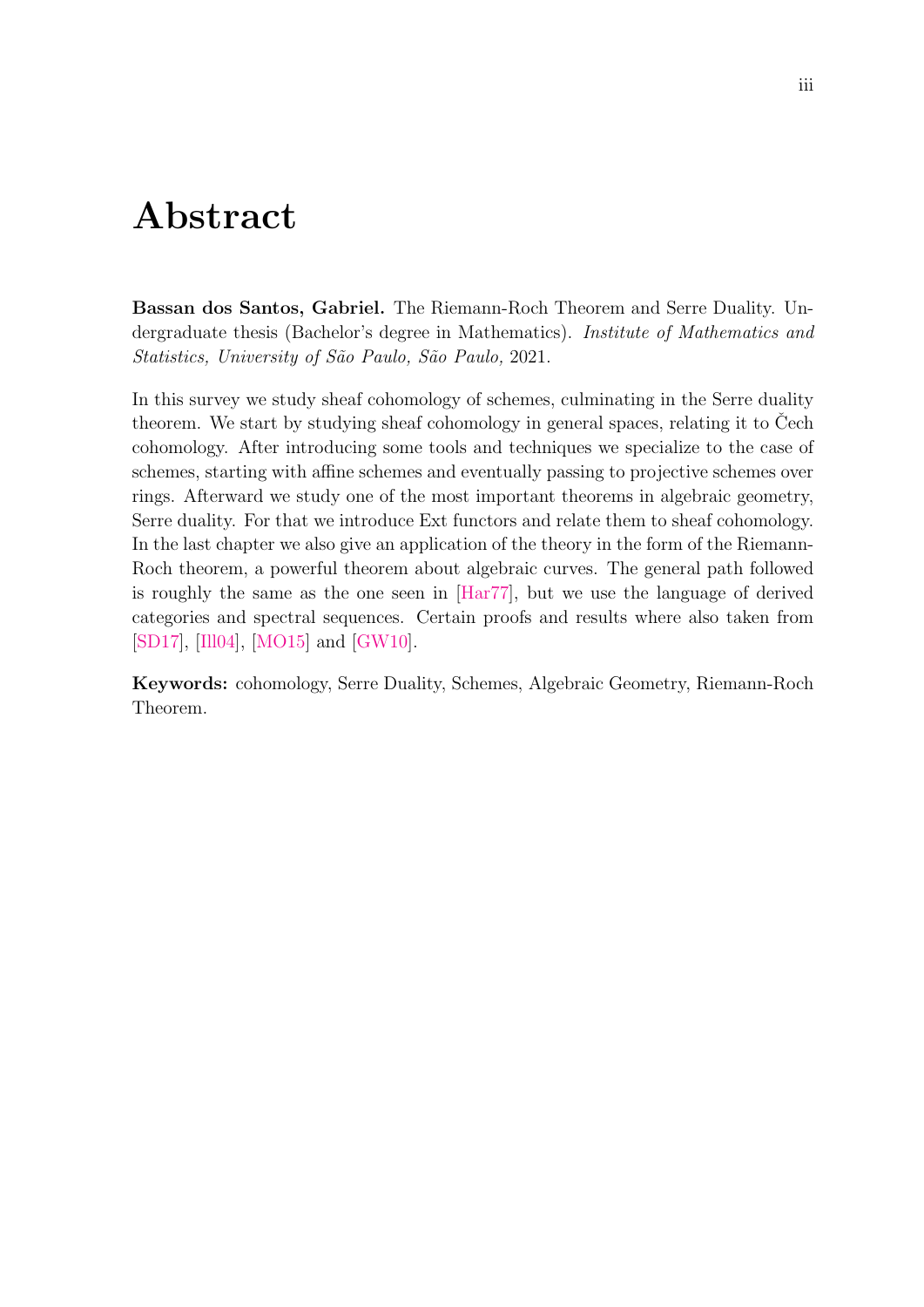## Abstract

Bassan dos Santos, Gabriel. The Riemann-Roch Theorem and Serre Duality. Undergraduate thesis (Bachelor's degree in Mathematics). Institute of Mathematics and Statistics, University of São Paulo, São Paulo, 2021.

In this survey we study sheaf cohomology of schemes, culminating in the Serre duality theorem. We start by studying sheaf cohomology in general spaces, relating it to Cech cohomology. After introducing some tools and techniques we specialize to the case of schemes, starting with affine schemes and eventually passing to projective schemes over rings. Afterward we study one of the most important theorems in algebraic geometry, Serre duality. For that we introduce Ext functors and relate them to sheaf cohomology. In the last chapter we also give an application of the theory in the form of the Riemann-Roch theorem, a powerful theorem about algebraic curves. The general path followed is roughly the same as the one seen in [\[Har77\]](#page-56-0), but we use the language of derived categories and spectral sequences. Certain proofs and results where also taken from [\[SD17\]](#page-57-0), [\[Ill04\]](#page-56-1), [\[MO15\]](#page-57-1) and [\[GW10\]](#page-56-2).

Keywords: cohomology, Serre Duality, Schemes, Algebraic Geometry, Riemann-Roch Theorem.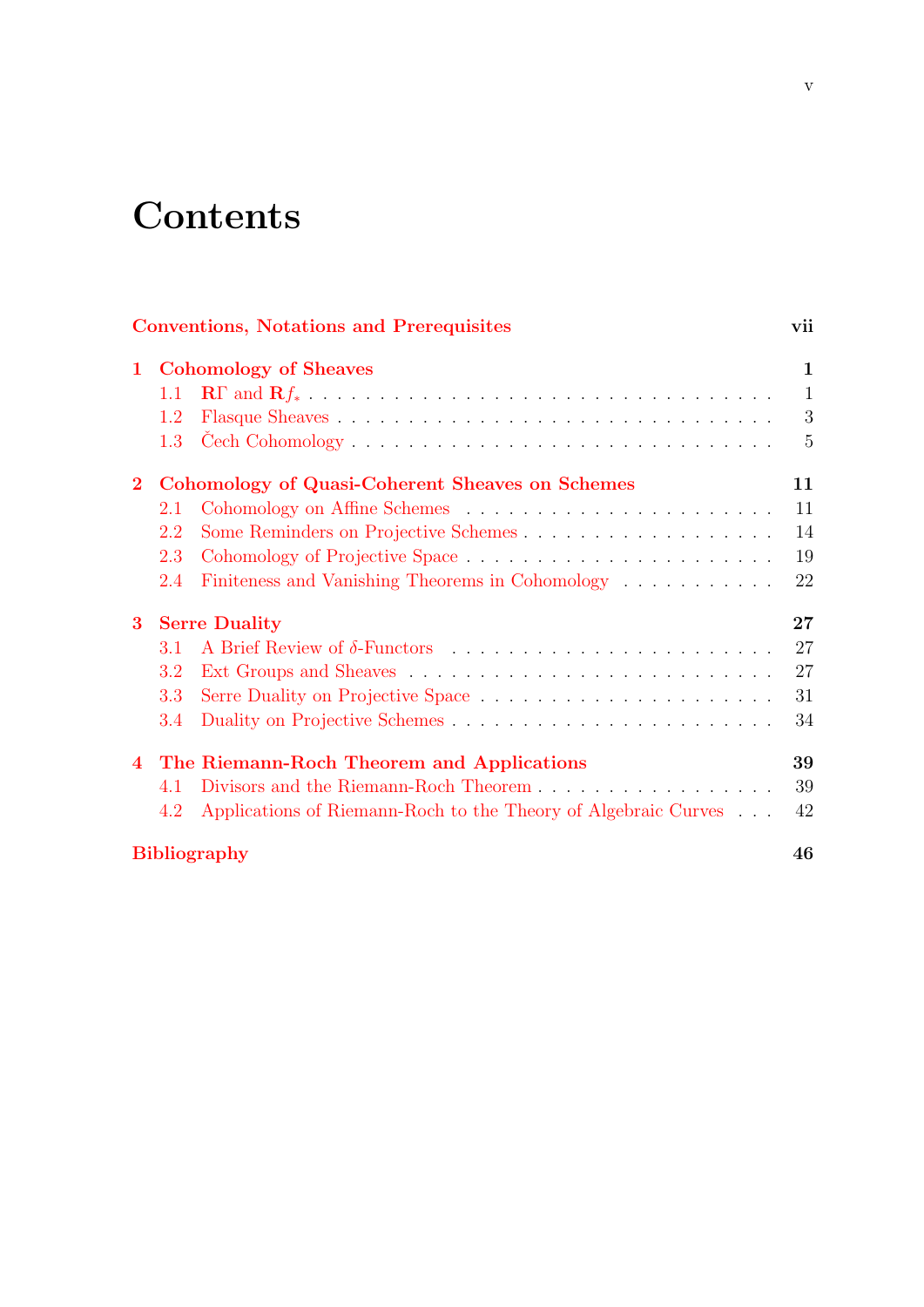# **Contents**

|              |                                                        | <b>Conventions, Notations and Prerequisites</b>                | vii          |
|--------------|--------------------------------------------------------|----------------------------------------------------------------|--------------|
| $\mathbf 1$  | <b>Cohomology of Sheaves</b>                           |                                                                | $\mathbf{1}$ |
|              | 1.1                                                    |                                                                | $\mathbf{1}$ |
|              | 1.2                                                    |                                                                | 3            |
|              | 1.3 <sup>°</sup>                                       |                                                                | 5            |
| $\mathbf{2}$ | <b>Cohomology of Quasi-Coherent Sheaves on Schemes</b> |                                                                | 11           |
|              | 2.1                                                    |                                                                | 11           |
|              | 2.2                                                    | Some Reminders on Projective Schemes                           | 14           |
|              | 2.3                                                    |                                                                | 19           |
|              | 2.4                                                    | Finiteness and Vanishing Theorems in Cohomology                | 22           |
| $\bf{3}$     | <b>Serre Duality</b>                                   |                                                                | 27           |
|              | 3.1                                                    |                                                                | 27           |
|              | 3.2                                                    |                                                                | 27           |
|              | 3.3                                                    |                                                                | 31           |
|              | 3.4                                                    |                                                                | 34           |
|              | 4 The Riemann-Roch Theorem and Applications            |                                                                | 39           |
|              | 4.1                                                    | Divisors and the Riemann-Roch Theorem                          | 39           |
|              | 4.2                                                    | Applications of Riemann-Roch to the Theory of Algebraic Curves | 42           |
|              |                                                        | <b>Bibliography</b>                                            | 46           |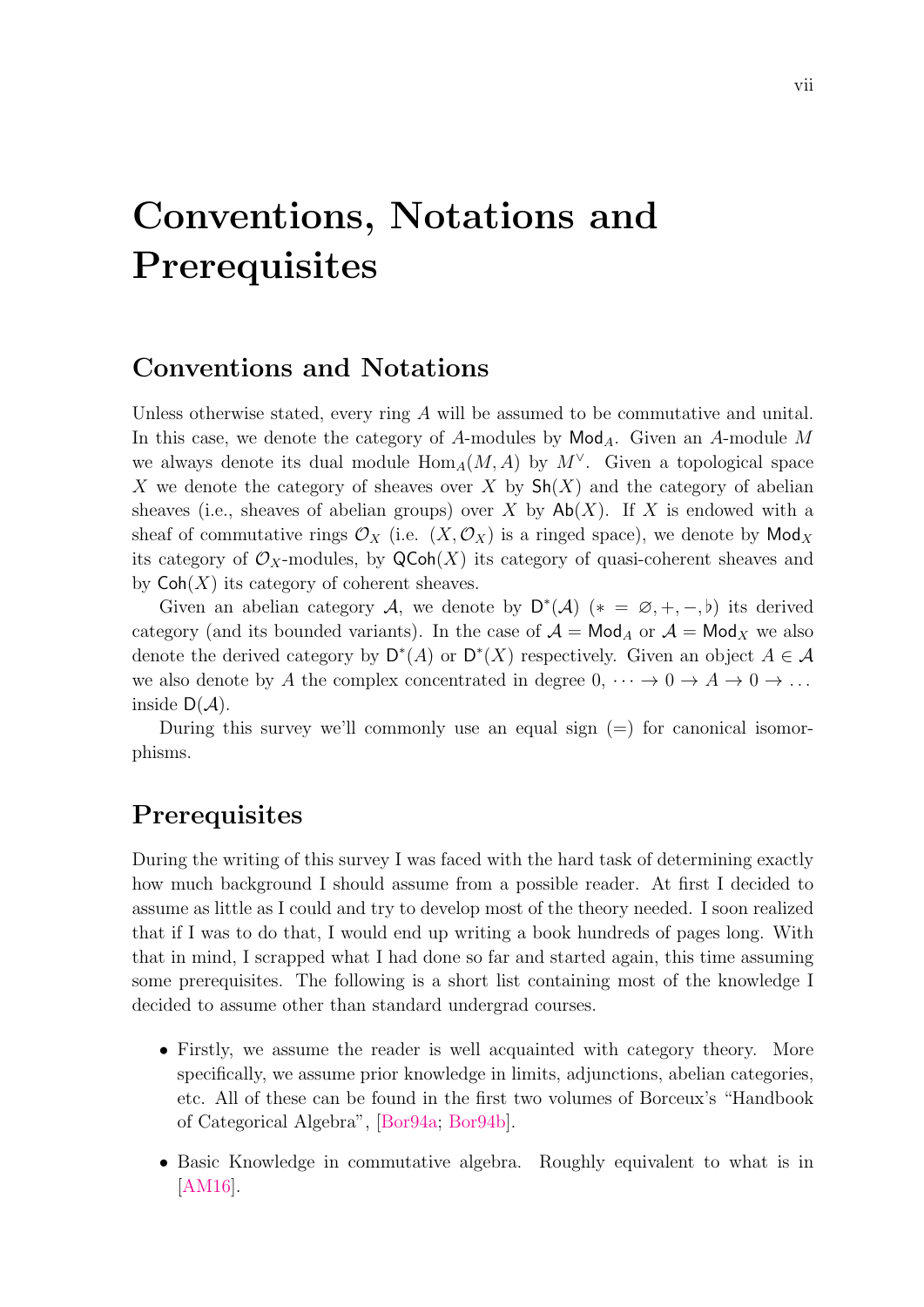# <span id="page-8-0"></span>Conventions, Notations and **Prerequisites**

#### Conventions and Notations

Unless otherwise stated, every ring A will be assumed to be commutative and unital. In this case, we denote the category of A-modules by  $\mathsf{Mod}_A$ . Given an A-module M we always denote its dual module  $\text{Hom}_A(M, A)$  by  $M^{\vee}$ . Given a topological space X we denote the category of sheaves over X by  $\mathsf{Sh}(X)$  and the category of abelian sheaves (i.e., sheaves of abelian groups) over X by  $\mathsf{Ab}(X)$ . If X is endowed with a sheaf of commutative rings  $\mathcal{O}_X$  (i.e.  $(X, \mathcal{O}_X)$  is a ringed space), we denote by Mod<sub>X</sub> its category of  $\mathcal{O}_X$ -modules, by  $\mathsf{QCoh}(X)$  its category of quasi-coherent sheaves and by  $\mathsf{Coh}(X)$  its category of coherent sheaves.

Given an abelian category A, we denote by  $D^*(A)$  (\* =  $\emptyset, +, -, \flat$ ) its derived category (and its bounded variants). In the case of  $A = Mod_A$  or  $A = Mod_X$  we also denote the derived category by  $D^*(A)$  or  $D^*(X)$  respectively. Given an object  $A \in \mathcal{A}$ we also denote by A the complex concentrated in degree  $0, \cdots \rightarrow 0 \rightarrow A \rightarrow 0 \rightarrow \ldots$ inside  $D(\mathcal{A})$ .

During this survey we'll commonly use an equal sign  $(=)$  for canonical isomorphisms.

#### **Prerequisites**

During the writing of this survey I was faced with the hard task of determining exactly how much background I should assume from a possible reader. At first I decided to assume as little as I could and try to develop most of the theory needed. I soon realized that if I was to do that, I would end up writing a book hundreds of pages long. With that in mind, I scrapped what I had done so far and started again, this time assuming some prerequisites. The following is a short list containing most of the knowledge I decided to assume other than standard undergrad courses.

- Firstly, we assume the reader is well acquainted with category theory. More specifically, we assume prior knowledge in limits, adjunctions, abelian categories, etc. All of these can be found in the first two volumes of Borceux's "Handbook of Categorical Algebra", [\[Bor94a;](#page-56-3) [Bor94b\]](#page-56-4).
- Basic Knowledge in commutative algebra. Roughly equivalent to what is in [\[AM16\]](#page-56-5).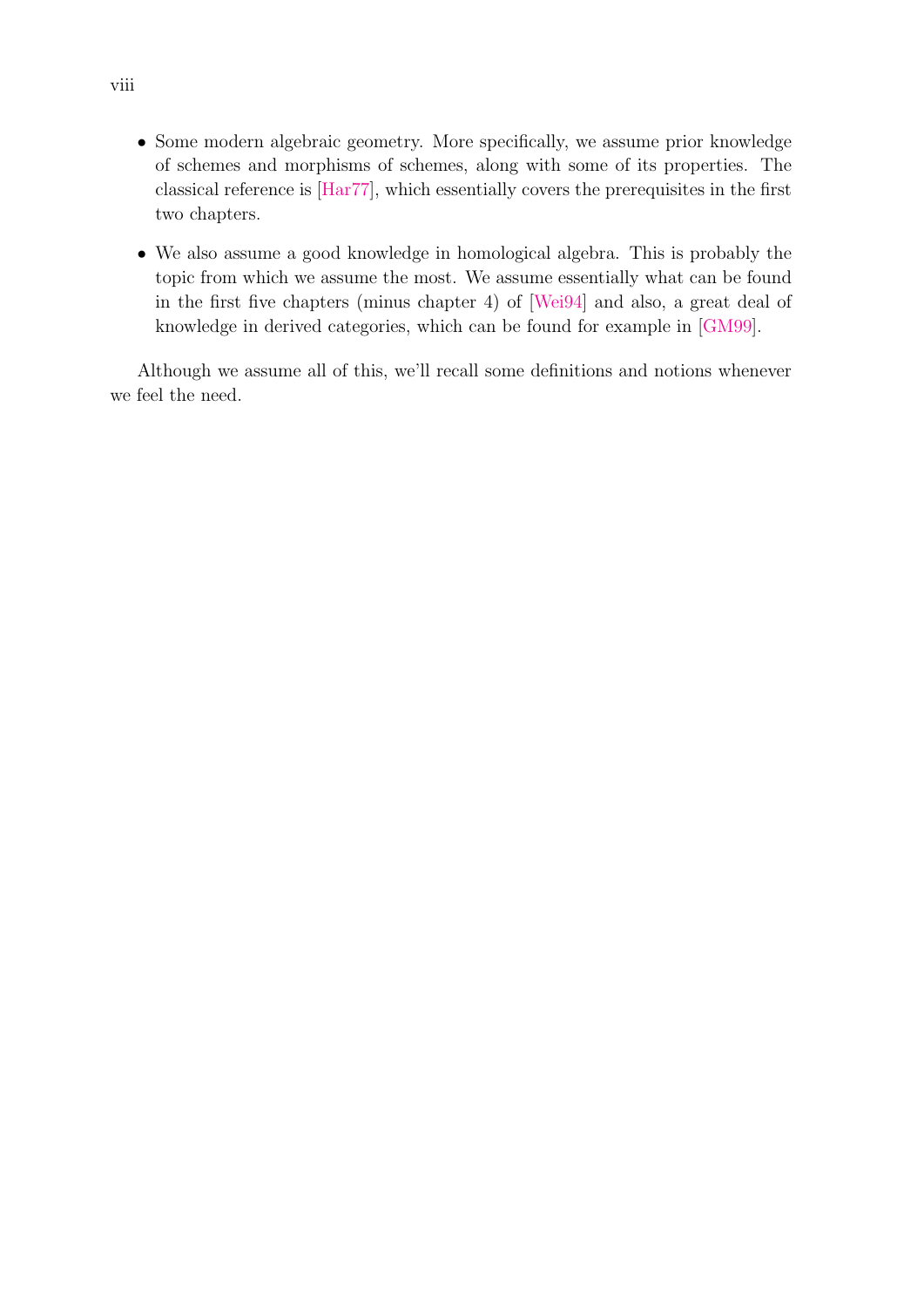- Some modern algebraic geometry. More specifically, we assume prior knowledge of schemes and morphisms of schemes, along with some of its properties. The classical reference is [\[Har77\]](#page-56-0), which essentially covers the prerequisites in the first two chapters.
- We also assume a good knowledge in homological algebra. This is probably the topic from which we assume the most. We assume essentially what can be found in the first five chapters (minus chapter 4) of [\[Wei94\]](#page-57-2) and also, a great deal of knowledge in derived categories, which can be found for example in [\[GM99\]](#page-56-6).

Although we assume all of this, we'll recall some definitions and notions whenever we feel the need.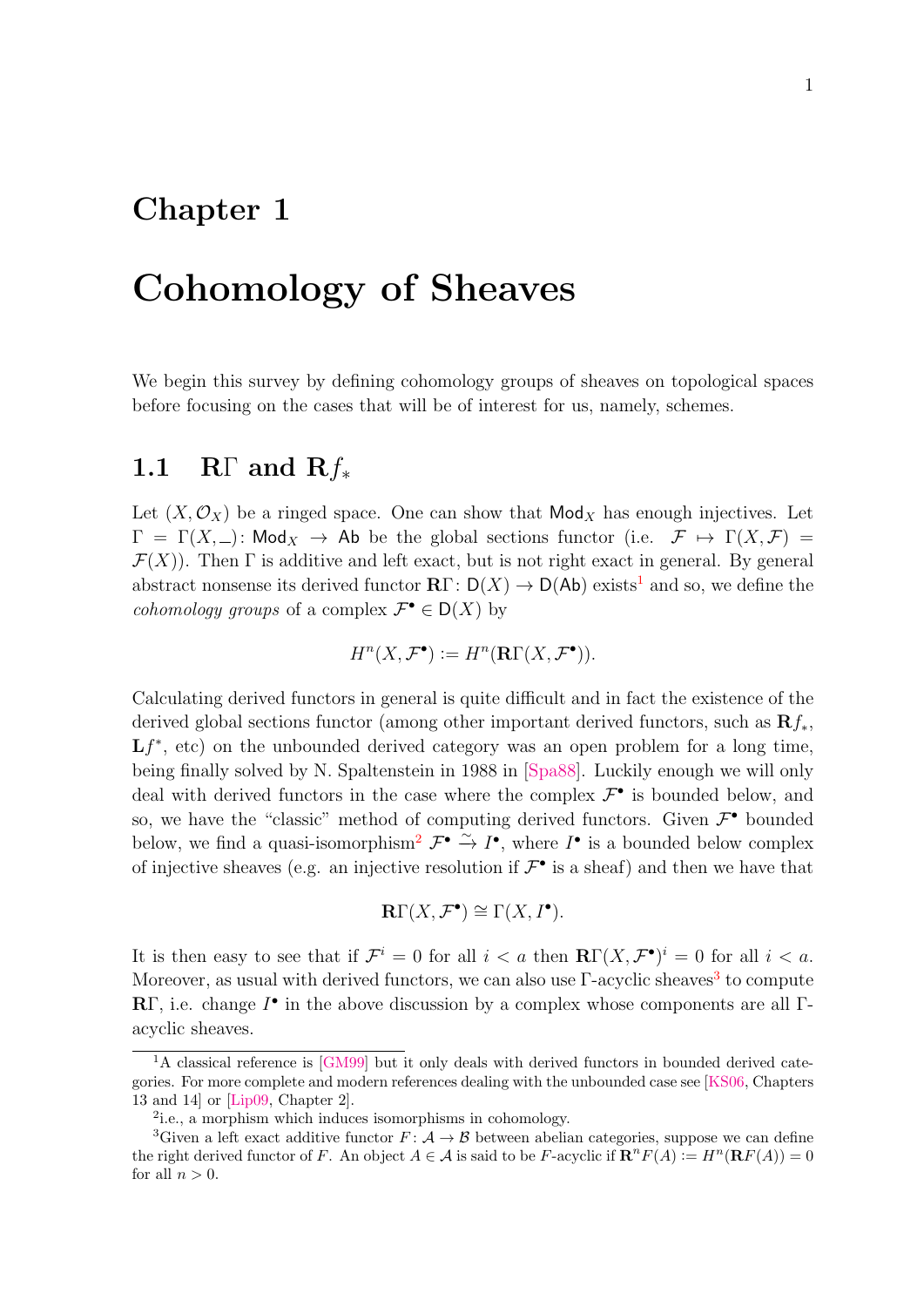### <span id="page-10-0"></span>Chapter 1

## Cohomology of Sheaves

We begin this survey by defining cohomology groups of sheaves on topological spaces before focusing on the cases that will be of interest for us, namely, schemes.

#### <span id="page-10-1"></span>1.1 RΓ and  $Rf_*$

Let  $(X, \mathcal{O}_X)$  be a ringed space. One can show that  $\mathsf{Mod}_X$  has enough injectives. Let  $\Gamma = \Gamma(X, \_)$ : Mod<sub>X</sub>  $\rightarrow$  Ab be the global sections functor (i.e.  $\mathcal{F} \mapsto \Gamma(X, \mathcal{F}) =$  $\mathcal{F}(X)$ ). Then  $\Gamma$  is additive and left exact, but is not right exact in general. By general abstract nonsense its derived functor  $\mathbb{R}\Gamma: D(X) \to D(\mathbb{A}\mathbb{b})$  exists<sup>[1](#page-10-2)</sup> and so, we define the *cohomology groups* of a complex  $\mathcal{F}^{\bullet} \in D(X)$  by

$$
H^n(X, \mathcal{F}^\bullet) := H^n(\mathbf{R}\Gamma(X, \mathcal{F}^\bullet)).
$$

Calculating derived functors in general is quite difficult and in fact the existence of the derived global sections functor (among other important derived functors, such as  $\mathbf{R}f_*$ ,  $Lf^*$ , etc) on the unbounded derived category was an open problem for a long time, being finally solved by N. Spaltenstein in 1988 in [\[Spa88\]](#page-57-3). Luckily enough we will only deal with derived functors in the case where the complex  $\mathcal{F}^{\bullet}$  is bounded below, and so, we have the "classic" method of computing derived functors. Given  $\mathcal{F}^{\bullet}$  bounded below, we find a quasi-isomorphism<sup>[2](#page-10-3)</sup>  $\mathcal{F}^{\bullet} \xrightarrow{\sim} I^{\bullet}$ , where  $I^{\bullet}$  is a bounded below complex of injective sheaves (e.g. an injective resolution if  $\mathcal{F}^{\bullet}$  is a sheaf) and then we have that

$$
\mathbf{R}\Gamma(X,\mathcal{F}^{\bullet})\cong\Gamma(X,I^{\bullet}).
$$

It is then easy to see that if  $\mathcal{F}^i = 0$  for all  $i < a$  then  $\mathbb{R}\Gamma(X, \mathcal{F}^{\bullet})^i = 0$  for all  $i < a$ . Moreover, as usual with derived functors, we can also use  $\Gamma$ -acyclic sheaves<sup>[3](#page-10-4)</sup> to compute RΓ, i.e. change  $I^{\bullet}$  in the above discussion by a complex whose components are all Γacyclic sheaves.

<span id="page-10-2"></span><sup>&</sup>lt;sup>1</sup>A classical reference is [\[GM99\]](#page-56-6) but it only deals with derived functors in bounded derived categories. For more complete and modern references dealing with the unbounded case see [\[KS06,](#page-56-7) Chapters 13 and 14] or [\[Lip09,](#page-57-4) Chapter 2].

<span id="page-10-4"></span><span id="page-10-3"></span><sup>2</sup> i.e., a morphism which induces isomorphisms in cohomology.

<sup>&</sup>lt;sup>3</sup>Given a left exact additive functor  $F: \mathcal{A} \to \mathcal{B}$  between abelian categories, suppose we can define the right derived functor of F. An object  $A \in \mathcal{A}$  is said to be F-acyclic if  $\mathbf{R}^n F(A) := H^n(\mathbf{R} F(A)) = 0$ for all  $n > 0$ .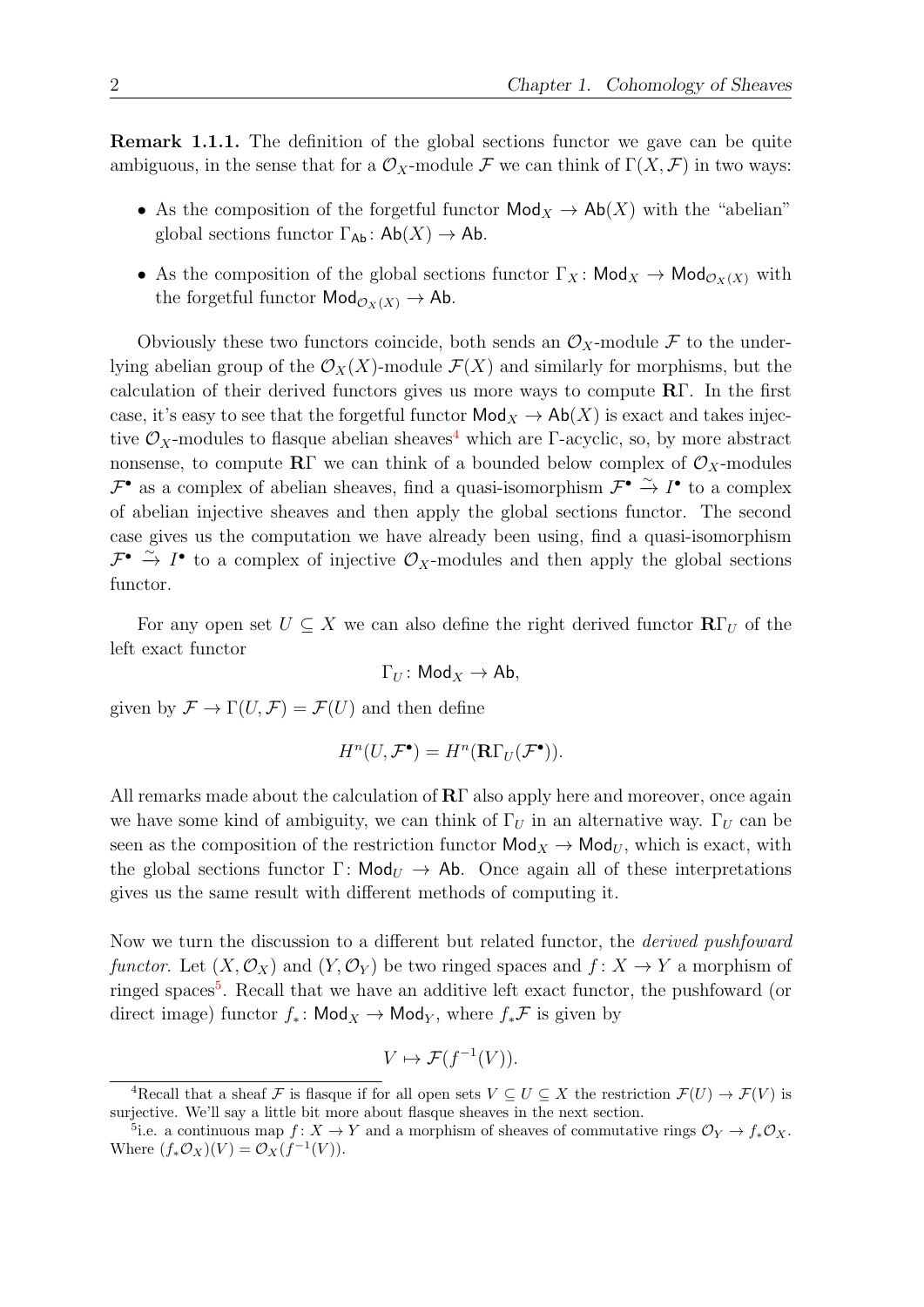Remark 1.1.1. The definition of the global sections functor we gave can be quite ambiguous, in the sense that for a  $\mathcal{O}_X$ -module F we can think of  $\Gamma(X,\mathcal{F})$  in two ways:

- As the composition of the forgetful functor  $\mathsf{Mod}_X \to \mathsf{Ab}(X)$  with the "abelian" global sections functor  $\Gamma_{\mathsf{Ab}}: \mathsf{Ab}(X) \to \mathsf{Ab}.$
- As the composition of the global sections functor  $\Gamma_X$ : Mod $_X \to \mathsf{Mod}_{\mathcal{O}_X(X)}$  with the forgetful functor  $\mathsf{Mod}_{\mathcal{O}_X(X)} \to \mathsf{Ab}.$

Obviously these two functors coincide, both sends an  $\mathcal{O}_X$ -module F to the underlying abelian group of the  $\mathcal{O}_X(X)$ -module  $\mathcal{F}(X)$  and similarly for morphisms, but the calculation of their derived functors gives us more ways to compute  $\mathbb{R}\Gamma$ . In the first case, it's easy to see that the forgetful functor  $\mathsf{Mod}_X \to \mathsf{Ab}(X)$  is exact and takes injective  $\mathcal{O}_X$ -modules to flasque abelian sheaves<sup>[4](#page-11-0)</sup> which are Γ-acyclic, so, by more abstract nonsense, to compute RΓ we can think of a bounded below complex of  $\mathcal{O}_X$ -modules  $\mathcal{F}^{\bullet}$  as a complex of abelian sheaves, find a quasi-isomorphism  $\mathcal{F}^{\bullet}$   $\stackrel{\sim}{\to} I^{\bullet}$  to a complex of abelian injective sheaves and then apply the global sections functor. The second case gives us the computation we have already been using, find a quasi-isomorphism  $\mathcal{F}^{\bullet} \stackrel{\sim}{\to} I^{\bullet}$  to a complex of injective  $\mathcal{O}_X$ -modules and then apply the global sections functor.

For any open set  $U \subseteq X$  we can also define the right derived functor  $\mathbb{R}\Gamma_U$  of the left exact functor

$$
\Gamma_U\colon \mathsf{Mod}_X\to \mathsf{Ab},
$$

given by  $\mathcal{F} \to \Gamma(U, \mathcal{F}) = \mathcal{F}(U)$  and then define

$$
H^n(U, \mathcal{F}^{\bullet}) = H^n(\mathbf{R}\Gamma_U(\mathcal{F}^{\bullet})).
$$

All remarks made about the calculation of  $\mathbb{R}\Gamma$  also apply here and moreover, once again we have some kind of ambiguity, we can think of  $\Gamma_U$  in an alternative way.  $\Gamma_U$  can be seen as the composition of the restriction functor  $\mathsf{Mod}_X \to \mathsf{Mod}_U$ , which is exact, with the global sections functor  $\Gamma: \mathsf{Mod}_U \to \mathsf{Ab}$ . Once again all of these interpretations gives us the same result with different methods of computing it.

Now we turn the discussion to a different but related functor, the derived pushfoward functor. Let  $(X, \mathcal{O}_X)$  and  $(Y, \mathcal{O}_Y)$  be two ringed spaces and  $f: X \to Y$  a morphism of ringed spaces<sup>[5](#page-11-1)</sup>. Recall that we have an additive left exact functor, the pushfoward (or direct image) functor  $f_*$ : Mod<sub>X</sub> → Mod<sub>Y</sub>, where  $f_*\mathcal{F}$  is given by

$$
V \mapsto \mathcal{F}(f^{-1}(V)).
$$

<span id="page-11-0"></span><sup>&</sup>lt;sup>4</sup>Recall that a sheaf F is flasque if for all open sets  $V \subseteq U \subseteq X$  the restriction  $\mathcal{F}(U) \to \mathcal{F}(V)$  is surjective. We'll say a little bit more about flasque sheaves in the next section.

<span id="page-11-1"></span><sup>&</sup>lt;sup>5</sup>i.e. a continuous map  $f: X \to Y$  and a morphism of sheaves of commutative rings  $\mathcal{O}_Y \to f_* \mathcal{O}_X$ . Where  $(f_*\mathcal{O}_X)(V) = \mathcal{O}_X(f^{-1}(V)).$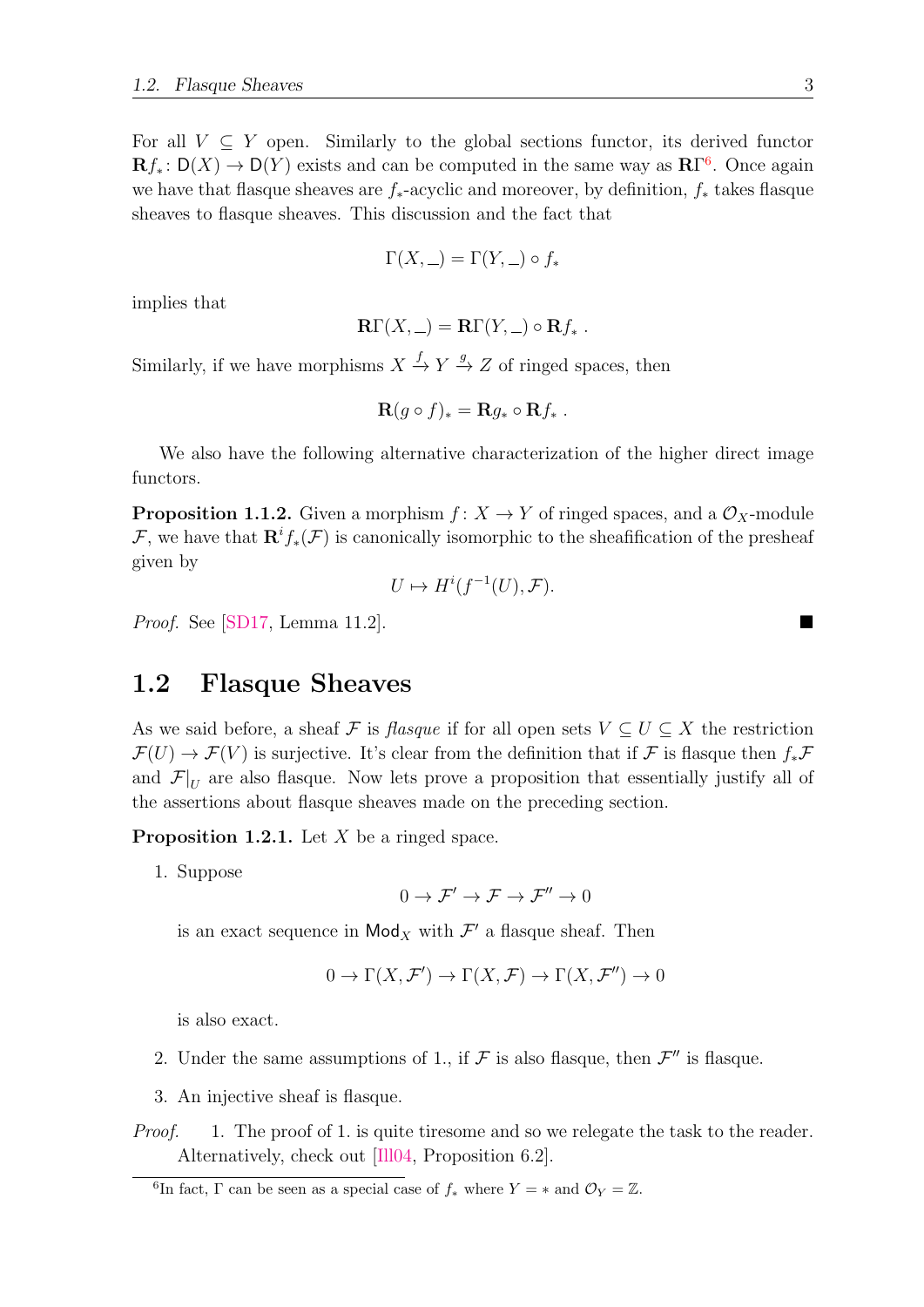For all  $V \subseteq Y$  open. Similarly to the global sections functor, its derived functor  $\mathbf{R}f_*\colon D(X)\to D(Y)$  exists and can be computed in the same way as  $\mathbf{R}\Gamma^6$  $\mathbf{R}\Gamma^6$ . Once again we have that flasque sheaves are  $f_*$ -acyclic and moreover, by definition,  $f_*$  takes flasque sheaves to flasque sheaves. This discussion and the fact that

$$
\Gamma(X, \underline{\hphantom{A}}) = \Gamma(Y, \underline{\hphantom{A}}) \circ f_*
$$

implies that

$$
\mathbf{R}\Gamma(X,\_)=\mathbf{R}\Gamma(Y,\_)\circ\mathbf{R}f_*\ .
$$

Similarly, if we have morphisms  $X \stackrel{f}{\to} Y \stackrel{g}{\to} Z$  of ringed spaces, then

$$
\mathbf{R}(g\circ f)_*=\mathbf{R}g_*\circ\mathbf{R}f_*.
$$

We also have the following alternative characterization of the higher direct image functors.

<span id="page-12-2"></span>**Proposition 1.1.2.** Given a morphism  $f: X \to Y$  of ringed spaces, and a  $\mathcal{O}_X$ -module F, we have that  $\mathbf{R}^i f_*(\mathcal{F})$  is canonically isomorphic to the sheafification of the presheaf given by

$$
U \mapsto H^i(f^{-1}(U), \mathcal{F}).
$$

*Proof.* See [\[SD17,](#page-57-0) Lemma 11.2].

#### <span id="page-12-0"></span>1.2 Flasque Sheaves

As we said before, a sheaf F is flasque if for all open sets  $V \subseteq U \subseteq X$  the restriction  $\mathcal{F}(U) \to \mathcal{F}(V)$  is surjective. It's clear from the definition that if F is flasque then  $f_*\mathcal{F}$ and  $\mathcal{F}|_U$  are also flasque. Now lets prove a proposition that essentially justify all of the assertions about flasque sheaves made on the preceding section.

<span id="page-12-3"></span>**Proposition 1.2.1.** Let  $X$  be a ringed space.

1. Suppose

 $0 \to \mathcal{F}' \to \mathcal{F} \to \mathcal{F}'' \to 0$ 

is an exact sequence in  $\mathsf{Mod}_X$  with  $\mathcal{F}'$  a flasque sheaf. Then

$$
0 \to \Gamma(X, \mathcal{F}') \to \Gamma(X, \mathcal{F}) \to \Gamma(X, \mathcal{F}'') \to 0
$$

is also exact.

- 2. Under the same assumptions of 1., if  $\mathcal F$  is also flasque, then  $\mathcal F''$  is flasque.
- 3. An injective sheaf is flasque.

Proof. 1. The proof of 1. is quite tiresome and so we relegate the task to the reader. Alternatively, check out [\[Ill04,](#page-56-1) Proposition 6.2].

<span id="page-12-1"></span><sup>&</sup>lt;sup>6</sup>In fact,  $\Gamma$  can be seen as a special case of  $f_*$  where  $Y = *$  and  $\mathcal{O}_Y = \mathbb{Z}$ .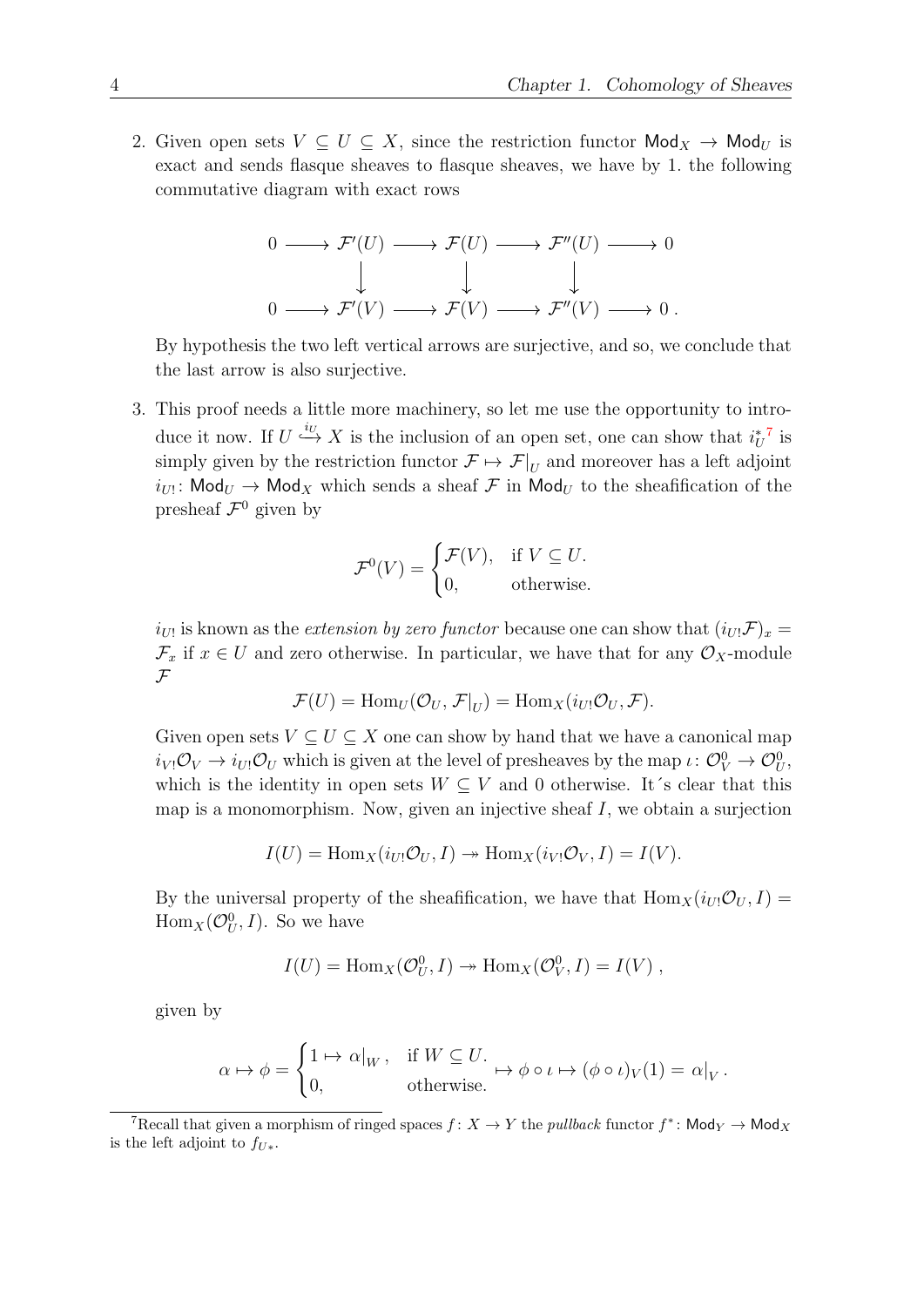2. Given open sets  $V \subseteq U \subseteq X$ , since the restriction functor  $\mathsf{Mod}_X \to \mathsf{Mod}_U$  is exact and sends flasque sheaves to flasque sheaves, we have by 1. the following commutative diagram with exact rows

$$
0 \longrightarrow \mathcal{F}'(U) \longrightarrow \mathcal{F}(U) \longrightarrow \mathcal{F}''(U) \longrightarrow 0
$$
  

$$
\downarrow \qquad \qquad \downarrow \qquad \qquad \downarrow
$$
  

$$
0 \longrightarrow \mathcal{F}'(V) \longrightarrow \mathcal{F}(V) \longrightarrow \mathcal{F}''(V) \longrightarrow 0.
$$

By hypothesis the two left vertical arrows are surjective, and so, we conclude that the last arrow is also surjective.

3. This proof needs a little more machinery, so let me use the opportunity to introduce it now. If  $U \stackrel{i_U}{\hookrightarrow} X$  is the inclusion of an open set, one can show that  $i_U^{*7}$  $i_U^{*7}$  $i_U^{*7}$  is simply given by the restriction functor  $\mathcal{F} \mapsto \mathcal{F}|_U$  and moreover has a left adjoint  $i_{U!}$ : Mod $_{U}$   $\rightarrow$  Mod $_{X}$  which sends a sheaf  ${\cal F}$  in Mod $_{U}$  to the sheafification of the presheaf  $\mathcal{F}^0$  given by

$$
\mathcal{F}^0(V) = \begin{cases} \mathcal{F}(V), & \text{if } V \subseteq U. \\ 0, & \text{otherwise.} \end{cases}
$$

 $i_{U!}$  is known as the *extension by zero functor* because one can show that  $(i_{U!} \mathcal{F})_x =$  $\mathcal{F}_x$  if  $x \in U$  and zero otherwise. In particular, we have that for any  $\mathcal{O}_X$ -module  $\mathcal F$ 

$$
\mathcal{F}(U) = \text{Hom}_U(\mathcal{O}_U, \mathcal{F}|_U) = \text{Hom}_X(i_{U!}\mathcal{O}_U, \mathcal{F}).
$$

Given open sets  $V \subseteq U \subseteq X$  one can show by hand that we have a canonical map  $i_{V!}\mathcal{O}_V \to i_{U!}\mathcal{O}_U$  which is given at the level of presheaves by the map  $\iota: \mathcal{O}_V^0 \to \mathcal{O}_U^0$ , which is the identity in open sets  $W \subseteq V$  and 0 otherwise. It's clear that this map is a monomorphism. Now, given an injective sheaf  $I$ , we obtain a surjection

$$
I(U) = \text{Hom}_X(i_{U!}\mathcal{O}_U, I) \twoheadrightarrow \text{Hom}_X(i_{V!}\mathcal{O}_V, I) = I(V).
$$

By the universal property of the sheafification, we have that  $\text{Hom}_X(i_{U!}\mathcal{O}_U, I)$  $\text{Hom}_X(\mathcal{O}_U^0,I)$ . So we have

$$
I(U) = \text{Hom}_X(\mathcal{O}_U^0, I) \to \text{Hom}_X(\mathcal{O}_V^0, I) = I(V) ,
$$

given by

$$
\alpha \mapsto \phi = \begin{cases} 1 \mapsto \alpha|_W, & \text{if } W \subseteq U. \\ 0, & \text{otherwise.} \end{cases} \mapsto \phi \circ \iota \mapsto (\phi \circ \iota)_V(1) = \alpha|_V.
$$

<span id="page-13-0"></span><sup>&</sup>lt;sup>7</sup>Recall that given a morphism of ringed spaces  $f: X \to Y$  the *pullback* functor  $f^*$ : Mod<sub>Y</sub>  $\to$  Mod<sub>X</sub> is the left adjoint to  $f_{U*}$ .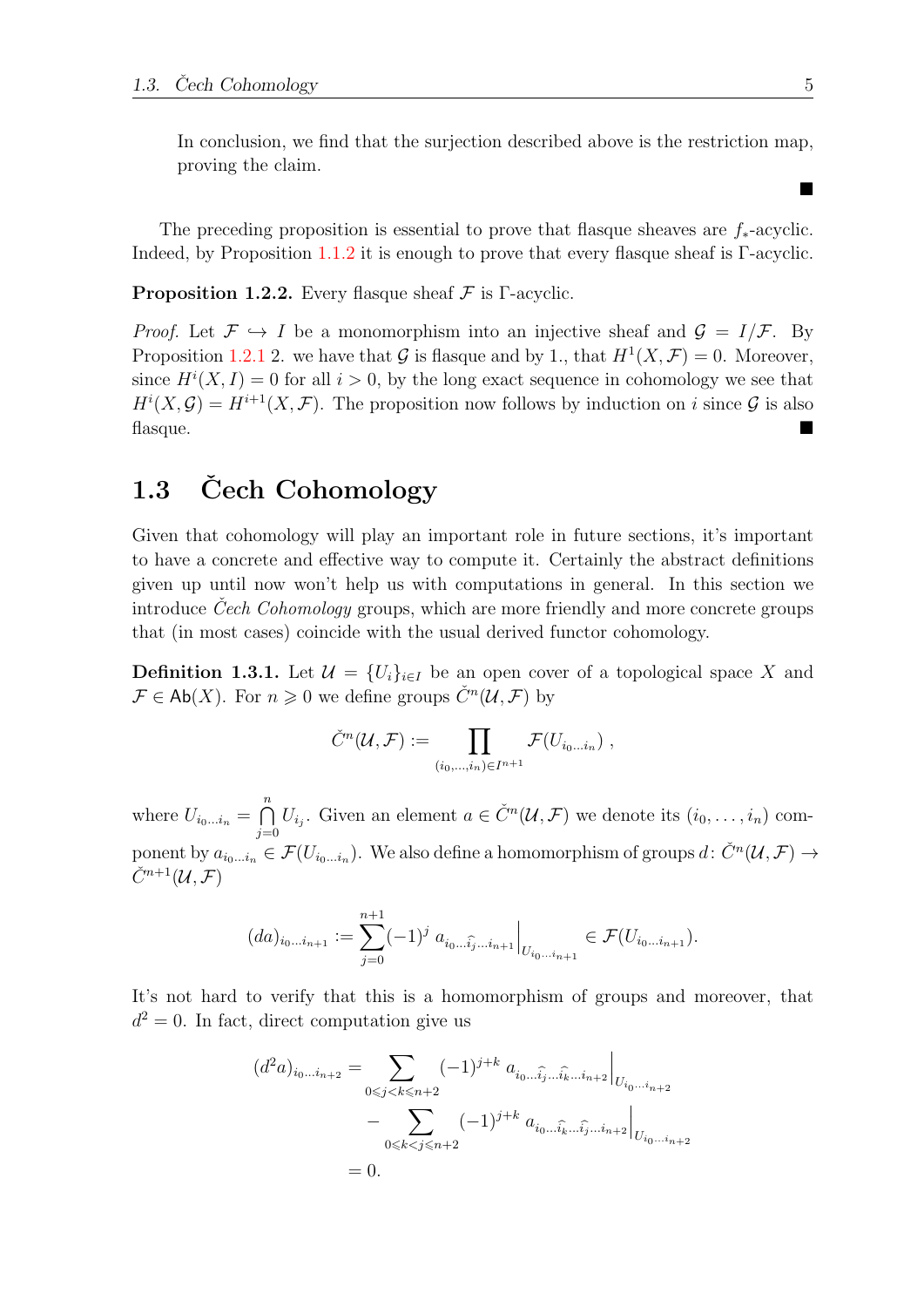In conclusion, we find that the surjection described above is the restriction map, proving the claim.

The preceding proposition is essential to prove that flasque sheaves are  $f_*$ -acyclic. Indeed, by Proposition [1.1.2](#page-12-2) it is enough to prove that every flasque sheaf is  $\Gamma$ -acyclic.

**Proposition 1.2.2.** Every flasque sheaf  $\mathcal F$  is Γ-acyclic.

*Proof.* Let  $\mathcal{F} \hookrightarrow I$  be a monomorphism into an injective sheaf and  $\mathcal{G} = I/\mathcal{F}$ . By Proposition [1.2.1](#page-12-3) 2. we have that G is flasque and by 1., that  $H^1(X, \mathcal{F}) = 0$ . Moreover, since  $H^{i}(X, I) = 0$  for all  $i > 0$ , by the long exact sequence in cohomology we see that  $H^{i}(X,\mathcal{G})=H^{i+1}(X,\mathcal{F})$ . The proposition now follows by induction on i since  $\mathcal{G}$  is also  $f$ lasque.

### <span id="page-14-0"></span>1.3 Cech Cohomology

Given that cohomology will play an important role in future sections, it's important to have a concrete and effective way to compute it. Certainly the abstract definitions given up until now won't help us with computations in general. In this section we introduce Cech Cohomology groups, which are more friendly and more concrete groups that (in most cases) coincide with the usual derived functor cohomology.

<span id="page-14-1"></span>**Definition 1.3.1.** Let  $\mathcal{U} = \{U_i\}_{i \in I}$  be an open cover of a topological space X and  $\mathcal{F} \in \mathsf{Ab}(X)$ . For  $n \geq 0$  we define groups  $\check{C}^n(\mathcal{U}, \mathcal{F})$  by

$$
\check{C}^n(\mathcal{U},\mathcal{F}) := \prod_{(i_0,\ldots,i_n)\in I^{n+1}} \mathcal{F}(U_{i_0\ldots i_n}),
$$

where  $U_{i_0...i_n} = \bigcap^n$  $\bigcap_{j=0}^{n} U_{i_j}$ . Given an element  $a \in \check{C}^n(\mathcal{U}, \mathcal{F})$  we denote its  $(i_0, \ldots, i_n)$  component by  $a_{i_0...i_n} \in \mathcal{F}(U_{i_0...i_n})$ . We also define a homomorphism of groups  $d \colon \check{C}^n(\mathcal{U}, \mathcal{F}) \to$  $\check{C}^{n+1}(\mathcal{U},\mathcal{F})$ 

$$
(da)_{i_0...i_{n+1}} := \sum_{j=0}^{n+1} (-1)^j a_{i_0...i_j...i_{n+1}} \Big|_{U_{i_0...i_{n+1}}} \in \mathcal{F}(U_{i_0...i_{n+1}}).
$$

It's not hard to verify that this is a homomorphism of groups and moreover, that  $d^2 = 0$ . In fact, direct computation give us

$$
(d^2a)_{i_0...i_{n+2}} = \sum_{0 \le j < k \le n+2} (-1)^{j+k} a_{i_0...i_j...i_k...i_{n+2}} \Big|_{U_{i_0...i_{n+2}}} - \sum_{0 \le k < j \le n+2} (-1)^{j+k} a_{i_0...i_k...i_j...i_{n+2}} \Big|_{U_{i_0...i_{n+2}}} = 0.
$$

■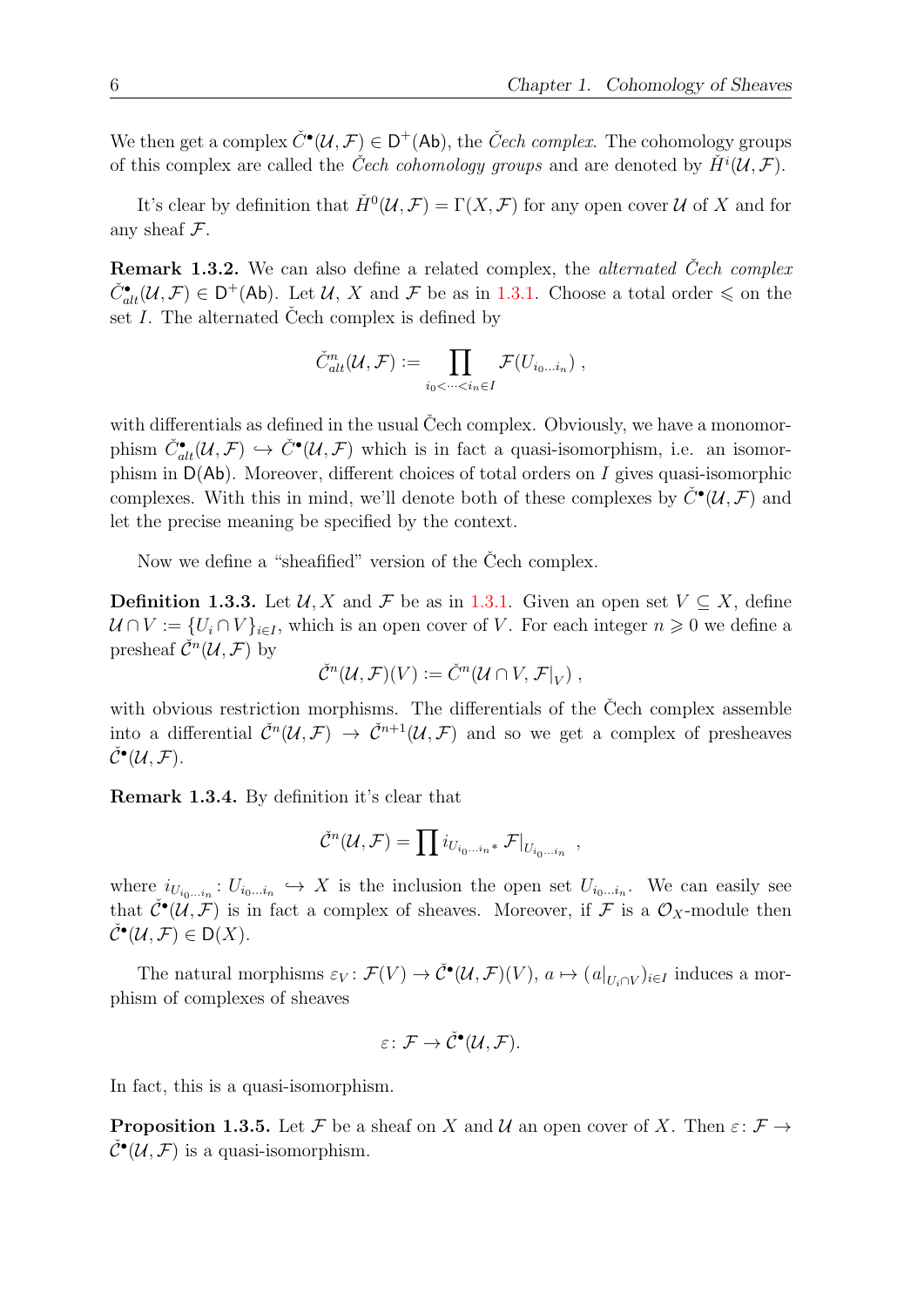We then get a complex  $\check{C}^{\bullet}(\mathcal{U},\mathcal{F}) \in D^+(\mathsf{Ab})$ , the  $\check{C}ech$  complex. The cohomology groups of this complex are called the *Čech cohomology groups* and are denoted by  $\check{H}^{i}(\mathcal{U},\mathcal{F})$ .

It's clear by definition that  $\check{H}^0(\mathcal{U}, \mathcal{F}) = \Gamma(X, \mathcal{F})$  for any open cover  $\mathcal U$  of X and for any sheaf  $\mathcal F$ .

Remark 1.3.2. We can also define a related complex, the *alternated* Čech complex  $\check{C}_{alt}^{\bullet}(\mathcal{U},\mathcal{F}) \in D^{+}(\mathsf{Ab})$ . Let  $\mathcal{U}, X$  and  $\mathcal{F}$  be as in [1.3.1.](#page-14-1) Choose a total order  $\leqslant$  on the set  $I$ . The alternated Cech complex is defined by

$$
\check{C}^n_{alt}(\mathcal{U}, \mathcal{F}) := \prod_{i_0 < \cdots < i_n \in I} \mathcal{F}(U_{i_0 \ldots i_n}),
$$

with differentials as defined in the usual Čech complex. Obviously, we have a monomorphism  $\check{C}_{alt}^{\bullet}(\mathcal{U},\mathcal{F}) \hookrightarrow \check{C}^{\bullet}(\mathcal{U},\mathcal{F})$  which is in fact a quasi-isomorphism, i.e. an isomorphism in  $D(Ab)$ . Moreover, different choices of total orders on I gives quasi-isomorphic complexes. With this in mind, we'll denote both of these complexes by  $\check{C}^{\bullet}(\mathcal{U},\mathcal{F})$  and let the precise meaning be specified by the context.

Now we define a "sheafified" version of the Cech complex.

**Definition 1.3.3.** Let  $\mathcal{U}, X$  and  $\mathcal{F}$  be as in [1.3.1.](#page-14-1) Given an open set  $V \subseteq X$ , define  $U \cap V := \{U_i \cap V\}_{i \in I}$ , which is an open cover of V. For each integer  $n \geq 0$  we define a presheaf  $\check{\mathcal{C}}^n(\mathcal{U}, \mathcal{F})$  by

$$
\check{\mathcal{C}}^n(\mathcal{U},\mathcal{F})(V) \mathrel{\mathop:}= \check{C}^n(\mathcal{U} \cap V, \mathcal{F}|_V) ,
$$

with obvious restriction morphisms. The differentials of the Čech complex assemble into a differential  $\check{C}^n(\mathcal{U},\mathcal{F}) \to \check{C}^{n+1}(\mathcal{U},\mathcal{F})$  and so we get a complex of presheaves  $\check{\mathcal{C}}^\bullet(\mathcal{U},\mathcal{F}).$ 

Remark 1.3.4. By definition it's clear that

$$
\check{\mathcal{C}}^n(\mathcal{U},\mathcal{F})=\prod i_{U_{i_0...i_n}*}\mathcal{F}|_{U_{i_0...i_n}}\;,
$$

where  $i_{U_{i_0...i_n}}: U_{i_0...i_n} \hookrightarrow X$  is the inclusion the open set  $U_{i_0...i_n}$ . We can easily see that  $\check{\mathcal{C}}^{\bullet}(\mathcal{U},\tilde{\mathcal{F}})$  is in fact a complex of sheaves. Moreover, if  $\mathcal F$  is a  $\mathcal{O}_X$ -module then  $\check{\mathcal{C}}^{\bullet}(\mathcal{U},\mathcal{F})\in \mathsf{D}(X).$ 

The natural morphisms  $\varepsilon_V : \mathcal{F}(V) \to \check{\mathcal{C}}^{\bullet}(\mathcal{U}, \mathcal{F})(V)$ ,  $a \mapsto (a|_{U_i \cap V})_{i \in I}$  induces a morphism of complexes of sheaves

$$
\varepsilon\colon \mathcal{F}\to \check{\mathcal{C}}^\bullet(\mathcal{U},\mathcal{F}).
$$

In fact, this is a quasi-isomorphism.

<span id="page-15-0"></span>**Proposition 1.3.5.** Let F be a sheaf on X and U an open cover of X. Then  $\varepsilon: \mathcal{F} \to$  $\check{\mathcal{C}}^{\bullet}(\mathcal{U},\mathcal{F})$  is a quasi-isomorphism.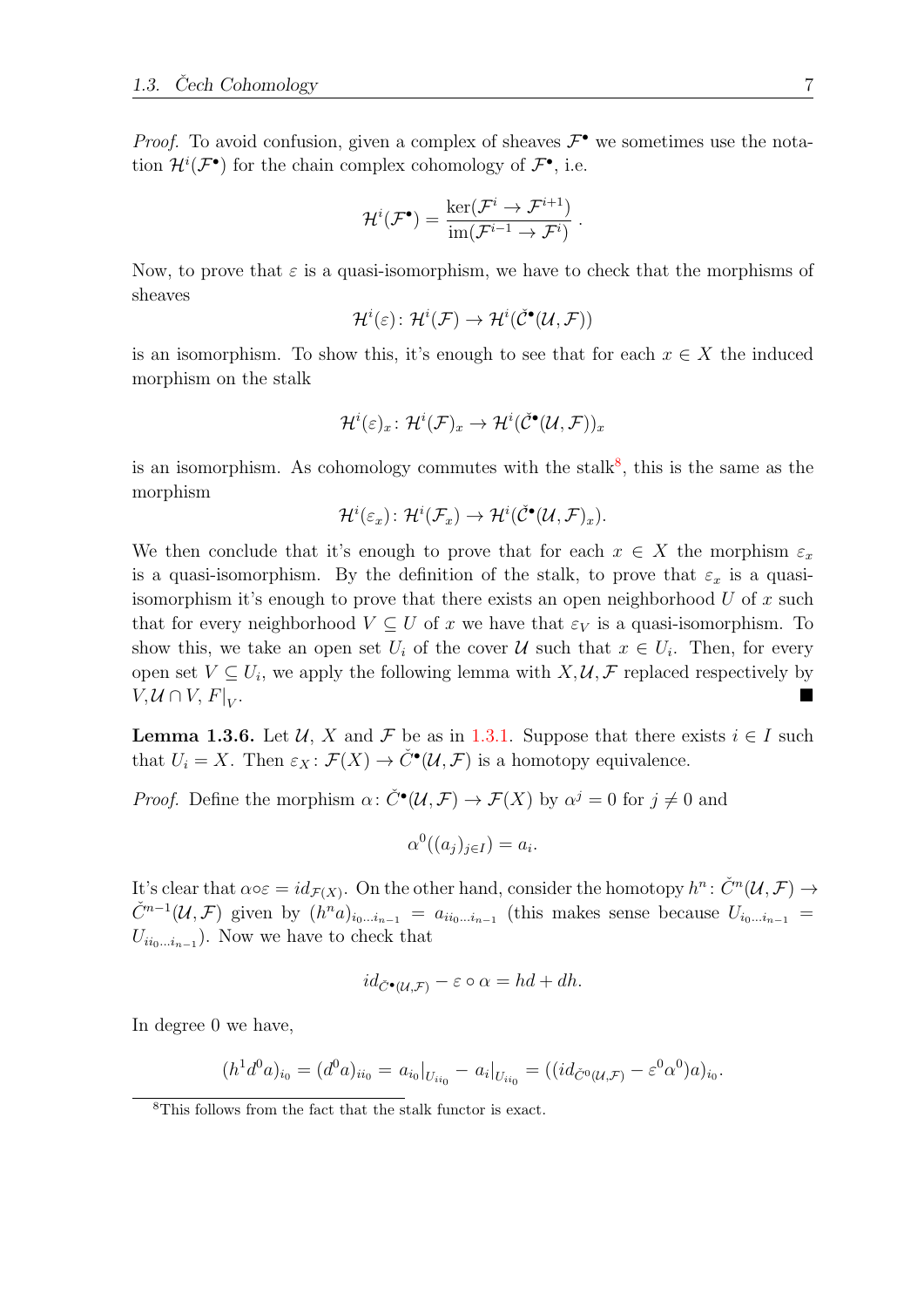*Proof.* To avoid confusion, given a complex of sheaves  $\mathcal{F}^{\bullet}$  we sometimes use the notation  $\mathcal{H}^i(\mathcal{F}^{\bullet})$  for the chain complex cohomology of  $\mathcal{F}^{\bullet}$ , i.e.

$$
\mathcal{H}^i(\mathcal{F}^{\bullet}) = \frac{\ker(\mathcal{F}^i \to \mathcal{F}^{i+1})}{\text{im}(\mathcal{F}^{i-1} \to \mathcal{F}^i)}.
$$

Now, to prove that  $\varepsilon$  is a quasi-isomorphism, we have to check that the morphisms of sheaves

$$
\mathcal{H}^i(\varepsilon)\colon \mathcal{H}^i(\mathcal{F}) \to \mathcal{H}^i(\check{\mathcal{C}}^\bullet(\mathcal{U},\mathcal{F}))
$$

is an isomorphism. To show this, it's enough to see that for each  $x \in X$  the induced morphism on the stalk

$$
\mathcal{H}^i(\varepsilon)_x\colon \mathcal{H}^i(\mathcal{F})_x\to \mathcal{H}^i(\check{\mathcal{C}}^\bullet(\mathcal{U},\mathcal{F}))_x
$$

is an isomorphism. As cohomology commutes with the stalk<sup>[8](#page-16-0)</sup>, this is the same as the morphism

$$
\mathcal{H}^i(\varepsilon_x)\colon \mathcal{H}^i(\mathcal{F}_x)\to \mathcal{H}^i(\check{\mathcal{C}}^\bullet(\mathcal{U},\mathcal{F})_x).
$$

We then conclude that it's enough to prove that for each  $x \in X$  the morphism  $\varepsilon_x$ is a quasi-isomorphism. By the definition of the stalk, to prove that  $\varepsilon_x$  is a quasiisomorphism it's enough to prove that there exists an open neighborhood  $U$  of  $x$  such that for every neighborhood  $V \subseteq U$  of x we have that  $\varepsilon_V$  is a quasi-isomorphism. To show this, we take an open set  $U_i$  of the cover  $\mathcal U$  such that  $x \in U_i$ . Then, for every open set  $V \subseteq U_i$ , we apply the following lemma with  $X, \mathcal{U}, \mathcal{F}$  replaced respectively by  $V, \mathcal{U} \cap V, F|_{V}$ . . A construction of the construction of the construction of the construction of the construction of the construction of the construction of the construction of the construction of the construction of the construction of th

<span id="page-16-1"></span>**Lemma 1.3.6.** Let U, X and F be as in [1.3.1.](#page-14-1) Suppose that there exists  $i \in I$  such that  $U_i = X$ . Then  $\varepsilon_X : \mathcal{F}(X) \to \check{C}^\bullet(\mathcal{U}, \mathcal{F})$  is a homotopy equivalence.

*Proof.* Define the morphism  $\alpha: \check{C}^{\bullet}(\mathcal{U}, \mathcal{F}) \to \mathcal{F}(X)$  by  $\alpha^{j} = 0$  for  $j \neq 0$  and

$$
\alpha^0((a_j)_{j\in I}) = a_i.
$$

It's clear that  $\alpha \circ \varepsilon = id_{\mathcal{F}(X)}$ . On the other hand, consider the homotopy  $h^n: \check{C}^n(\mathcal{U}, \mathcal{F}) \to$  $\check{C}^{n-1}(\mathcal{U},\mathcal{F})$  given by  $(h^n a)_{i_0...i_{n-1}} = a_{i i_0...i_{n-1}}$  (this makes sense because  $U_{i_0...i_{n-1}} =$  $U_{i i_0 \dots i_{n-1}}$ ). Now we have to check that

$$
id_{\check{C}\bullet(\mathcal{U},\mathcal{F})} - \varepsilon \circ \alpha = hd + dh.
$$

In degree 0 we have,

$$
(h1 d0 a)_{i_0} = (d0 a)_{ii_0} = a_{i_0}|_{U_{ii_0}} - a_i|_{U_{ii_0}} = ((id_{\check{C}^0(\mathcal{U},\mathcal{F})} - \varepsilon^0 \alpha^0) a)_{i_0}.
$$

<span id="page-16-0"></span><sup>8</sup>This follows from the fact that the stalk functor is exact.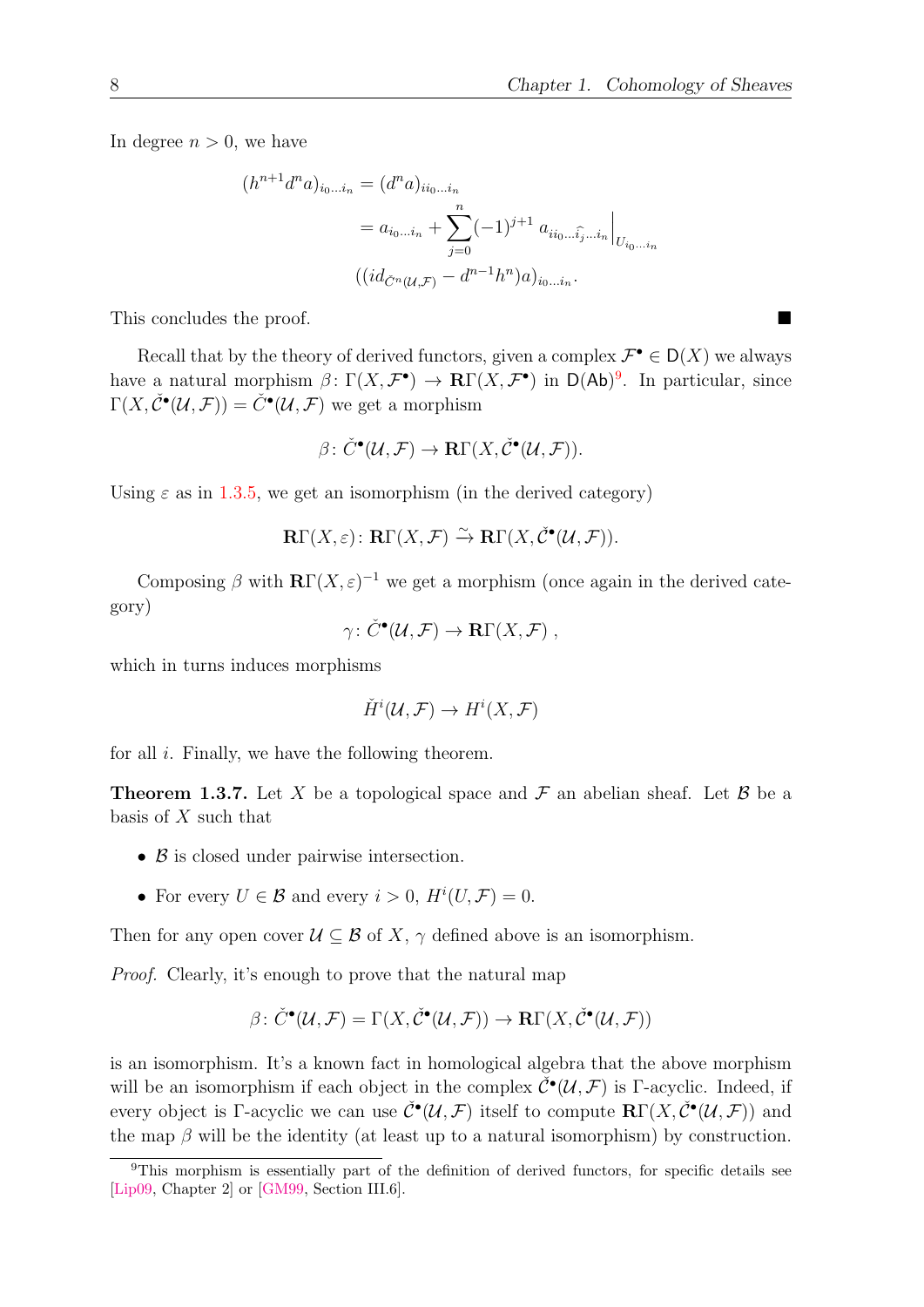In degree  $n > 0$ , we have

$$
(h^{n+1}d^n a)_{i_0...i_n} = (d^n a)_{i i_0...i_n}
$$
  
=  $a_{i_0...i_n} + \sum_{j=0}^n (-1)^{j+1} a_{i i_0...i_j...i_n} \Big|_{U_{i_0...i_n}}$   

$$
((id_{\tilde{C}^n(u,\mathcal{F})} - d^{n-1}h^n)a)_{i_0...i_n}.
$$

This concludes the proof.

Recall that by the theory of derived functors, given a complex  $\mathcal{F}^{\bullet} \in D(X)$  we always have a natural morphism  $\beta \colon \Gamma(X, \mathcal{F}^{\bullet}) \to \mathbf{R}\Gamma(X, \mathcal{F}^{\bullet})$  in  $\mathsf{D}(\mathsf{Ab})^9$  $\mathsf{D}(\mathsf{Ab})^9$ . In particular, since  $\Gamma(X, \check{\mathcal{C}}^{\bullet}(\mathcal{U}, \mathcal{F})) = \check{C}^{\bullet}(\mathcal{U}, \mathcal{F})$  we get a morphism

$$
\beta\colon \check{C}^\bullet(\mathcal{U},\mathcal{F})\to \mathbf{R}\Gamma(X,\check{\mathcal{C}}^\bullet(\mathcal{U},\mathcal{F})).
$$

Using  $\varepsilon$  as in [1.3.5,](#page-15-0) we get an isomorphism (in the derived category)

$$
\mathbf{R}\Gamma(X,\varepsilon)\colon\mathbf{R}\Gamma(X,\mathcal{F})\xrightarrow{\sim}\mathbf{R}\Gamma(X,\check{\mathcal{C}}^{\bullet}(\mathcal{U},\mathcal{F})).
$$

Composing  $\beta$  with  $\mathbb{R}\Gamma(X,\varepsilon)^{-1}$  we get a morphism (once again in the derived category)

$$
\gamma\colon \check{C}^\bullet(\mathcal{U},\mathcal{F})\to \mathbf{R}\Gamma(X,\mathcal{F})\ ,
$$

which in turns induces morphisms

$$
\check{H}^i(\mathcal{U}, \mathcal{F}) \to H^i(X, \mathcal{F})
$$

for all  $i$ . Finally, we have the following theorem.

**Theorem 1.3.7.** Let X be a topological space and  $\mathcal F$  an abelian sheaf. Let B be a basis of  $X$  such that

- $\beta$  is closed under pairwise intersection.
- For every  $U \in \mathcal{B}$  and every  $i > 0$ ,  $H^i(U, \mathcal{F}) = 0$ .

Then for any open cover  $\mathcal{U} \subseteq \mathcal{B}$  of X,  $\gamma$  defined above is an isomorphism.

Proof. Clearly, it's enough to prove that the natural map

$$
\beta \colon \check{C}^{\bullet}(\mathcal{U}, \mathcal{F}) = \Gamma(X, \check{\mathcal{C}}^{\bullet}(\mathcal{U}, \mathcal{F})) \to \mathbf{R}\Gamma(X, \check{\mathcal{C}}^{\bullet}(\mathcal{U}, \mathcal{F}))
$$

is an isomorphism. It's a known fact in homological algebra that the above morphism will be an isomorphism if each object in the complex  $\check{\mathcal{C}}^{\bullet}(\mathcal{U},\mathcal{F})$  is Γ-acyclic. Indeed, if every object is Γ-acyclic we can use  $\check{\mathcal{C}}^{\bullet}(\mathcal{U},\mathcal{F})$  itself to compute  $\mathbf{R}\Gamma(X,\check{\mathcal{C}}^{\bullet}(\mathcal{U},\mathcal{F}))$  and the map  $\beta$  will be the identity (at least up to a natural isomorphism) by construction.

<span id="page-17-0"></span><sup>&</sup>lt;sup>9</sup>This morphism is essentially part of the definition of derived functors, for specific details see [\[Lip09,](#page-57-4) Chapter 2] or [\[GM99,](#page-56-6) Section III.6].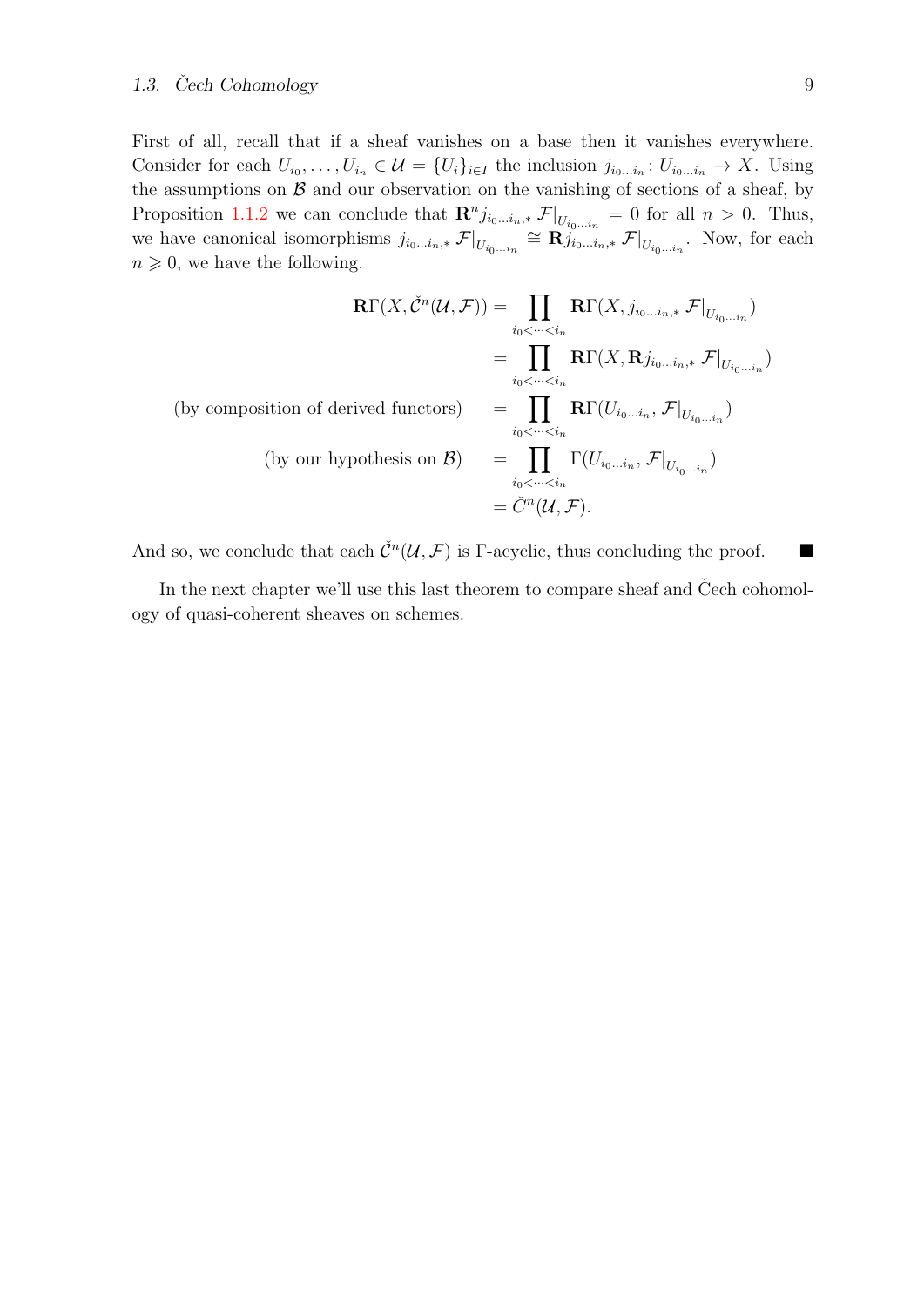First of all, recall that if a sheaf vanishes on a base then it vanishes everywhere. Consider for each  $U_{i_0}, \ldots, U_{i_n} \in \mathcal{U} = \{U_i\}_{i \in I}$  the inclusion  $j_{i_0 \ldots i_n} : U_{i_0 \ldots i_n} \to X$ . Using the assumptions on  $\mathcal B$  and our observation on the vanishing of sections of a sheaf, by Proposition [1.1.2](#page-12-2) we can conclude that  $\mathbf{R}^n j_{i_0...i_n,*}$   $\mathcal{F}|_{U_{i_0...i_n}} = 0$  for all  $n > 0$ . Thus, we have canonical isomorphisms  $j_{i_0...i_n,*}\mathcal{F}|_{U_{i_0...i_n}} \cong \mathbf{R}^{i_0...i_n}_{j_{i_0...i_n,*}}\mathcal{F}|_{U_{i_0...i_n}}$ . Now, for each  $n \geqslant 0$ , we have the following.

$$
\mathbf{R}\Gamma(X,\check{C}^n(\mathcal{U},\mathcal{F})) = \prod_{i_0 < \dots < i_n} \mathbf{R}\Gamma(X,j_{i_0\dots i_n,*} \mathcal{F}|_{U_{i_0\dots i_n}})
$$
\n
$$
= \prod_{i_0 < \dots < i_n} \mathbf{R}\Gamma(X,\mathbf{R}j_{i_0\dots i_n,*} \mathcal{F}|_{U_{i_0\dots i_n}})
$$
\n(by composition of derived functors) 
$$
= \prod_{i_0 < \dots < i_n} \mathbf{R}\Gamma(U_{i_0\dots i_n}, \mathcal{F}|_{U_{i_0\dots i_n}})
$$
\n(by our hypothesis on  $\mathcal{B}$ ) 
$$
= \prod_{i_0 < \dots < i_n} \Gamma(U_{i_0\dots i_n}, \mathcal{F}|_{U_{i_0\dots i_n}})
$$
\n
$$
= \check{C}^n(\mathcal{U}, \mathcal{F}).
$$

And so, we conclude that each  $\check{C}^n(\mathcal{U}, \mathcal{F})$  is Γ-acyclic, thus concluding the proof.

In the next chapter we'll use this last theorem to compare sheaf and  $\check{C}$ ech cohomology of quasi-coherent sheaves on schemes.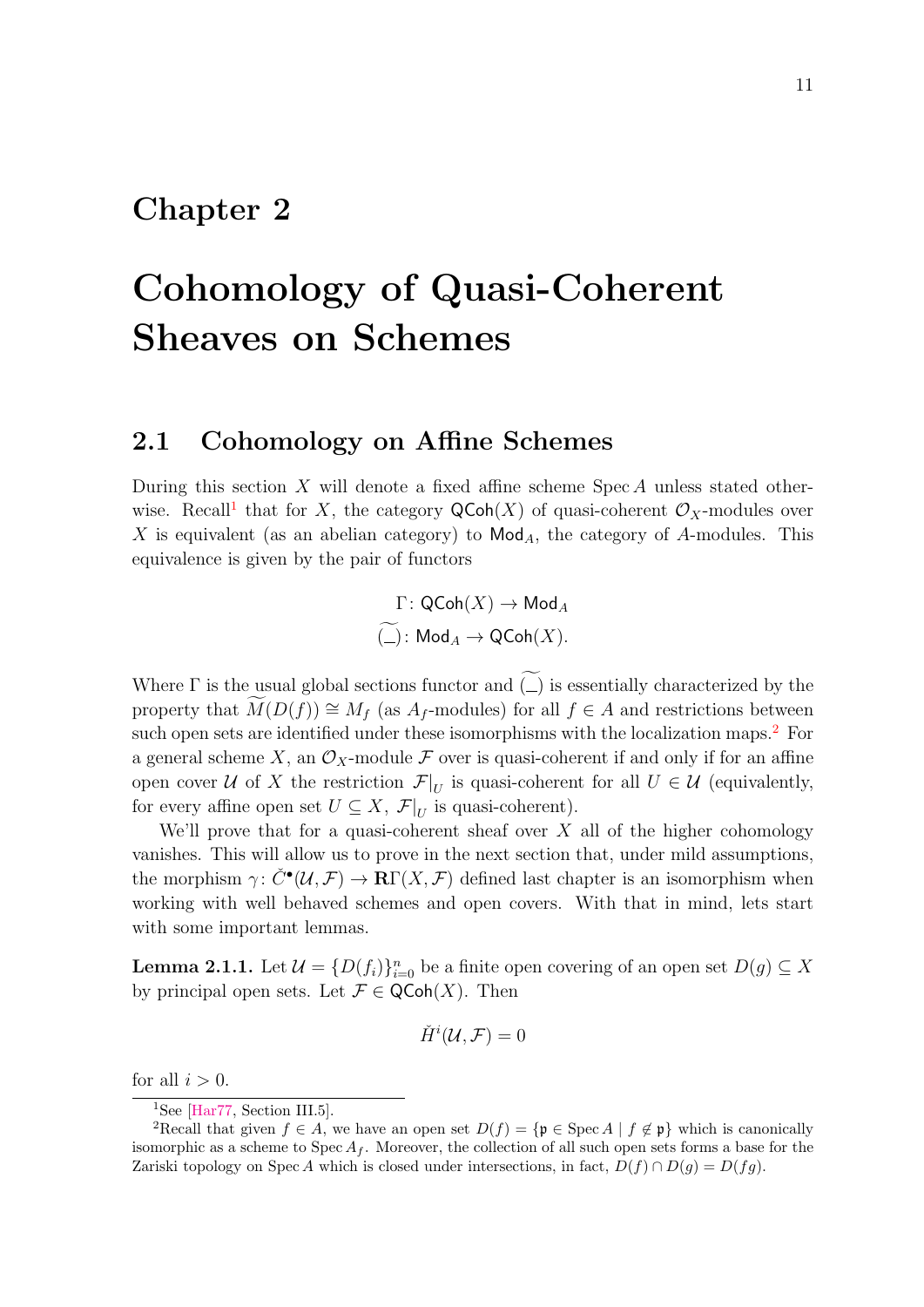### <span id="page-20-0"></span>Chapter 2

# Cohomology of Quasi-Coherent Sheaves on Schemes

#### <span id="page-20-1"></span>2.1 Cohomology on Affine Schemes

During this section  $X$  will denote a fixed affine scheme Spec  $A$  unless stated other-wise. Recall<sup>[1](#page-20-2)</sup> that for X, the category  $\mathsf{QCoh}(X)$  of quasi-coherent  $\mathcal{O}_X$ -modules over X is equivalent (as an abelian category) to  $\mathsf{Mod}_A$ , the category of A-modules. This equivalence is given by the pair of functors

$$
\Gamma\colon \mathsf{QCoh}(X) \to \mathsf{Mod}_A \widetilde{(\_)}\colon \mathsf{Mod}_A \to \mathsf{QCoh}(X).
$$

Where  $\Gamma$  is the usual global sections functor and  $\tilde{f}(\Gamma)$  is essentially characterized by the property that  $M(D(f)) \cong M_f$  (as  $A_f$ -modules) for all  $f \in A$  and restrictions between such open sets are identified under these isomorphisms with the localization maps.<sup>[2](#page-20-3)</sup> For a general scheme X, an  $\mathcal{O}_X$ -module F over is quasi-coherent if and only if for an affine open cover U of X the restriction  $\mathcal{F}|_U$  is quasi-coherent for all  $U \in \mathcal{U}$  (equivalently, for every affine open set  $U \subseteq X$ ,  $\mathcal{F}|_U$  is quasi-coherent).

We'll prove that for a quasi-coherent sheaf over  $X$  all of the higher cohomology vanishes. This will allow us to prove in the next section that, under mild assumptions, the morphism  $\gamma: \check{C}^{\bullet}(\mathcal{U}, \mathcal{F}) \to \mathbf{R}\Gamma(X, \mathcal{F})$  defined last chapter is an isomorphism when working with well behaved schemes and open covers. With that in mind, lets start with some important lemmas.

<span id="page-20-4"></span>**Lemma 2.1.1.** Let  $\mathcal{U} = \{D(f_i)\}_{i=0}^n$  be a finite open covering of an open set  $D(g) \subseteq X$ by principal open sets. Let  $\mathcal{F} \in \mathsf{QCoh}(X)$ . Then

$$
\check{H}^i(\mathcal{U},\mathcal{F})=0
$$

for all  $i > 0$ .

<span id="page-20-3"></span><span id="page-20-2"></span><sup>&</sup>lt;sup>1</sup>See [\[Har77,](#page-56-0) Section III.5].

<sup>&</sup>lt;sup>2</sup>Recall that given  $f \in A$ , we have an open set  $D(f) = \{ \mathfrak{p} \in \mathrm{Spec} A \mid f \notin \mathfrak{p} \}$  which is canonically isomorphic as a scheme to Spec  $A_f$ . Moreover, the collection of all such open sets forms a base for the Zariski topology on Spec A which is closed under intersections, in fact,  $D(f) \cap D(q) = D(fq)$ .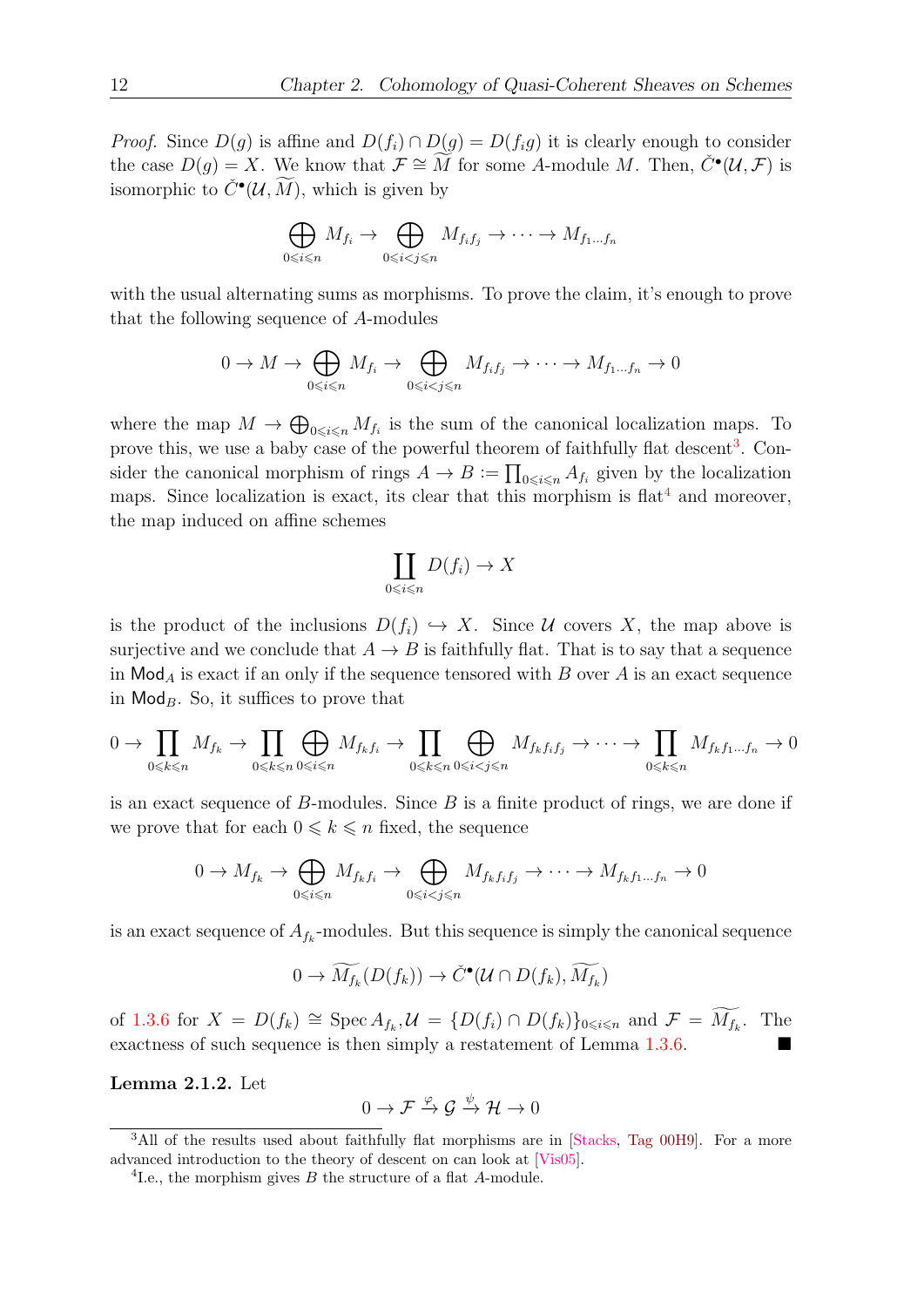*Proof.* Since  $D(g)$  is affine and  $D(f_i) \cap D(g) = D(f_i g)$  it is clearly enough to consider the case  $D(g) = X$ . We know that  $\mathcal{F} \cong \widetilde{M}$  for some A-module M. Then,  $\check{C}^{\bullet}(\mathcal{U}, \mathcal{F})$  is isomorphic to  $\check{C}^{\bullet}(\mathcal{U}, \widetilde{M})$ , which is given by

$$
\bigoplus_{0\leq i\leq n} M_{f_i} \to \bigoplus_{0\leq i
$$

with the usual alternating sums as morphisms. To prove the claim, it's enough to prove that the following sequence of A-modules

$$
0 \to M \to \bigoplus_{0 \leq i \leq n} M_{f_i} \to \bigoplus_{0 \leq i < j \leq n} M_{f_i f_j} \to \cdots \to M_{f_1 \dots f_n} \to 0
$$

where the map  $M \to \bigoplus_{0 \leq i \leq n} M_{f_i}$  is the sum of the canonical localization maps. To prove this, we use a baby case of the powerful theorem of faithfully flat descent<sup>[3](#page-21-0)</sup>. Consider the canonical morphism of rings  $A \to B := \prod_{0 \leq i \leq n} A_{f_i}$  given by the localization maps. Since localization is exact, its clear that this morphism is  $\text{flat}^4$  $\text{flat}^4$  and moreover, the map induced on affine schemes

$$
\coprod_{0 \leq i \leq n} D(f_i) \to X
$$

is the product of the inclusions  $D(f_i) \hookrightarrow X$ . Since U covers X, the map above is surjective and we conclude that  $A \to B$  is faithfully flat. That is to say that a sequence in  $\mathsf{Mod}_A$  is exact if an only if the sequence tensored with B over A is an exact sequence in  $\mathsf{Mod}_B$ . So, it suffices to prove that

$$
0 \to \prod_{0 \leq k \leq n} M_{f_k} \to \prod_{0 \leq k \leq n} \bigoplus_{0 \leq i \leq n} M_{f_k f_i} \to \prod_{0 \leq k \leq n} \bigoplus_{0 \leq i < j \leq n} M_{f_k f_i f_j} \to \cdots \to \prod_{0 \leq k \leq n} M_{f_k f_1 \dots f_n} \to 0
$$

is an exact sequence of  $B$ -modules. Since  $B$  is a finite product of rings, we are done if we prove that for each  $0 \leq k \leq n$  fixed, the sequence

$$
0 \to M_{f_k} \to \bigoplus_{0 \leq i \leq n} M_{f_k f_i} \to \bigoplus_{0 \leq i < j \leq n} M_{f_k f_i f_j} \to \cdots \to M_{f_k f_1 \dots f_n} \to 0
$$

is an exact sequence of  $A_{f_k}$ -modules. But this sequence is simply the canonical sequence

$$
0 \to \widetilde{M_{f_k}}(D(f_k)) \to \check{C}^\bullet(\mathcal{U} \cap D(f_k), \widetilde{M_{f_k}})
$$

of [1.3.6](#page-16-1) for  $X = D(f_k) \cong \operatorname{Spec} A_{f_k}, \mathcal{U} = \{D(f_i) \cap D(f_k)\}_{0 \leq i \leq n}$  and  $\mathcal{F} = \widetilde{M_{f_k}}$ . The exactness of such sequence is then simply a restatement of Lemma [1.3.6.](#page-16-1)

<span id="page-21-2"></span>Lemma 2.1.2. Let

$$
0 \to \mathcal{F} \xrightarrow{\varphi} \mathcal{G} \xrightarrow{\psi} \mathcal{H} \to 0
$$

<span id="page-21-0"></span><sup>&</sup>lt;sup>3</sup>All of the results used about faithfully flat morphisms are in [\[Stacks,](#page-57-5) [Tag 00H9\]](https://stacks.math.columbia.edu/tag/00H9). For a more advanced introduction to the theory of descent on can look at [\[Vis05\]](#page-57-6).

<span id="page-21-1"></span> ${}^{4}$ I.e., the morphism gives  $B$  the structure of a flat  $A$ -module.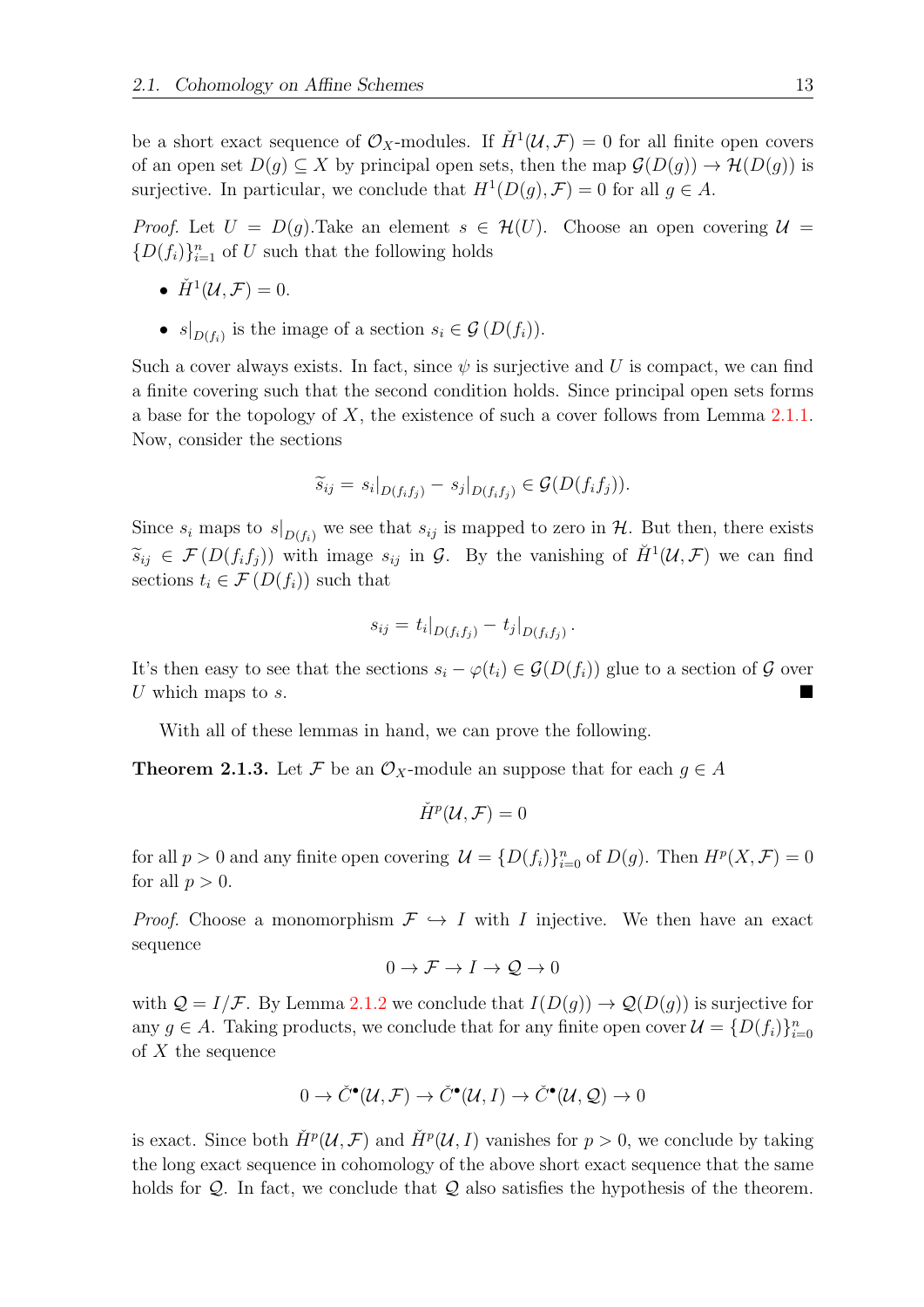be a short exact sequence of  $\mathcal{O}_X$ -modules. If  $\check{H}^1(\mathcal{U}, \mathcal{F}) = 0$  for all finite open covers of an open set  $D(q) \subset X$  by principal open sets, then the map  $\mathcal{G}(D(q)) \to \mathcal{H}(D(q))$  is surjective. In particular, we conclude that  $H^1(D(g), \mathcal{F}) = 0$  for all  $g \in A$ .

*Proof.* Let  $U = D(q)$ . Take an element  $s \in \mathcal{H}(U)$ . Choose an open covering  $\mathcal{U} =$  ${D(f_i)}_{i=1}^n$  of U such that the following holds

- $\check{H}^1(\mathcal{U}, \mathcal{F}) = 0.$
- $s|_{D(f_i)}$  is the image of a section  $s_i \in \mathcal{G}(D(f_i))$ .

Such a cover always exists. In fact, since  $\psi$  is surjective and U is compact, we can find a finite covering such that the second condition holds. Since principal open sets forms a base for the topology of  $X$ , the existence of such a cover follows from Lemma [2.1.1.](#page-20-4) Now, consider the sections

$$
\widetilde{s}_{ij} = s_i|_{D(f_i f_j)} - s_j|_{D(f_i f_j)} \in \mathcal{G}(D(f_i f_j)).
$$

Since  $s_i$  maps to  $s|_{D(f_i)}$  we see that  $s_{ij}$  is mapped to zero in  $H$ . But then, there exists  $\widetilde{s}_{ij} \in \mathcal{F}(D(f_i f_j))$  with image  $s_{ij}$  in  $\mathcal{G}$ . By the vanishing of  $\check{H}^1(\mathcal{U}, \mathcal{F})$  we can find sections  $t_i \in \mathcal{F}(D(f_i))$  such that

$$
s_{ij} = t_i |_{D(f_i f_j)} - t_j |_{D(f_i f_j)}.
$$

It's then easy to see that the sections  $s_i - \varphi(t_i) \in \mathcal{G}(D(f_i))$  glue to a section of  $\mathcal G$  over U which maps to  $s$ .

With all of these lemmas in hand, we can prove the following.

<span id="page-22-0"></span>**Theorem 2.1.3.** Let F be an  $\mathcal{O}_X$ -module an suppose that for each  $g \in A$ 

$$
\check{H}^p(\mathcal{U}, \mathcal{F}) = 0
$$

for all  $p > 0$  and any finite open covering  $\mathcal{U} = \{D(f_i)\}_{i=0}^n$  of  $D(g)$ . Then  $H^p(X, \mathcal{F}) = 0$ for all  $p > 0$ .

*Proof.* Choose a monomorphism  $\mathcal{F} \hookrightarrow I$  with I injective. We then have an exact sequence

$$
0 \to \mathcal{F} \to I \to \mathcal{Q} \to 0
$$

with  $Q = I/F$ . By Lemma [2.1.2](#page-21-2) we conclude that  $I(D(g)) \to Q(D(g))$  is surjective for any  $g \in A$ . Taking products, we conclude that for any finite open cover  $\mathcal{U} = \{D(f_i)\}_{i=0}^n$ of  $X$  the sequence

$$
0 \to \check{C}^{\bullet}(\mathcal{U}, \mathcal{F}) \to \check{C}^{\bullet}(\mathcal{U}, I) \to \check{C}^{\bullet}(\mathcal{U}, \mathcal{Q}) \to 0
$$

is exact. Since both  $\check{H}^p(\mathcal{U}, \mathcal{F})$  and  $\check{H}^p(\mathcal{U}, I)$  vanishes for  $p > 0$ , we conclude by taking the long exact sequence in cohomology of the above short exact sequence that the same holds for  $\mathcal{Q}$ . In fact, we conclude that  $\mathcal{Q}$  also satisfies the hypothesis of the theorem.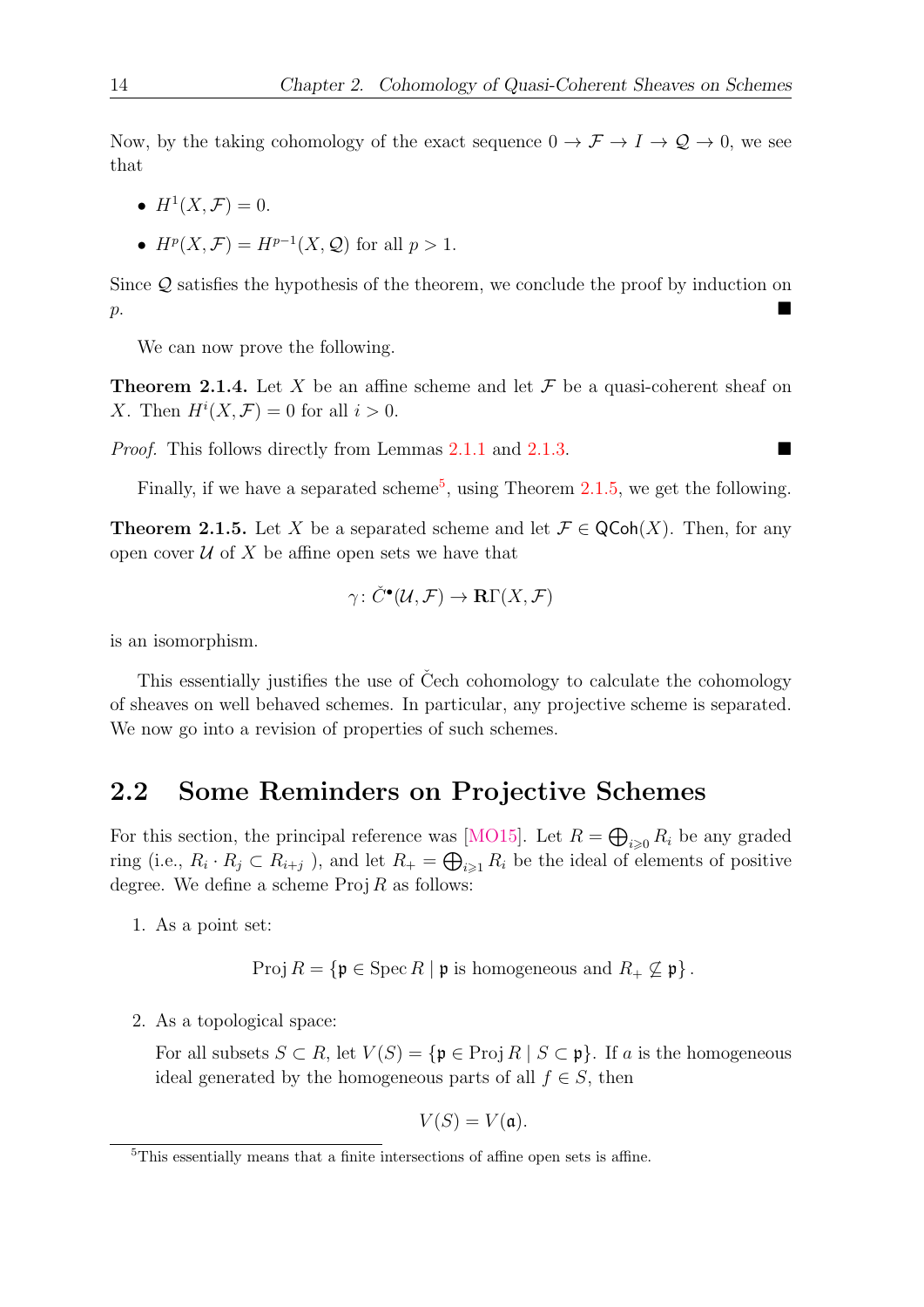Now, by the taking cohomology of the exact sequence  $0 \to \mathcal{F} \to I \to \mathcal{Q} \to 0$ , we see that

- $H^1(X, \mathcal{F}) = 0.$
- $H^p(X, \mathcal{F}) = H^{p-1}(X, \mathcal{Q})$  for all  $p > 1$ .

Since Q satisfies the hypothesis of the theorem, we conclude the proof by induction on  $p$ .

We can now prove the following.

**Theorem 2.1.4.** Let X be an affine scheme and let  $\mathcal F$  be a quasi-coherent sheaf on X. Then  $H^i(X,\mathcal{F})=0$  for all  $i>0$ .

Proof. This follows directly from Lemmas [2.1.1](#page-20-4) and [2.1.3.](#page-22-0)

Finally, if we have a separated scheme<sup>[5](#page-23-1)</sup>, using Theorem [2.1.5,](#page-23-2) we get the following.

<span id="page-23-2"></span>**Theorem 2.1.5.** Let X be a separated scheme and let  $\mathcal{F} \in \mathsf{QCoh}(X)$ . Then, for any open cover  $\mathcal U$  of X be affine open sets we have that

$$
\gamma \colon \check{C}^\bullet(\mathcal{U}, \mathcal{F}) \to \mathbf{R}\Gamma(X, \mathcal{F})
$$

is an isomorphism.

This essentially justifies the use of Čech cohomology to calculate the cohomology of sheaves on well behaved schemes. In particular, any projective scheme is separated. We now go into a revision of properties of such schemes.

#### <span id="page-23-0"></span>2.2 Some Reminders on Projective Schemes

For this section, the principal reference was [\[MO15\]](#page-57-1). Let  $R = \bigoplus_{i \geq 0} R_i$  be any graded ring (i.e.,  $R_i \cdot R_j \subset R_{i+j}$ ), and let  $R_+ = \bigoplus_{i \geq 1} R_i$  be the ideal of elements of positive degree. We define a scheme  $\text{Proj } R$  as follows:

1. As a point set:

$$
Proj R = \{ \mathfrak{p} \in \operatorname{Spec} R \mid \mathfrak{p} \text{ is homogeneous and } R_+ \nsubseteq \mathfrak{p} \}.
$$

2. As a topological space:

For all subsets  $S \subset R$ , let  $V(S) = {\mathfrak{p} \in \text{Proj } R \mid S \subset \mathfrak{p}}$ . If a is the homogeneous ideal generated by the homogeneous parts of all  $f \in S$ , then

$$
V(S) = V(\mathfrak{a}).
$$

<span id="page-23-1"></span><sup>5</sup>This essentially means that a finite intersections of affine open sets is affine.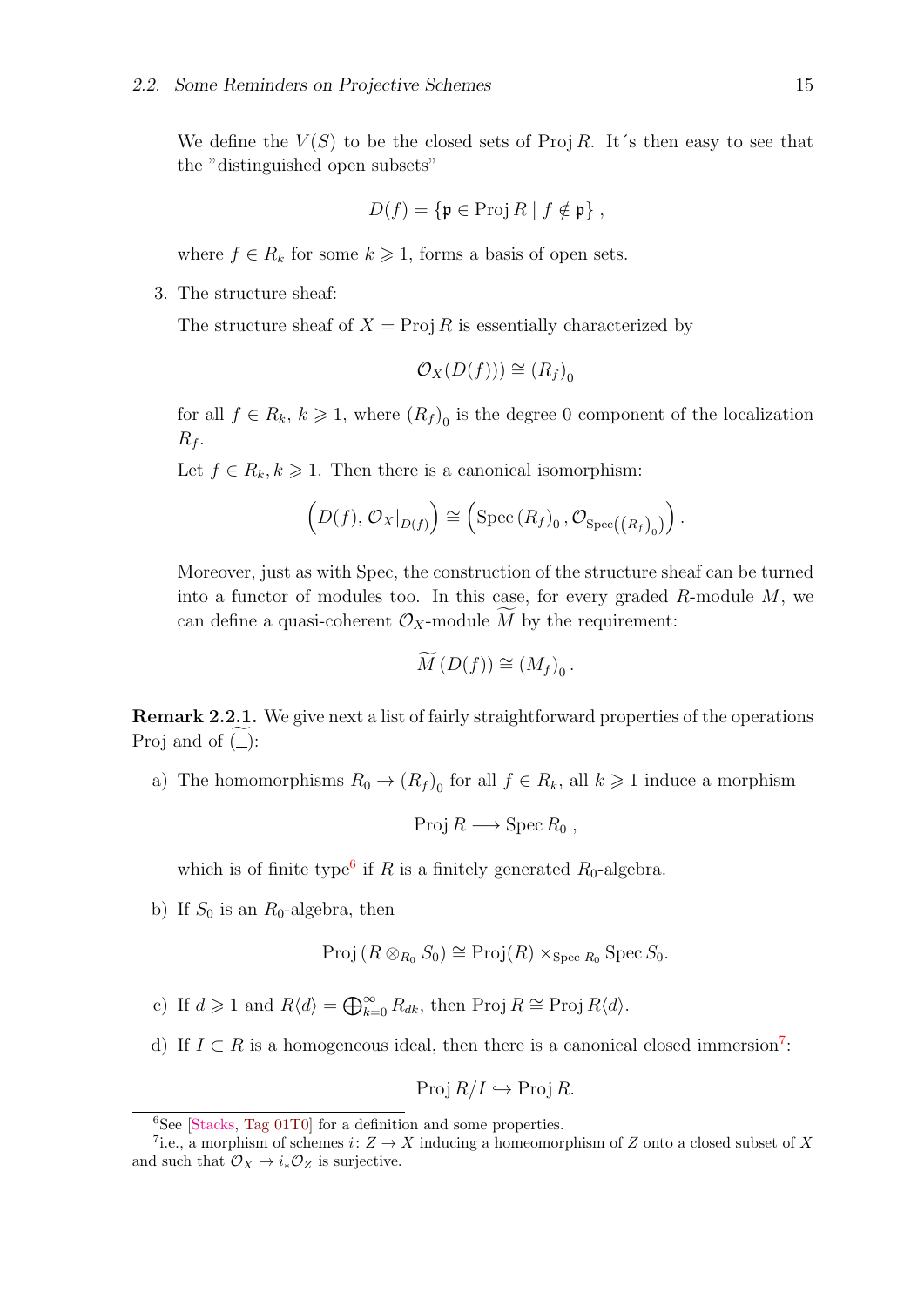We define the  $V(S)$  to be the closed sets of Proj R. It's then easy to see that the "distinguished open subsets"

$$
D(f) = \{ \mathfrak{p} \in \operatorname{Proj} R \mid f \notin \mathfrak{p} \},
$$

where  $f \in R_k$  for some  $k \geq 1$ , forms a basis of open sets.

3. The structure sheaf:

The structure sheaf of  $X = \text{Proj } R$  is essentially characterized by

$$
\mathcal{O}_X(D(f))) \cong (R_f)_0
$$

for all  $f \in R_k$ ,  $k \geq 1$ , where  $(R_f)_0$  is the degree 0 component of the localization  $R_f$ .

Let  $f \in R_k, k \geq 1$ . Then there is a canonical isomorphism:

$$
\left(D(f), \mathcal{O}_X|_{D(f)}\right) \cong \left(\text{Spec}\left(R_f\right)_0, \mathcal{O}_{\text{Spec}\left(\left(R_f\right)_0\right)}\right).
$$

Moreover, just as with Spec, the construction of the structure sheaf can be turned into a functor of modules too. In this case, for every graded  $R$ -module  $M$ , we can define a quasi-coherent  $\mathcal{O}_X$ -module M by the requirement:

$$
\widetilde{M}(D(f)) \cong (M_f)_0.
$$

**Remark 2.2.1.** We give next a list of fairly straightforward properties of the operations Proj and of  $(\_)$ :

a) The homomorphisms  $R_0 \to (R_f)_0$  for all  $f \in R_k$ , all  $k \geq 1$  induce a morphism

$$
Proj R \longrightarrow Spec R_0 ,
$$

which is of finite type<sup>[6](#page-24-0)</sup> if R is a finitely generated  $R_0$ -algebra.

b) If  $S_0$  is an  $R_0$ -algebra, then

$$
\mathrm{Proj} (R \otimes_{R_0} S_0) \cong \mathrm{Proj}(R) \times_{\mathrm{Spec} R_0} \mathrm{Spec} S_0.
$$

- c) If  $d \geq 1$  and  $R\langle d \rangle = \bigoplus_{k=0}^{\infty} R_{dk}$ , then Proj  $R \cong \text{Proj } R\langle d \rangle$ .
- d) If  $I \subset R$  is a homogeneous ideal, then there is a canonical closed immersion<sup>[7](#page-24-1)</sup>:

$$
Proj R/I \hookrightarrow Proj R.
$$

<span id="page-24-1"></span><span id="page-24-0"></span> ${}^{6}$ See [\[Stacks,](#page-57-5) [Tag 01T0\]](https://stacks.math.columbia.edu/tag/01T0) for a definition and some properties.

<sup>&</sup>lt;sup>7</sup>i.e., a morphism of schemes  $i: Z \to X$  inducing a homeomorphism of Z onto a closed subset of X and such that  $\mathcal{O}_X \to i_* \mathcal{O}_Z$  is surjective.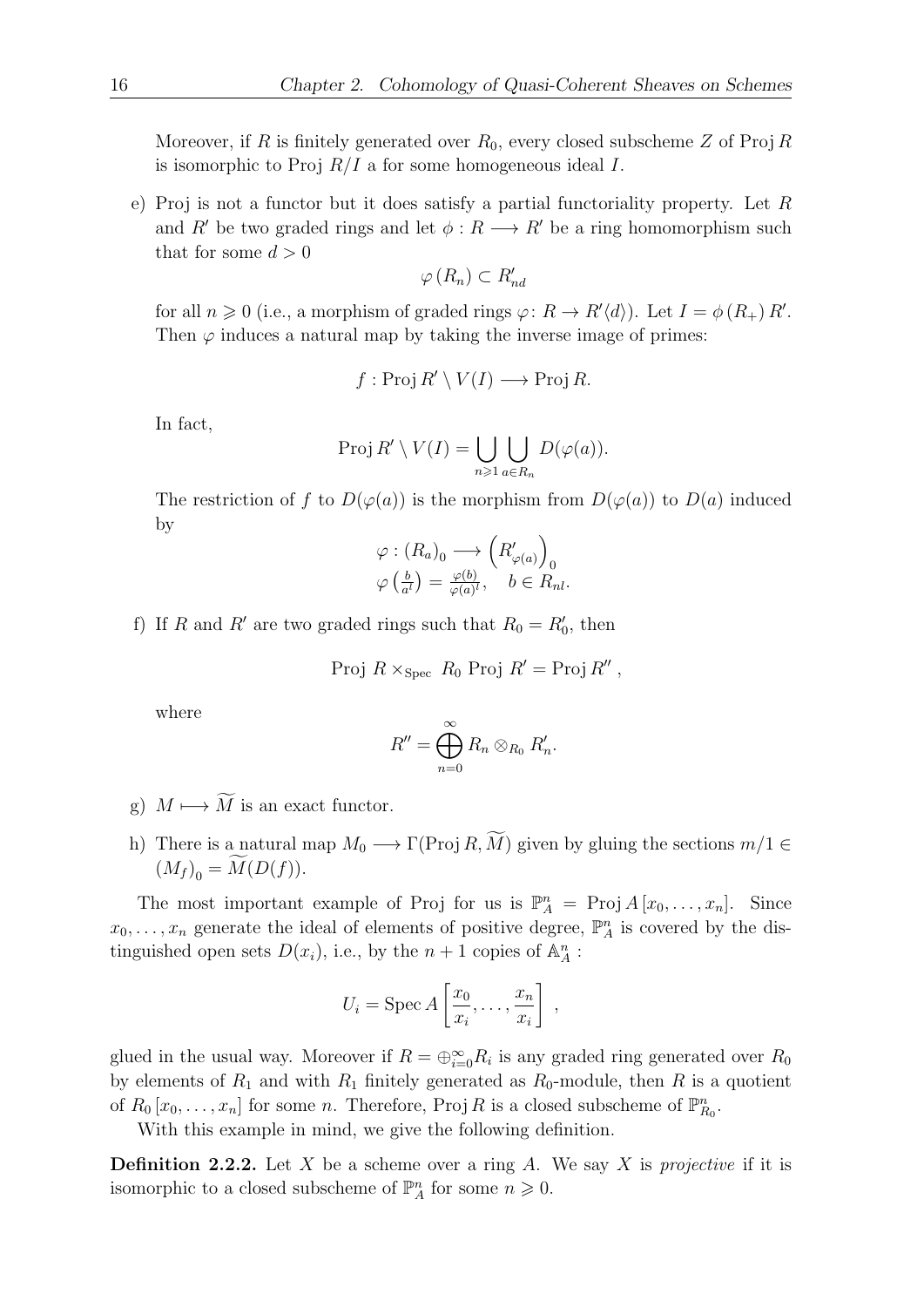Moreover, if R is finitely generated over  $R_0$ , every closed subscheme Z of Proj R is isomorphic to Proj  $R/I$  a for some homogeneous ideal I.

e) Proj is not a functor but it does satisfy a partial functoriality property. Let R and R' be two graded rings and let  $\phi: R \longrightarrow R'$  be a ring homomorphism such that for some  $d > 0$ 

$$
\varphi(R_n) \subset R'_{nd}
$$

for all  $n \geq 0$  (i.e., a morphism of graded rings  $\varphi: R \to R'\langle d \rangle$ ). Let  $I = \phi(R_+)R'$ . Then  $\varphi$  induces a natural map by taking the inverse image of primes:

$$
f: \text{Proj } R' \setminus V(I) \longrightarrow \text{Proj } R.
$$

In fact,

$$
Proj R' \setminus V(I) = \bigcup_{n \geq 1} \bigcup_{a \in R_n} D(\varphi(a)).
$$

The restriction of f to  $D(\varphi(a))$  is the morphism from  $D(\varphi(a))$  to  $D(a)$  induced by

$$
\varphi : (R_a)_0 \longrightarrow (R'_{\varphi(a)})_0
$$
  

$$
\varphi \left( \frac{b}{a^l} \right) = \frac{\varphi(b)}{\varphi(a)^l}, \quad b \in R_{nl}.
$$

f) If R and R' are two graded rings such that  $R_0 = R'_0$ , then

Proj 
$$
R \times_{Spec} R_0
$$
 Proj  $R' = Proj R''$ ,

where

$$
R''=\bigoplus_{n=0}^{\infty}R_n\otimes_{R_0}R'_n.
$$

- g)  $M \longmapsto \widetilde{M}$  is an exact functor.
- h) There is a natural map  $M_0 \longrightarrow \Gamma(\text{Proj } R, \widetilde{M})$  given by gluing the sections  $m/1 \in$  $(M_f)_{\substack{0}} = M(D(f)).$

The most important example of Proj for us is  $\mathbb{P}_{A}^{n} = \text{Proj } A[x_0, \ldots, x_n].$  Since  $x_0, \ldots, x_n$  generate the ideal of elements of positive degree,  $\mathbb{P}_A^n$  is covered by the distinguished open sets  $D(x_i)$ , i.e., by the  $n+1$  copies of  $\mathbb{A}_{\mathcal{A}}^n$ :

$$
U_i = \operatorname{Spec} A\left[\frac{x_0}{x_i}, \dots, \frac{x_n}{x_i}\right],
$$

glued in the usual way. Moreover if  $R = \bigoplus_{i=0}^{\infty} R_i$  is any graded ring generated over  $R_0$ by elements of  $R_1$  and with  $R_1$  finitely generated as  $R_0$ -module, then R is a quotient of  $R_0[x_0,\ldots,x_n]$  for some n. Therefore, Proj R is a closed subscheme of  $\mathbb{P}_{R_0}^n$ .

With this example in mind, we give the following definition.

**Definition 2.2.2.** Let X be a scheme over a ring A. We say X is projective if it is isomorphic to a closed subscheme of  $\mathbb{P}_{A}^{n}$  for some  $n \geq 0$ .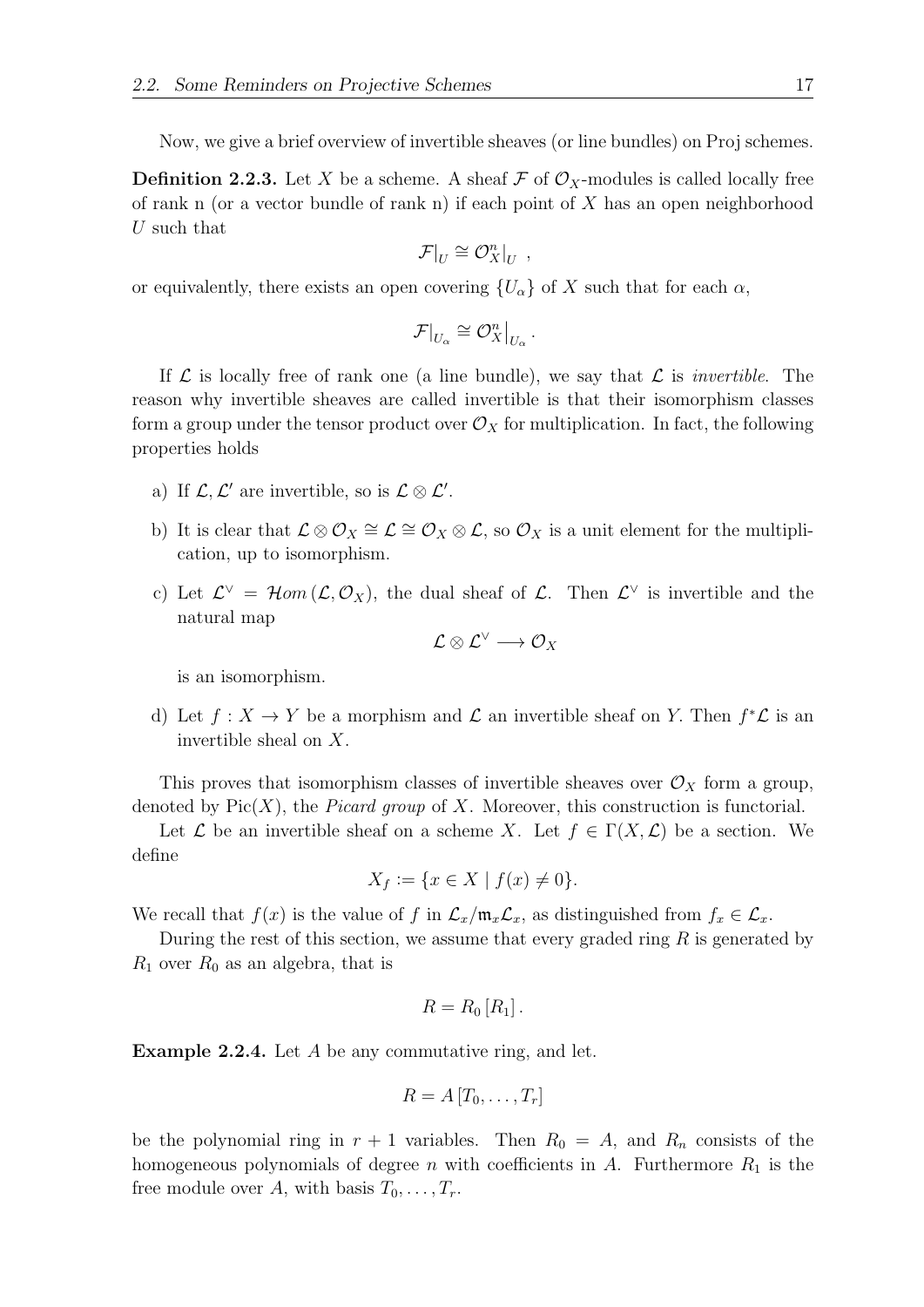Now, we give a brief overview of invertible sheaves (or line bundles) on Proj schemes.

**Definition 2.2.3.** Let X be a scheme. A sheaf F of  $\mathcal{O}_X$ -modules is called locally free of rank n (or a vector bundle of rank n) if each point of  $X$  has an open neighborhood U such that

$$
\mathcal{F}|_U \cong \mathcal{O}_X^n|_U ,
$$

or equivalently, there exists an open covering  $\{U_{\alpha}\}\$  of X such that for each  $\alpha$ ,

$$
\mathcal{F}|_{U_{\alpha}} \cong \mathcal{O}_X^n|_{U_{\alpha}}.
$$

If  $\mathcal L$  is locally free of rank one (a line bundle), we say that  $\mathcal L$  is *invertible*. The reason why invertible sheaves are called invertible is that their isomorphism classes form a group under the tensor product over  $\mathcal{O}_X$  for multiplication. In fact, the following properties holds

- a) If  $\mathcal{L}, \mathcal{L}'$  are invertible, so is  $\mathcal{L} \otimes \mathcal{L}'$ .
- b) It is clear that  $\mathcal{L} \otimes \mathcal{O}_X \cong \mathcal{L} \cong \mathcal{O}_X \otimes \mathcal{L}$ , so  $\mathcal{O}_X$  is a unit element for the multiplication, up to isomorphism.
- c) Let  $\mathcal{L}^{\vee} = \mathcal{H}om(\mathcal{L}, \mathcal{O}_X)$ , the dual sheaf of  $\mathcal{L}$ . Then  $\mathcal{L}^{\vee}$  is invertible and the natural map

$$
\mathcal{L}\otimes\mathcal{L}^\vee\longrightarrow\mathcal{O}_X
$$

is an isomorphism.

d) Let  $f: X \to Y$  be a morphism and  $\mathcal L$  an invertible sheaf on Y. Then  $f^* \mathcal L$  is an invertible sheal on X.

This proves that isomorphism classes of invertible sheaves over  $\mathcal{O}_X$  form a group, denoted by  $Pic(X)$ , the *Picard group* of X. Moreover, this construction is functorial.

Let  $\mathcal L$  be an invertible sheaf on a scheme X. Let  $f \in \Gamma(X, \mathcal L)$  be a section. We define

$$
X_f := \{ x \in X \mid f(x) \neq 0 \}.
$$

We recall that  $f(x)$  is the value of f in  $\mathcal{L}_x/\mathfrak{m}_x\mathcal{L}_x$ , as distinguished from  $f_x \in \mathcal{L}_x$ .

During the rest of this section, we assume that every graded ring  $R$  is generated by  $R_1$  over  $R_0$  as an algebra, that is

$$
R=R_0\left[R_1\right].
$$

Example 2.2.4. Let A be any commutative ring, and let.

$$
R = A[T_0, \ldots, T_r]
$$

be the polynomial ring in  $r + 1$  variables. Then  $R_0 = A$ , and  $R_n$  consists of the homogeneous polynomials of degree n with coefficients in A. Furthermore  $R_1$  is the free module over A, with basis  $T_0, \ldots, T_r$ .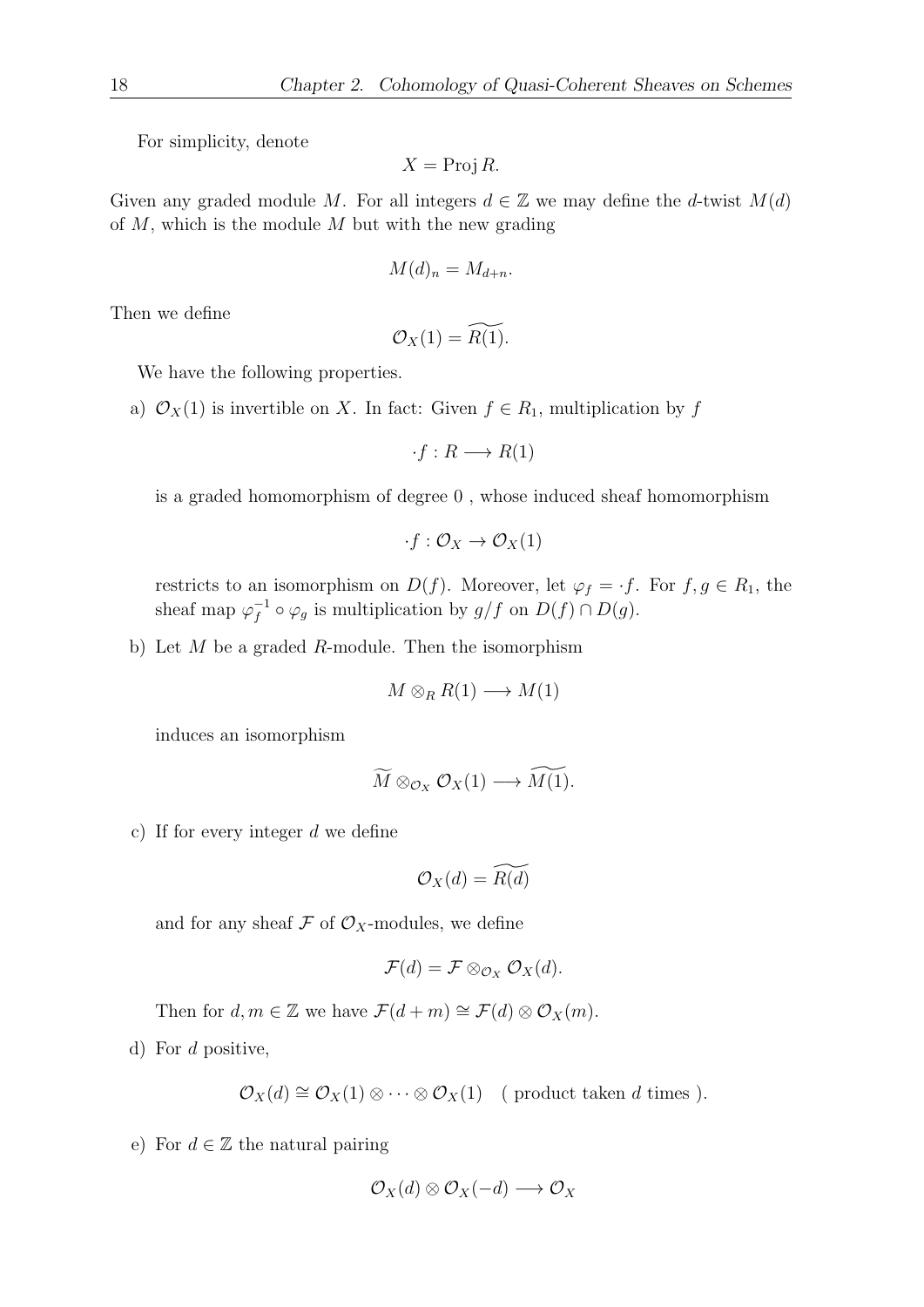For simplicity, denote

$$
X = \text{Proj } R.
$$

Given any graded module M. For all integers  $d \in \mathbb{Z}$  we may define the d-twist  $M(d)$ of  $M$ , which is the module  $M$  but with the new grading

$$
M(d)_n = M_{d+n}.
$$

Then we define

$$
\mathcal{O}_X(1) = \widetilde{R(1)}.
$$

We have the following properties.

a)  $\mathcal{O}_X(1)$  is invertible on X. In fact: Given  $f \in R_1$ , multiplication by f

$$
\cdot f: R \longrightarrow R(1)
$$

is a graded homomorphism of degree 0 , whose induced sheaf homomorphism

$$
\cdot f: \mathcal{O}_X \to \mathcal{O}_X(1)
$$

restricts to an isomorphism on  $D(f)$ . Moreover, let  $\varphi_f = f$ . For  $f, g \in R_1$ , the sheaf map  $\varphi_f^{-1}$  $f^{-1} \circ \varphi_g$  is multiplication by  $g/f$  on  $D(f) \cap D(g)$ .

b) Let  $M$  be a graded  $R$ -module. Then the isomorphism

$$
M \otimes_R R(1) \longrightarrow M(1)
$$

induces an isomorphism

$$
\widetilde{M}\otimes_{\mathcal{O}_X}\mathcal{O}_X(1)\longrightarrow \widetilde{M(1)}.
$$

c) If for every integer d we define

$$
\mathcal{O}_X(d) = \widetilde{R(d)}
$$

and for any sheaf  $\mathcal F$  of  $\mathcal O_X$ -modules, we define

$$
\mathcal{F}(d)=\mathcal{F}\otimes_{\mathcal{O}_X}\mathcal{O}_X(d).
$$

Then for  $d, m \in \mathbb{Z}$  we have  $\mathcal{F}(d+m) \cong \mathcal{F}(d) \otimes \mathcal{O}_X(m)$ .

d) For d positive,

$$
\mathcal{O}_X(d) \cong \mathcal{O}_X(1) \otimes \cdots \otimes \mathcal{O}_X(1) \quad (\text{ product taken } d \text{ times } ).
$$

e) For  $d \in \mathbb{Z}$  the natural pairing

$$
\mathcal{O}_X(d)\otimes \mathcal{O}_X(-d)\longrightarrow \mathcal{O}_X
$$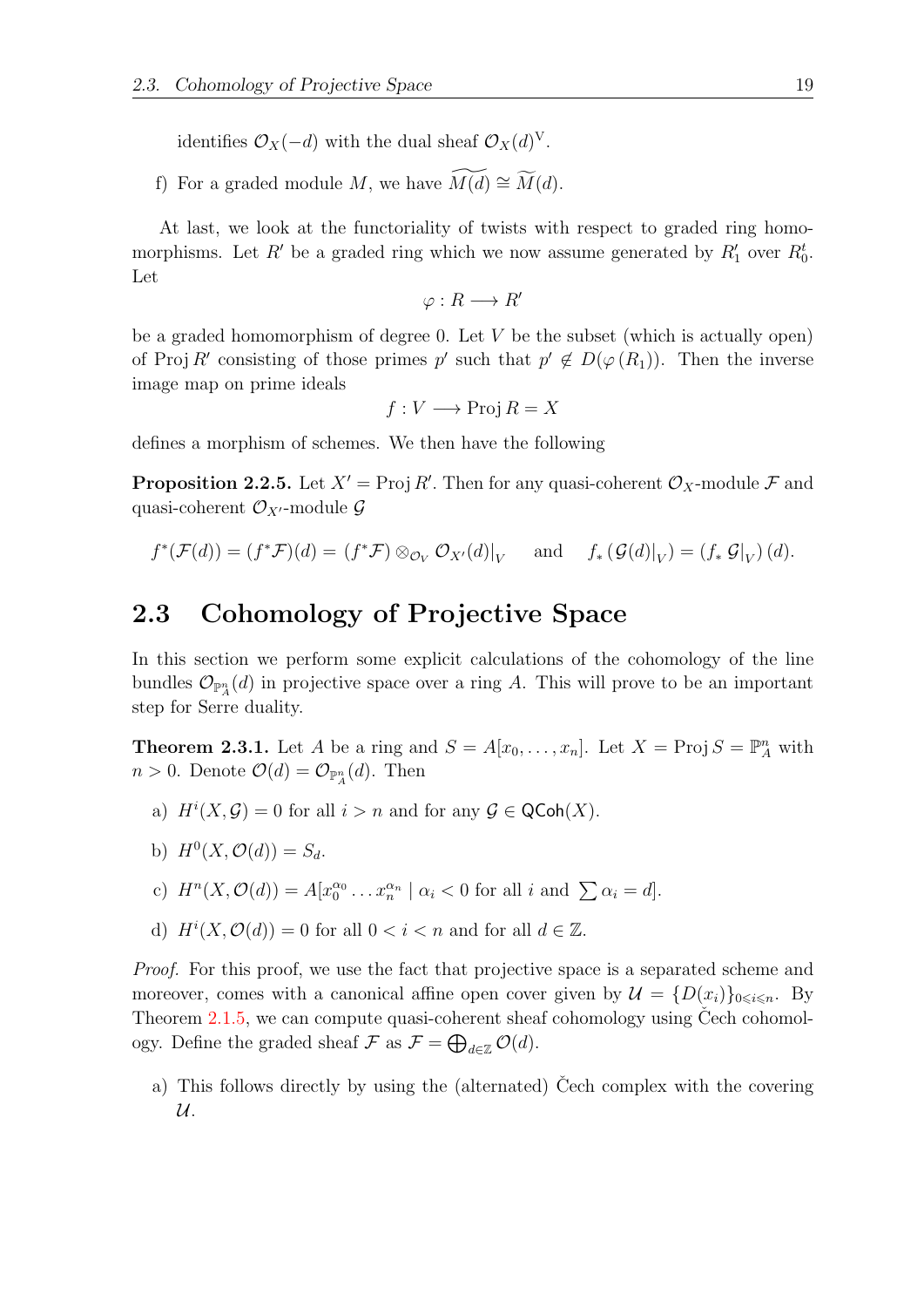identifies  $\mathcal{O}_X(-d)$  with the dual sheaf  $\mathcal{O}_X(d)^V$ .

f) For a graded module M, we have  $\widetilde{M(d)} \cong \widetilde{M}(d)$ .

At last, we look at the functoriality of twists with respect to graded ring homomorphisms. Let R' be a graded ring which we now assume generated by  $R'_1$  over  $R_0^t$ . Let

$$
\varphi: R \longrightarrow R'
$$

be a graded homomorphism of degree 0. Let  $V$  be the subset (which is actually open) of Proj R' consisting of those primes  $p'$  such that  $p' \notin D(\varphi(R_1))$ . Then the inverse image map on prime ideals

$$
f: V \longrightarrow \text{Proj } R = X
$$

defines a morphism of schemes. We then have the following

<span id="page-28-2"></span>**Proposition 2.2.5.** Let  $X' = \text{Proj } R'$ . Then for any quasi-coherent  $\mathcal{O}_X$ -module  $\mathcal{F}$  and quasi-coherent  $\mathcal{O}_{X'}$ -module  $\mathcal G$ 

$$
f^*(\mathcal{F}(d)) = (f^*\mathcal{F})(d) = (f^*\mathcal{F}) \otimes_{\mathcal{O}_V} \mathcal{O}_{X'}(d)|_V \quad \text{and} \quad f_*\left(\mathcal{G}(d)|_V\right) = (f_*\mathcal{G}|_V)(d).
$$

#### <span id="page-28-0"></span>2.3 Cohomology of Projective Space

In this section we perform some explicit calculations of the cohomology of the line bundles  $\mathcal{O}_{\mathbb{P}_{\mathcal{A}}^{n}}(d)$  in projective space over a ring A. This will prove to be an important step for Serre duality.

<span id="page-28-1"></span>**Theorem 2.3.1.** Let A be a ring and  $S = A[x_0, \ldots, x_n]$ . Let  $X = \text{Proj } S = \mathbb{P}_A^n$  with  $n > 0$ . Denote  $\mathcal{O}(d) = \mathcal{O}_{\mathbb{P}_A^n}(d)$ . Then

- a)  $H^i(X, \mathcal{G}) = 0$  for all  $i > n$  and for any  $\mathcal{G} \in \mathsf{QCoh}(X)$ .
- b)  $H^0(X, \mathcal{O}(d)) = S_d$ .
- c)  $H^n(X, \mathcal{O}(d)) = A[x_0^{\alpha_0} \dots x_n^{\alpha_n} \mid \alpha_i < 0 \text{ for all } i \text{ and } \sum \alpha_i = d].$
- d)  $H^i(X, \mathcal{O}(d)) = 0$  for all  $0 < i < n$  and for all  $d \in \mathbb{Z}$ .

Proof. For this proof, we use the fact that projective space is a separated scheme and moreover, comes with a canonical affine open cover given by  $\mathcal{U} = \{D(x_i)\}_{0 \le i \le n}$ . By Theorem  $2.1.5$ , we can compute quasi-coherent sheaf cohomology using Čech cohomology. Define the graded sheaf  $\mathcal F$  as  $\mathcal F = \bigoplus_{d \in \mathbb{Z}} \mathcal{O}(d)$ .

a) This follows directly by using the (alternated) Cech complex with the covering  $\mathcal{U}.$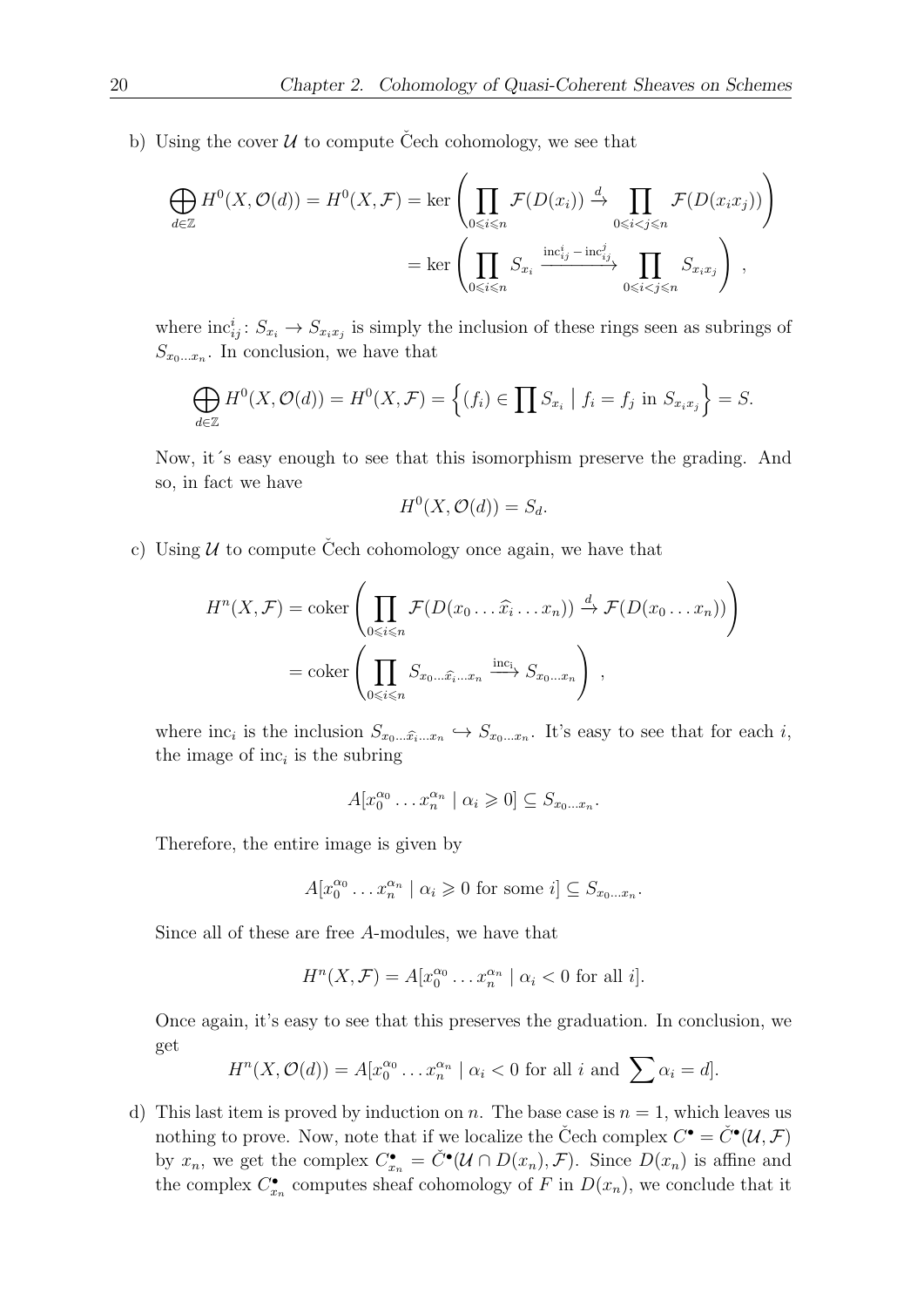b) Using the cover  $U$  to compute Cech cohomology, we see that

$$
\bigoplus_{d \in \mathbb{Z}} H^0(X, \mathcal{O}(d)) = H^0(X, \mathcal{F}) = \ker \left( \prod_{0 \le i \le n} \mathcal{F}(D(x_i)) \xrightarrow{d} \prod_{0 \le i < j \le n} \mathcal{F}(D(x_i x_j)) \right)
$$
\n
$$
= \ker \left( \prod_{0 \le i \le n} S_{x_i} \xrightarrow{\text{inc}_{ij}^i - \text{inc}_{ij}^j} \prod_{0 \le i < j \le n} S_{x_i x_j} \right),
$$

where  $\text{inc}_{ij}^i: S_{x_i} \to S_{x_ix_j}$  is simply the inclusion of these rings seen as subrings of  $S_{x_0...x_n}$ . In conclusion, we have that

$$
\bigoplus_{d\in\mathbb{Z}} H^0(X,\mathcal{O}(d))=H^0(X,\mathcal{F})=\left\{(f_i)\in\prod S_{x_i}\mid f_i=f_j\text{ in }S_{x_ix_j}\right\}=S.
$$

Now, it´s easy enough to see that this isomorphism preserve the grading. And so, in fact we have

$$
H^0(X, \mathcal{O}(d)) = S_d.
$$

c) Using  $U$  to compute Čech cohomology once again, we have that

$$
H^{n}(X, \mathcal{F}) = \operatorname{coker}\left(\prod_{0 \leq i \leq n} \mathcal{F}(D(x_{0} \dots \hat{x_{i}} \dots x_{n})) \xrightarrow{d} \mathcal{F}(D(x_{0} \dots x_{n}))\right)
$$

$$
= \operatorname{coker}\left(\prod_{0 \leq i \leq n} S_{x_{0} \dots \hat{x_{i}} \dots x_{n}} \xrightarrow{\operatorname{inc}_{i}} S_{x_{0} \dots x_{n}}\right),
$$

where  $\text{inc}_i$  is the inclusion  $S_{x_0 \dots \hat{x_i} \dots x_n} \hookrightarrow S_{x_0 \dots x_n}$ . It's easy to see that for each i, the image of  $inc<sub>i</sub>$  is the subring

$$
A[x_0^{\alpha_0} \dots x_n^{\alpha_n} \mid \alpha_i \geq 0] \subseteq S_{x_0 \dots x_n}.
$$

Therefore, the entire image is given by

$$
A[x_0^{\alpha_0} \dots x_n^{\alpha_n} \mid \alpha_i \geq 0 \text{ for some } i] \subseteq S_{x_0 \dots x_n}.
$$

Since all of these are free A-modules, we have that

$$
H^{n}(X,\mathcal{F}) = A[x_0^{\alpha_0} \dots x_n^{\alpha_n} \mid \alpha_i < 0 \text{ for all } i].
$$

Once again, it's easy to see that this preserves the graduation. In conclusion, we get

$$
H^{n}(X, \mathcal{O}(d)) = A[x_0^{\alpha_0} \dots x_n^{\alpha_n} \mid \alpha_i < 0 \text{ for all } i \text{ and } \sum \alpha_i = d].
$$

d) This last item is proved by induction on n. The base case is  $n = 1$ , which leaves us nothing to prove. Now, note that if we localize the Čech complex  $C^{\bullet} = \check{C}^{\bullet}(\mathcal{U}, \mathcal{F})$ by  $x_n$ , we get the complex  $C_{x_n}^{\bullet} = \check{C}^{\bullet}(\mathcal{U} \cap D(x_n), \mathcal{F})$ . Since  $D(x_n)$  is affine and the complex  $C_{x_n}^{\bullet}$  computes sheaf cohomology of F in  $D(x_n)$ , we conclude that it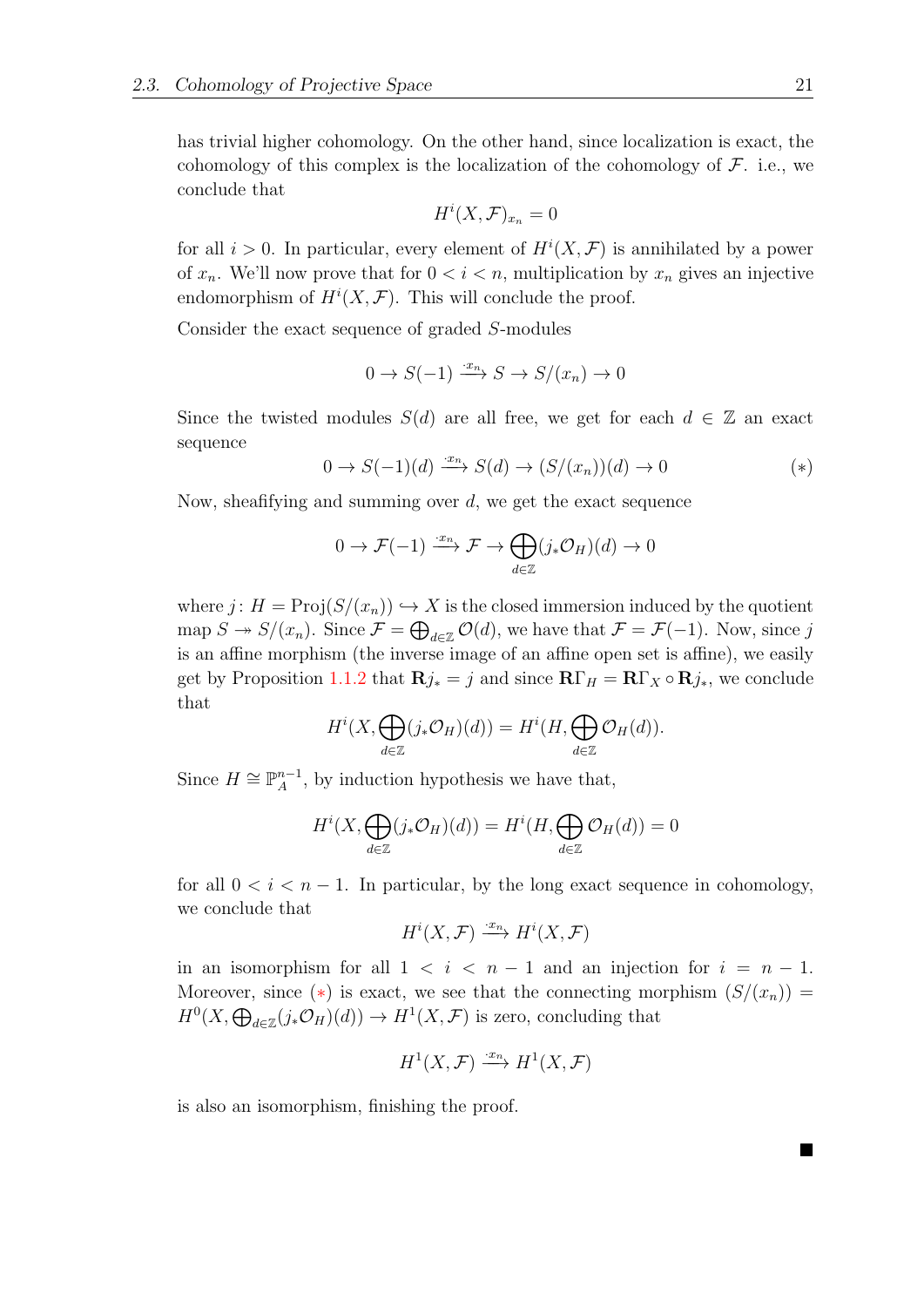has trivial higher cohomology. On the other hand, since localization is exact, the cohomology of this complex is the localization of the cohomology of  $\mathcal{F}$ . i.e., we conclude that

<span id="page-30-0"></span>
$$
H^i(X, \mathcal{F})_{x_n} = 0
$$

for all  $i > 0$ . In particular, every element of  $H^{i}(X, \mathcal{F})$  is annihilated by a power of  $x_n$ . We'll now prove that for  $0 < i < n$ , multiplication by  $x_n$  gives an injective endomorphism of  $H^i(X, \mathcal{F})$ . This will conclude the proof.

Consider the exact sequence of graded S-modules

$$
0 \to S(-1) \xrightarrow{\cdot x_n} S \to S/(x_n) \to 0
$$

Since the twisted modules  $S(d)$  are all free, we get for each  $d \in \mathbb{Z}$  an exact sequence

$$
0 \to S(-1)(d) \xrightarrow{\cdot x_n} S(d) \to (S/(x_n))(d) \to 0 \tag{*}
$$

Now, sheafifying and summing over d, we get the exact sequence

$$
0 \to \mathcal{F}(-1) \xrightarrow{\cdot x_n} \mathcal{F} \to \bigoplus_{d \in \mathbb{Z}} (j_* \mathcal{O}_H)(d) \to 0
$$

where  $j: H = \text{Proj}(S/(x_n)) \hookrightarrow X$  is the closed immersion induced by the quotient map  $S \to S/(x_n)$ . Since  $\mathcal{F} = \bigoplus_{d \in \mathbb{Z}} \mathcal{O}(d)$ , we have that  $\mathcal{F} = \mathcal{F}(-1)$ . Now, since j is an affine morphism (the inverse image of an affine open set is affine), we easily get by Proposition [1.1.2](#page-12-2) that  $\mathbf{R}j_* = j$  and since  $\mathbf{R}\Gamma_H = \mathbf{R}\Gamma_X \circ \mathbf{R}j_*$ , we conclude that

$$
H^i(X, \bigoplus_{d \in \mathbb{Z}} (j_* \mathcal{O}_H)(d)) = H^i(H, \bigoplus_{d \in \mathbb{Z}} \mathcal{O}_H(d)).
$$

Since  $H \cong \mathbb{P}_{A}^{n-1}$  $_{A}^{n-1}$ , by induction hypothesis we have that,

$$
H^i(X, \bigoplus_{d \in \mathbb{Z}} (j_* \mathcal{O}_H)(d)) = H^i(H, \bigoplus_{d \in \mathbb{Z}} \mathcal{O}_H(d)) = 0
$$

for all  $0 < i < n - 1$ . In particular, by the long exact sequence in cohomology, we conclude that

$$
H^i(X, \mathcal{F}) \xrightarrow{\cdot x_n} H^i(X, \mathcal{F})
$$

in an isomorphism for all  $1 < i < n-1$  and an injection for  $i = n-1$ . Moreover, since (\*) is exact, we see that the connecting morphism  $(S/(x_n))$  =  $H^0(X, \bigoplus_{d \in \mathbb{Z}} (j_*\mathcal{O}_H)(d)) \to H^1(X, \mathcal{F})$  is zero, concluding that

$$
H^1(X, \mathcal{F}) \xrightarrow{\cdot x_n} H^1(X, \mathcal{F})
$$

is also an isomorphism, finishing the proof.

■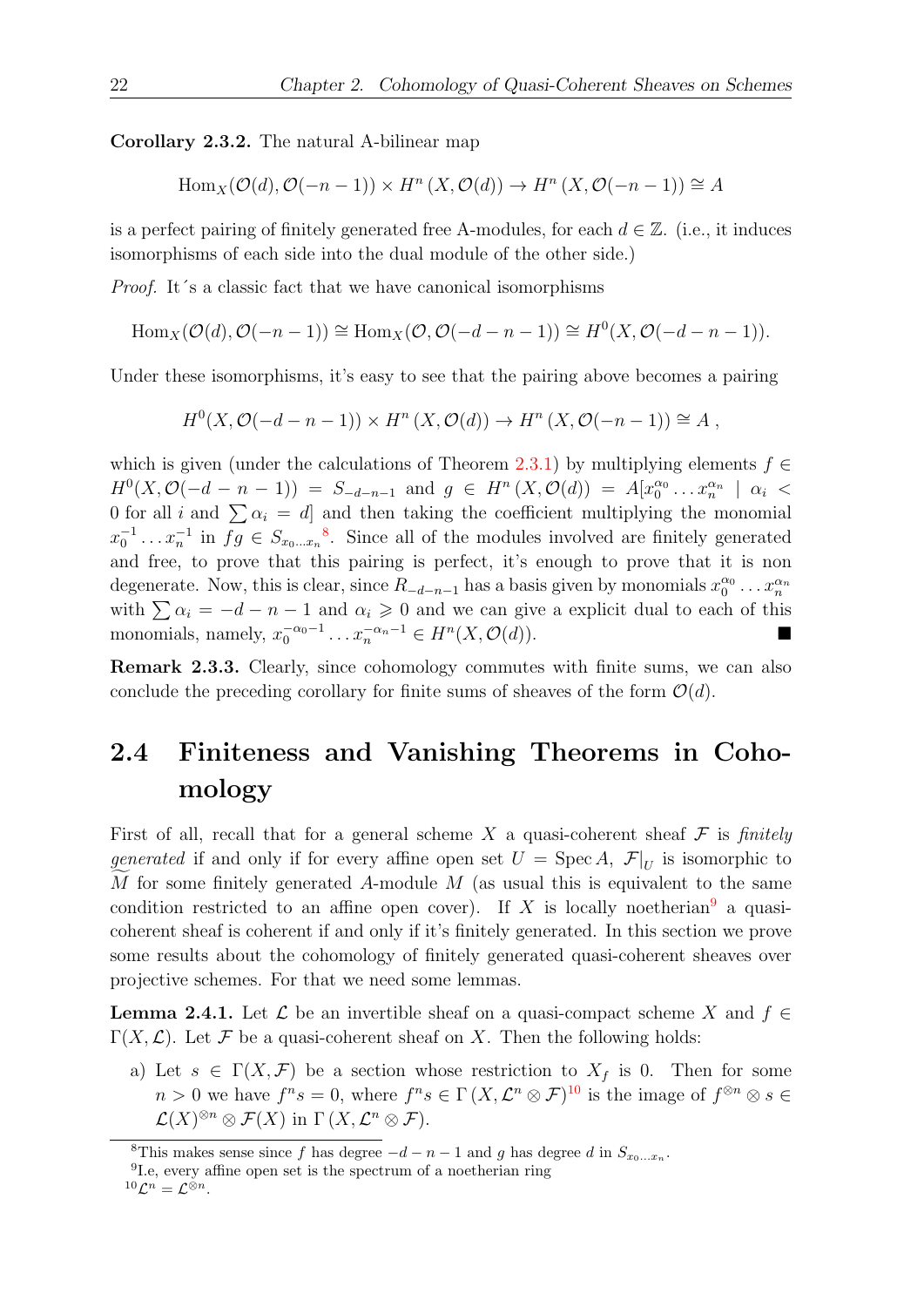<span id="page-31-5"></span>Corollary 2.3.2. The natural A-bilinear map

$$
Hom_X(\mathcal{O}(d), \mathcal{O}(-n-1)) \times H^n(X, \mathcal{O}(d)) \to H^n(X, \mathcal{O}(-n-1)) \cong A
$$

is a perfect pairing of finitely generated free A-modules, for each  $d \in \mathbb{Z}$ . (i.e., it induces isomorphisms of each side into the dual module of the other side.)

Proof. It´s a classic fact that we have canonical isomorphisms

$$
\operatorname{Hom}_{X}(\mathcal{O}(d), \mathcal{O}(-n-1)) \cong \operatorname{Hom}_{X}(\mathcal{O}, \mathcal{O}(-d-n-1)) \cong H^{0}(X, \mathcal{O}(-d-n-1)).
$$

Under these isomorphisms, it's easy to see that the pairing above becomes a pairing

$$
H^{0}(X, \mathcal{O}(-d - n - 1)) \times H^{n}(X, \mathcal{O}(d)) \to H^{n}(X, \mathcal{O}(-n - 1)) \cong A,
$$

which is given (under the calculations of Theorem [2.3.1\)](#page-28-1) by multiplying elements  $f \in$  $H^0(X, \mathcal{O}(-d - n - 1)) = S_{-d-n-1}$  and  $g \in H^n(X, \mathcal{O}(d)) = A[x_0^{\alpha_0} \dots x_n^{\alpha_n}] \alpha_i$ 0 for all i and  $\sum \alpha_i = d$  and then taking the coefficient multiplying the monomial  $x_0^{-1} \ldots x_n^{-1}$  in  $fg \in S_{x_0 \ldots x_n}$ <sup>[8](#page-31-1)</sup>. Since all of the modules involved are finitely generated and free, to prove that this pairing is perfect, it's enough to prove that it is non degenerate. Now, this is clear, since  $R_{-d-n-1}$  has a basis given by monomials  $x_0^{\alpha_0} \dots x_n^{\alpha_n}$ with  $\sum \alpha_i = -d - n - 1$  and  $\alpha_i \geq 0$  and we can give a explicit dual to each of this monomials, namely,  $x_0^{-\alpha_0-1} \dots x_n^{-\alpha_n-1} \in H^n(X, \mathcal{O}(d)).$ 

Remark 2.3.3. Clearly, since cohomology commutes with finite sums, we can also conclude the preceding corollary for finite sums of sheaves of the form  $\mathcal{O}(d)$ .

### <span id="page-31-0"></span>2.4 Finiteness and Vanishing Theorems in Cohomology

First of all, recall that for a general scheme X a quasi-coherent sheaf  $\mathcal F$  is finitely generated if and only if for every affine open set  $U = \text{Spec } A, \mathcal{F}|_U$  is isomorphic to M for some finitely generated A-module  $M$  (as usual this is equivalent to the same condition restricted to an affine open cover). If X is locally noetherian<sup>[9](#page-31-2)</sup> a quasicoherent sheaf is coherent if and only if it's finitely generated. In this section we prove some results about the cohomology of finitely generated quasi-coherent sheaves over projective schemes. For that we need some lemmas.

<span id="page-31-4"></span>**Lemma 2.4.1.** Let  $\mathcal{L}$  be an invertible sheaf on a quasi-compact scheme X and  $f \in$  $\Gamma(X,\mathcal{L})$ . Let F be a quasi-coherent sheaf on X. Then the following holds:

a) Let  $s \in \Gamma(X, \mathcal{F})$  be a section whose restriction to  $X_f$  is 0. Then for some  $n > 0$  we have  $f^n s = 0$ , where  $f^n s \in \Gamma(X, \mathcal{L}^n \otimes \mathcal{F})^{10}$  $f^n s \in \Gamma(X, \mathcal{L}^n \otimes \mathcal{F})^{10}$  $f^n s \in \Gamma(X, \mathcal{L}^n \otimes \mathcal{F})^{10}$  is the image of  $f^{\otimes n} \otimes s \in \mathcal{L}$  $\mathcal{L}(X)^{\otimes n} \otimes \mathcal{F}(X)$  in  $\Gamma(X, \mathcal{L}^n \otimes \mathcal{F}).$ 

<span id="page-31-1"></span><sup>&</sup>lt;sup>8</sup>This makes sense since f has degree  $-d-n-1$  and g has degree d in  $S_{x_0...x_n}$ .

<span id="page-31-2"></span><sup>9</sup> I.e, every affine open set is the spectrum of a noetherian ring

<span id="page-31-3"></span> $^{10}\mathcal{L}^n=\mathcal{L}^{\otimes n}.$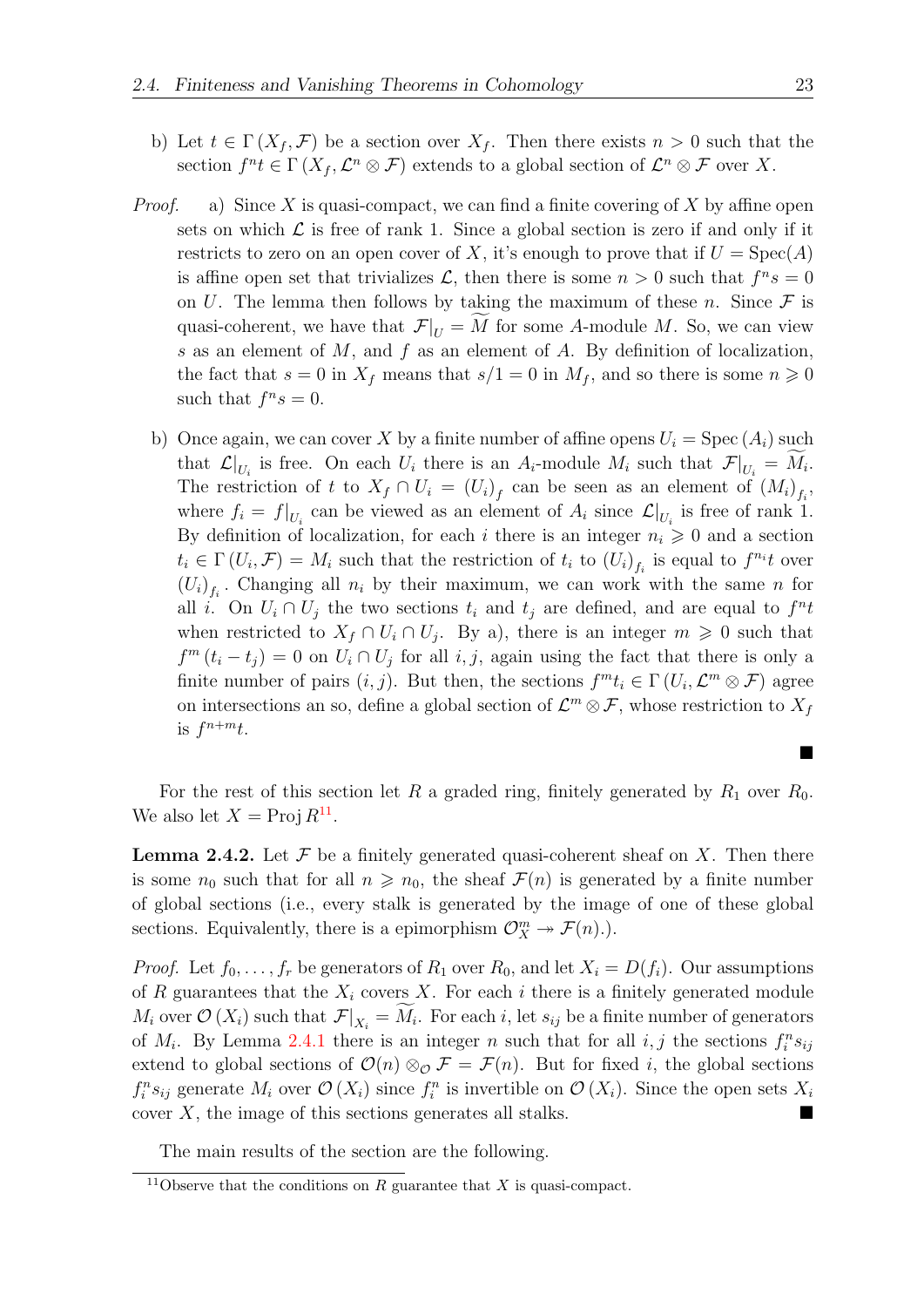- b) Let  $t \in \Gamma(X_f, \mathcal{F})$  be a section over  $X_f$ . Then there exists  $n > 0$  such that the section  $f^n t \in \Gamma(X_f, \mathcal{L}^n \otimes \mathcal{F})$  extends to a global section of  $\mathcal{L}^n \otimes \mathcal{F}$  over X.
- *Proof.* a) Since X is quasi-compact, we can find a finite covering of X by affine open sets on which  $\mathcal L$  is free of rank 1. Since a global section is zero if and only if it restricts to zero on an open cover of X, it's enough to prove that if  $U = Spec(A)$ is affine open set that trivializes  $\mathcal{L}$ , then there is some  $n > 0$  such that  $f^n s = 0$ on U. The lemma then follows by taking the maximum of these n. Since  $\mathcal F$  is quasi-coherent, we have that  $\mathcal{F}|_U = M$  for some A-module M. So, we can view s as an element of  $M$ , and  $f$  as an element of  $A$ . By definition of localization, the fact that  $s = 0$  in  $X_f$  means that  $s/1 = 0$  in  $M_f$ , and so there is some  $n \geq 0$ such that  $f^n s = 0$ .
	- b) Once again, we can cover X by a finite number of affine opens  $U_i = \text{Spec} (A_i)$  such that  $\mathcal{L}|_{U_i}$  is free. On each  $U_i$  there is an  $A_i$ -module  $M_i$  such that  $\mathcal{F}|_{U_i} = M_i$ . The restriction of t to  $X_f \cap U_i = (U_i)_f$  can be seen as an element of  $(M_i)_{f_i}$ , where  $f_i = f|_{U_i}$  can be viewed as an element of  $A_i$  since  $\mathcal{L}|_{U_i}$  is free of rank 1. By definition of localization, for each i there is an integer  $n_i \geq 0$  and a section  $t_i \in \Gamma(U_i, \mathcal{F}) = M_i$  such that the restriction of  $t_i$  to  $(U_i)_{f_i}$  is equal to  $f^{n_i}t$  over  $(U_i)_{f_i}$ . Changing all  $n_i$  by their maximum, we can work with the same n for all i. On  $U_i \cap U_j$  the two sections  $t_i$  and  $t_j$  are defined, and are equal to  $f^n t$ when restricted to  $X_f \cap U_i \cap U_j$ . By a), there is an integer  $m \geq 0$  such that  $f^{m}(t_{i}-t_{j})=0$  on  $U_{i}\cap U_{j}$  for all  $i,j$ , again using the fact that there is only a finite number of pairs  $(i, j)$ . But then, the sections  $f^{m}t_{i} \in \Gamma(U_{i}, \mathcal{L}^{m} \otimes \mathcal{F})$  agree on intersections an so, define a global section of  $\mathcal{L}^m \otimes \mathcal{F}$ , whose restriction to  $X_f$ is  $f^{n+m}t$ .

For the rest of this section let R a graded ring, finitely generated by  $R_1$  over  $R_0$ . We also let  $X = \text{Proj } R^{11}$  $X = \text{Proj } R^{11}$  $X = \text{Proj } R^{11}$ .

<span id="page-32-1"></span>**Lemma 2.4.2.** Let  $\mathcal F$  be a finitely generated quasi-coherent sheaf on  $X$ . Then there is some  $n_0$  such that for all  $n \geq n_0$ , the sheaf  $\mathcal{F}(n)$  is generated by a finite number of global sections (i.e., every stalk is generated by the image of one of these global sections. Equivalently, there is a epimorphism  $\mathcal{O}_X^m \to \mathcal{F}(n)$ .

*Proof.* Let  $f_0, \ldots, f_r$  be generators of  $R_1$  over  $R_0$ , and let  $X_i = D(f_i)$ . Our assumptions of R guarantees that the  $X_i$  covers X. For each i there is a finitely generated module  $M_i$  over  $\mathcal{O}(X_i)$  such that  $\mathcal{F}|_{X_i} = M_i$ . For each i, let  $s_{ij}$  be a finite number of generators of  $M_i$ . By Lemma [2](#page-31-4).4.1 there is an integer n such that for all  $i, j$  the sections  $f_i^n s_{ij}$ extend to global sections of  $\mathcal{O}(n) \otimes_{\mathcal{O}} \mathcal{F} = \mathcal{F}(n)$ . But for fixed *i*, the global sections  $f_i^n s_{ij}$  generate  $M_i$  over  $\mathcal{O}(X_i)$  since  $f_i^n$  is invertible on  $\mathcal{O}(X_i)$ . Since the open sets  $X_i$ cover  $X$ , the image of this sections generates all stalks.

The main results of the section are the following.

■

<span id="page-32-0"></span><sup>&</sup>lt;sup>11</sup>Observe that the conditions on R guarantee that X is quasi-compact.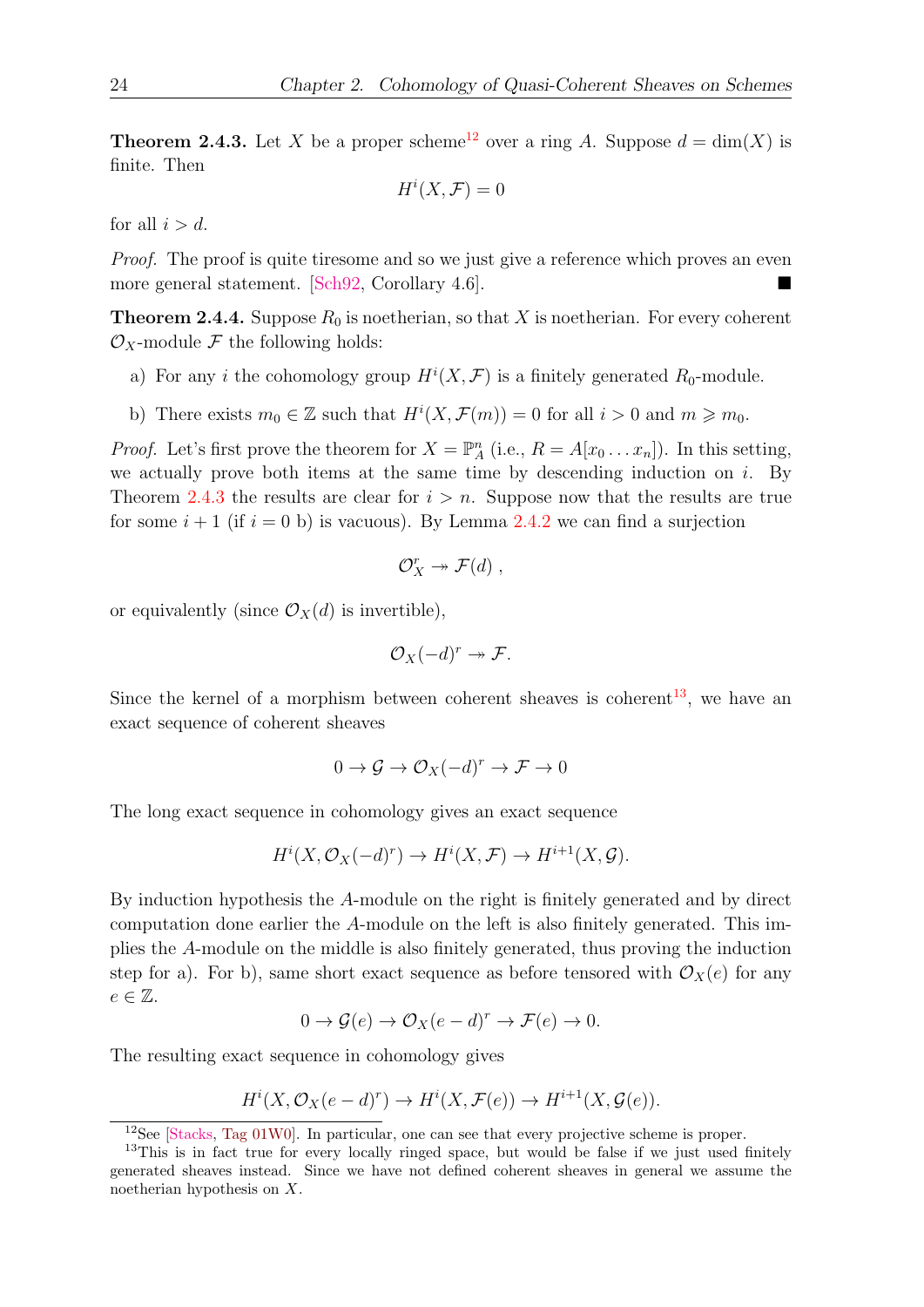<span id="page-33-1"></span>**Theorem 2.4.3.** Let X be a proper scheme<sup>[12](#page-33-0)</sup> over a ring A. Suppose  $d = \dim(X)$  is finite. Then

$$
H^i(X, \mathcal{F}) = 0
$$

for all  $i > d$ .

Proof. The proof is quite tiresome and so we just give a reference which proves an even more general statement.  $\lbrack \text{Sch92}, \text{Corollary } 4.6 \rbrack$ .

<span id="page-33-3"></span>**Theorem 2.4.4.** Suppose  $R_0$  is noetherian, so that X is noetherian. For every coherent  $\mathcal{O}_X$ -module F the following holds:

- a) For any *i* the cohomology group  $H^i(X, \mathcal{F})$  is a finitely generated  $R_0$ -module.
- b) There exists  $m_0 \in \mathbb{Z}$  such that  $H^i(X, \mathcal{F}(m)) = 0$  for all  $i > 0$  and  $m \geq m_0$ .

*Proof.* Let's first prove the theorem for  $X = \mathbb{P}_{A}^{n}$  (i.e.,  $R = A[x_0 \dots x_n]$ ). In this setting, we actually prove both items at the same time by descending induction on  $i$ . By Theorem [2.4.3](#page-33-1) the results are clear for  $i > n$ . Suppose now that the results are true for some  $i + 1$  (if  $i = 0$  b) is vacuous). By Lemma [2.4.2](#page-32-1) we can find a surjection

$$
\mathcal{O}_X^r \twoheadrightarrow \mathcal{F}(d) ,
$$

or equivalently (since  $\mathcal{O}_X(d)$  is invertible),

$$
\mathcal{O}_X(-d)^r \twoheadrightarrow \mathcal{F}.
$$

Since the kernel of a morphism between coherent sheaves is coherent<sup>[13](#page-33-2)</sup>, we have an exact sequence of coherent sheaves

$$
0\to \mathcal{G}\to \mathcal{O}_X(-d)^r\to \mathcal{F}\to 0
$$

The long exact sequence in cohomology gives an exact sequence

$$
H^i(X, \mathcal{O}_X(-d)^r) \to H^i(X, \mathcal{F}) \to H^{i+1}(X, \mathcal{G}).
$$

By induction hypothesis the A-module on the right is finitely generated and by direct computation done earlier the A-module on the left is also finitely generated. This implies the A-module on the middle is also finitely generated, thus proving the induction step for a). For b), same short exact sequence as before tensored with  $\mathcal{O}_X(e)$  for any  $e \in \mathbb{Z}$ .

$$
0 \to \mathcal{G}(e) \to \mathcal{O}_X(e-d)^r \to \mathcal{F}(e) \to 0.
$$

The resulting exact sequence in cohomology gives

$$
H^i(X, \mathcal{O}_X(e-d)^r) \to H^i(X, \mathcal{F}(e)) \to H^{i+1}(X, \mathcal{G}(e)).
$$

<span id="page-33-2"></span><span id="page-33-0"></span><sup>12</sup>See [\[Stacks,](#page-57-5) [Tag 01W0\]](https://stacks.math.columbia.edu/tag/01W0). In particular, one can see that every projective scheme is proper.

<sup>&</sup>lt;sup>13</sup>This is in fact true for every locally ringed space, but would be false if we just used finitely generated sheaves instead. Since we have not defined coherent sheaves in general we assume the noetherian hypothesis on X.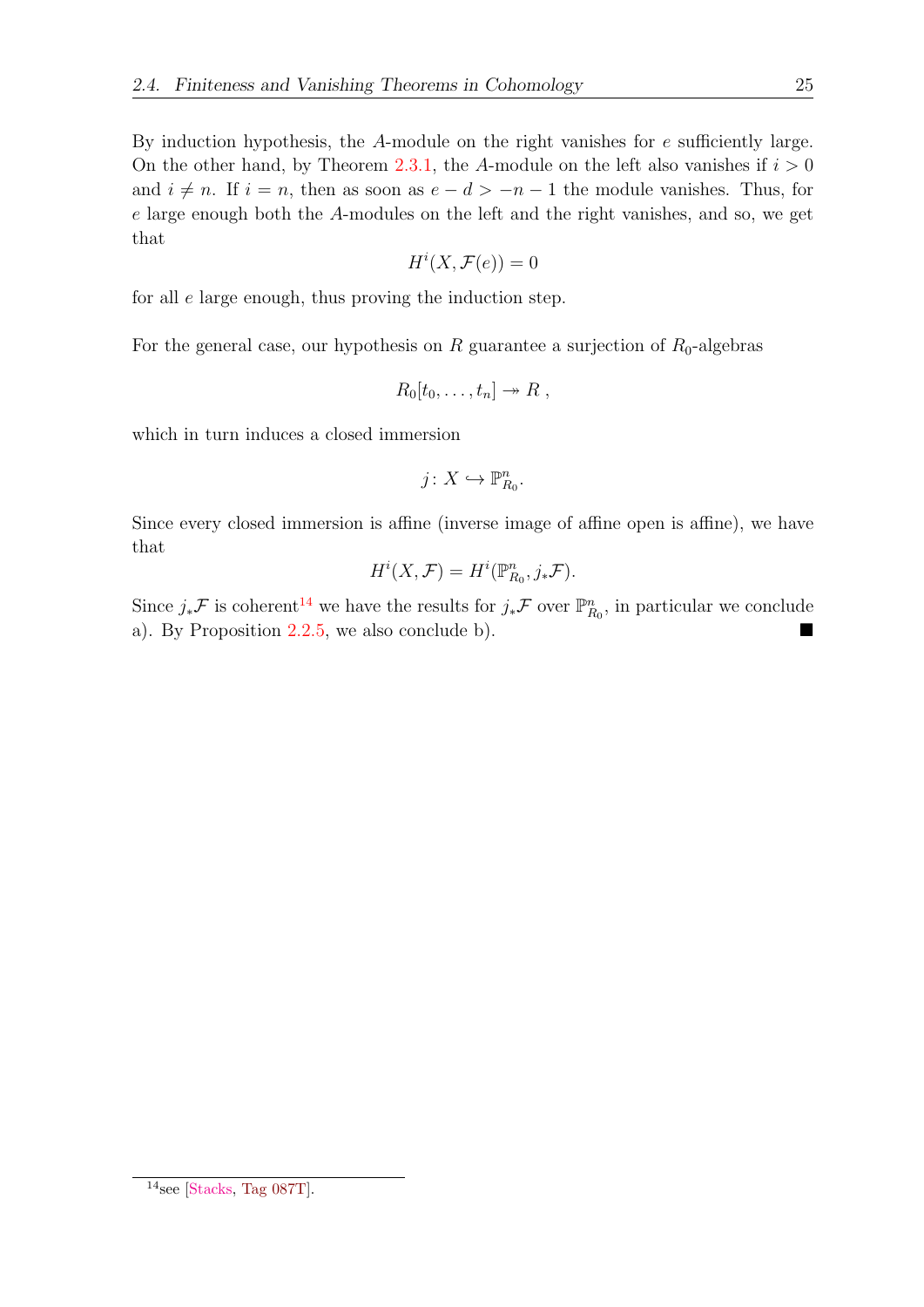By induction hypothesis, the A-module on the right vanishes for e sufficiently large. On the other hand, by Theorem [2.3.1,](#page-28-1) the A-module on the left also vanishes if  $i > 0$ and  $i \neq n$ . If  $i = n$ , then as soon as  $e - d > -n - 1$  the module vanishes. Thus, for e large enough both the A-modules on the left and the right vanishes, and so, we get that

$$
H^i(X, \mathcal{F}(e)) = 0
$$

for all e large enough, thus proving the induction step.

For the general case, our hypothesis on R guarantee a surjection of  $R_0$ -algebras

$$
R_0[t_0,\ldots,t_n]\twoheadrightarrow R\;,
$$

which in turn induces a closed immersion

$$
j\colon X\hookrightarrow \mathbb{P}^n_{R_0}.
$$

Since every closed immersion is affine (inverse image of affine open is affine), we have that

$$
H^i(X, \mathcal{F}) = H^i(\mathbb{P}^n_{R_0}, j_*\mathcal{F}).
$$

Since  $j_*\mathcal{F}$  is coherent<sup>[14](#page-34-0)</sup> we have the results for  $j_*\mathcal{F}$  over  $\mathbb{P}_{R_0}^n$ , in particular we conclude a). By Proposition  $2.2.5$ , we also conclude b).

<span id="page-34-0"></span> $14$ see [\[Stacks,](#page-57-5) [Tag 087T\]](https://stacks.math.columbia.edu/tag/087T).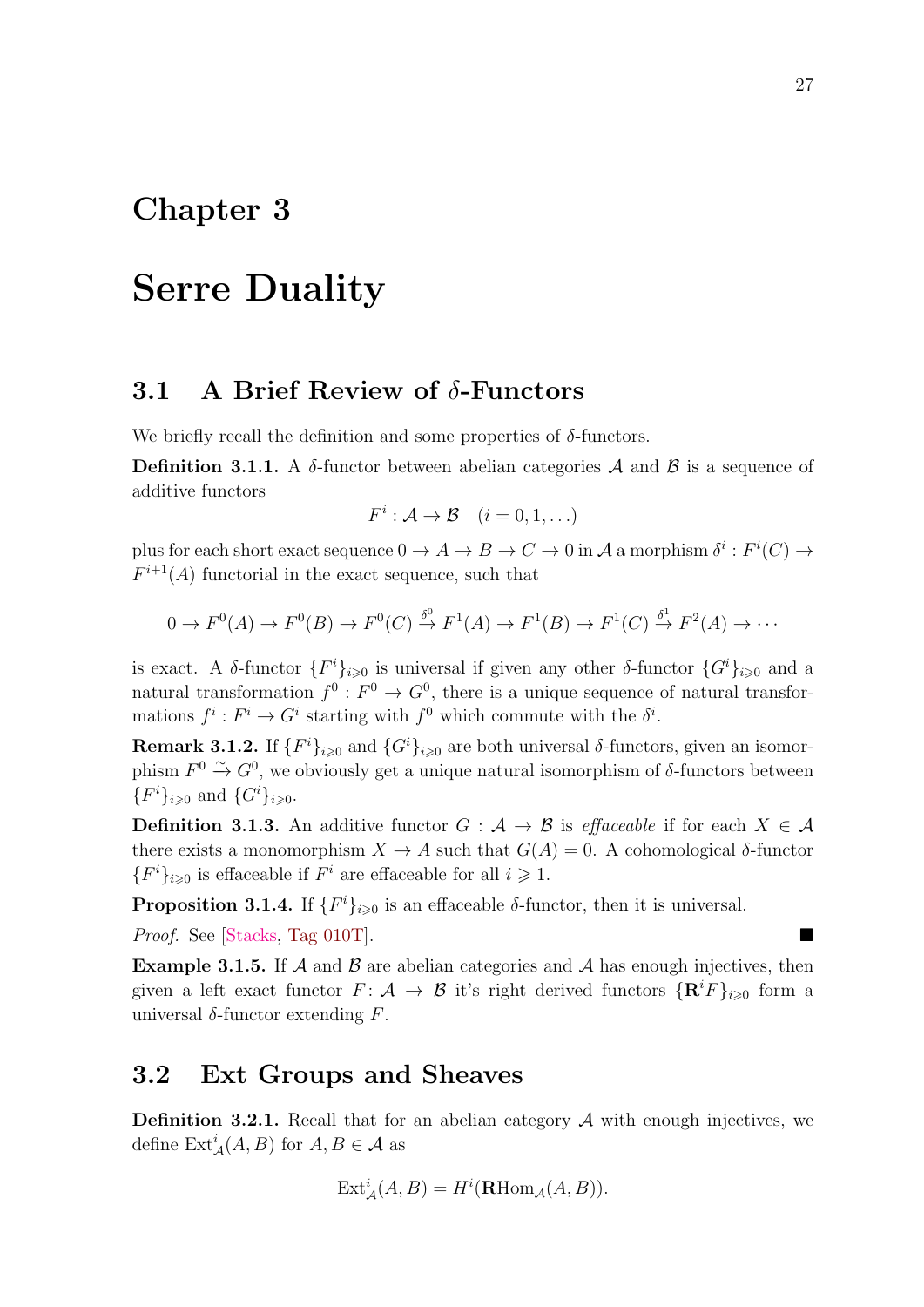## <span id="page-36-0"></span>Chapter 3

## Serre Duality

#### <span id="page-36-1"></span>3.1 A Brief Review of  $\delta$ -Functors

We briefly recall the definition and some properties of  $\delta$ -functors.

Definition 3.1.1. A  $\delta$ -functor between abelian categories A and B is a sequence of additive functors

$$
F^i: \mathcal{A} \to \mathcal{B} \quad (i = 0, 1, \ldots)
$$

plus for each short exact sequence  $0 \to A \to B \to C \to 0$  in A a morphism  $\delta^i : F^i(C) \to$  $F^{i+1}(A)$  functorial in the exact sequence, such that

$$
0 \to F^0(A) \to F^0(B) \to F^0(C) \xrightarrow{\delta^0} F^1(A) \to F^1(B) \to F^1(C) \xrightarrow{\delta^1} F^2(A) \to \cdots
$$

is exact. A  $\delta$ -functor  $\{F^i\}_{i\geqslant 0}$  is universal if given any other  $\delta$ -functor  $\{G^i\}_{i\geqslant 0}$  and a natural transformation  $f^0: F^0 \to G^0$ , there is a unique sequence of natural transformations  $f^i: F^i \to G^i$  starting with  $f^0$  which commute with the  $\delta^i$ .

<span id="page-36-4"></span>**Remark 3.1.2.** If  $\{F^i\}_{i\geqslant 0}$  and  $\{G^i\}_{i\geqslant 0}$  are both universal  $\delta$ -functors, given an isomorphism  $F^0 \xrightarrow{\sim} G^0$ , we obviously get a unique natural isomorphism of  $\delta$ -functors between  ${F^i}_{i \geq 0}$  and  ${G^i}_{i \geq 0}$ .

**Definition 3.1.3.** An additive functor  $G : \mathcal{A} \to \mathcal{B}$  is effaceable if for each  $X \in \mathcal{A}$ there exists a monomorphism  $X \to A$  such that  $G(A) = 0$ . A cohomological  $\delta$ -functor  ${F<sup>i</sup>}_{i\geqslant0}$  is effaceable if  $F<sup>i</sup>$  are effaceable for all  $i\geqslant1$ .

**Proposition 3.1.4.** If  ${F^i}_{i\geqslant 0}$  is an effaceable  $\delta$ -functor, then it is universal.

*Proof.* See [\[Stacks,](#page-57-5) Tag  $010T$ ].

<span id="page-36-3"></span>**Example 3.1.5.** If  $\mathcal A$  and  $\mathcal B$  are abelian categories and  $\mathcal A$  has enough injectives, then given a left exact functor  $F: \mathcal{A} \to \mathcal{B}$  it's right derived functors  $\{ \mathbf{R}^i F \}_{i \geqslant 0}$  form a universal  $\delta$ -functor extending F.

#### <span id="page-36-2"></span>3.2 Ext Groups and Sheaves

**Definition 3.2.1.** Recall that for an abelian category  $A$  with enough injectives, we define  $\text{Ext}^i_{\mathcal{A}}(A, B)$  for  $A, B \in \mathcal{A}$  as

$$
Ext^i_{\mathcal{A}}(A, B) = H^i(\mathbf{R}\mathrm{Hom}_{\mathcal{A}}(A, B)).
$$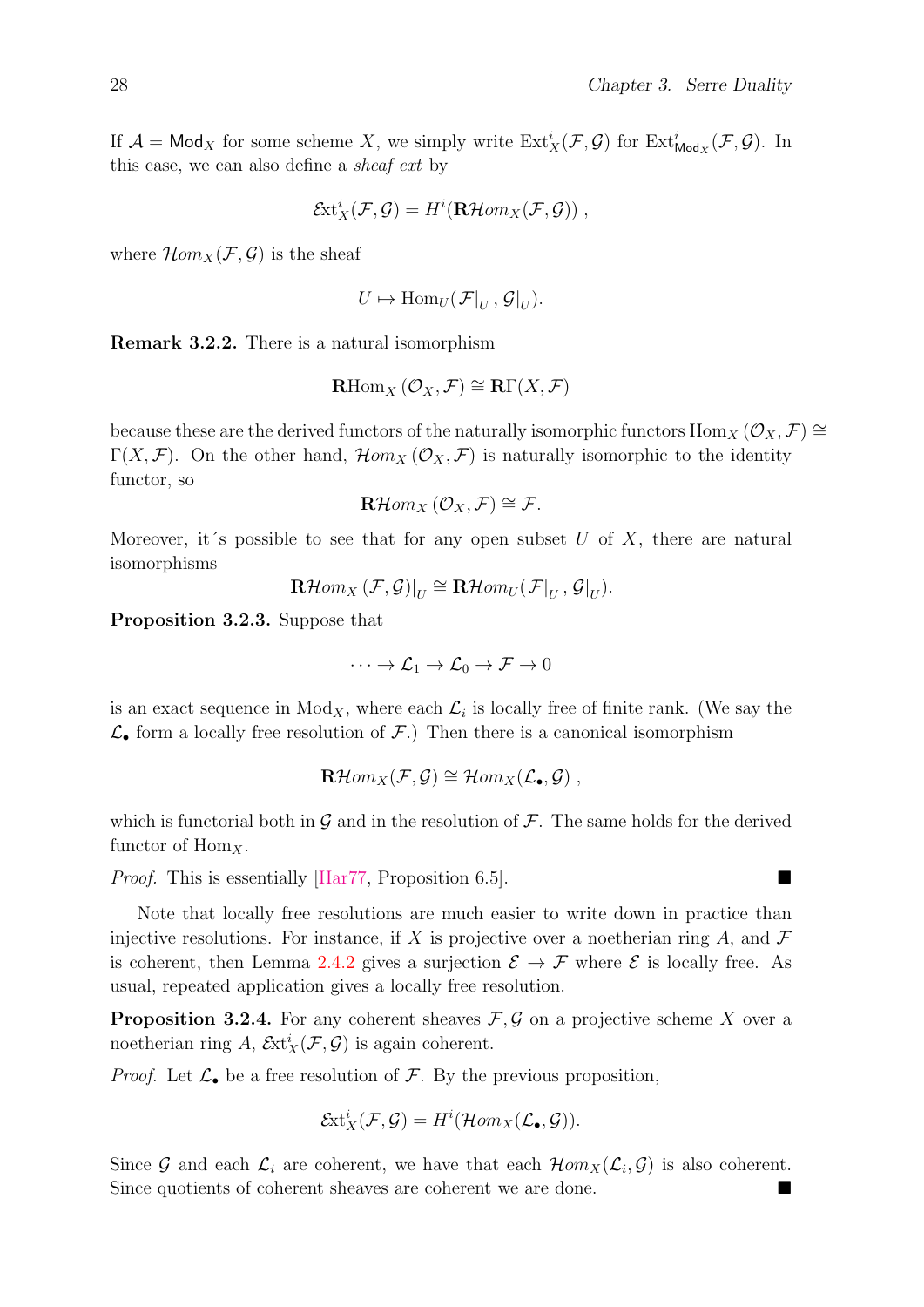If  $\mathcal{A} = \mathsf{Mod}_X$  for some scheme X, we simply write  $\mathrm{Ext}^i_X(\mathcal{F}, \mathcal{G})$  for  $\mathrm{Ext}^i_{\mathsf{Mod}_X}(\mathcal{F}, \mathcal{G})$ . In this case, we can also define a sheaf ext by

$$
\mathcal{E}xt_X^i(\mathcal{F},\mathcal{G})=H^i(\mathbf{R}\mathcal{H}om_X(\mathcal{F},\mathcal{G}))\;,
$$

where  $\mathcal{H}om_X(\mathcal{F}, \mathcal{G})$  is the sheaf

$$
U \mapsto \operatorname{Hom}_U(\mathcal{F}|_U, \mathcal{G}|_U).
$$

Remark 3.2.2. There is a natural isomorphism

$$
\mathrm{RHom}_X\left(\mathcal{O}_X,\mathcal{F}\right)\cong\mathrm{R}\Gamma(X,\mathcal{F})
$$

because these are the derived functors of the naturally isomorphic functors  $\text{Hom}_X (\mathcal{O}_X, \mathcal{F}) \cong$  $\Gamma(X,\mathcal{F})$ . On the other hand,  $\mathcal{H}om_X(\mathcal{O}_X,\mathcal{F})$  is naturally isomorphic to the identity functor, so

$$
\mathbf{R}\mathcal{H}om_X(\mathcal{O}_X,\mathcal{F})\cong\mathcal{F}.
$$

Moreover, it's possible to see that for any open subset U of X, there are natural isomorphisms

$$
\mathbf{R}\mathcal{H}om_X(\mathcal{F},\mathcal{G})|_U \cong \mathbf{R}\mathcal{H}om_U(\mathcal{F}|_U, \mathcal{G}|_U).
$$

<span id="page-37-0"></span>Proposition 3.2.3. Suppose that

$$
\cdots \to \mathcal{L}_1 \to \mathcal{L}_0 \to \mathcal{F} \to 0
$$

is an exact sequence in  $Mod_X$ , where each  $\mathcal{L}_i$  is locally free of finite rank. (We say the  $\mathcal{L}_{\bullet}$  form a locally free resolution of  $\mathcal{F}$ .) Then there is a canonical isomorphism

$$
\mathbf{R}\mathcal{H}om_X(\mathcal{F},\mathcal{G})\cong \mathcal{H}om_X(\mathcal{L}_{\bullet},\mathcal{G})\;,
$$

which is functorial both in  $\mathcal G$  and in the resolution of  $\mathcal F$ . The same holds for the derived functor of  $\text{Hom}_X$ .

*Proof.* This is essentially  $\left[\text{Har77, Proposition 6.5}\right]$ .

Note that locally free resolutions are much easier to write down in practice than injective resolutions. For instance, if X is projective over a noetherian ring  $A$ , and  $\mathcal F$ is coherent, then Lemma [2.4.2](#page-32-1) gives a surjection  $\mathcal{E} \to \mathcal{F}$  where  $\mathcal{E}$  is locally free. As usual, repeated application gives a locally free resolution.

<span id="page-37-1"></span>**Proposition 3.2.4.** For any coherent sheaves  $\mathcal{F}, \mathcal{G}$  on a projective scheme X over a noetherian ring A,  $\mathcal{E}xt_X^i(\mathcal{F}, \mathcal{G})$  is again coherent.

*Proof.* Let  $\mathcal{L}_{\bullet}$  be a free resolution of  $\mathcal{F}$ . By the previous proposition,

$$
\mathcal{E}xt_X^i(\mathcal{F},\mathcal{G})=H^i(\mathcal{H}om_X(\mathcal{L}_{\bullet},\mathcal{G})).
$$

Since G and each  $\mathcal{L}_i$  are coherent, we have that each  $\mathcal{H}om_X(\mathcal{L}_i, \mathcal{G})$  is also coherent. Since quotients of coherent sheaves are coherent we are done.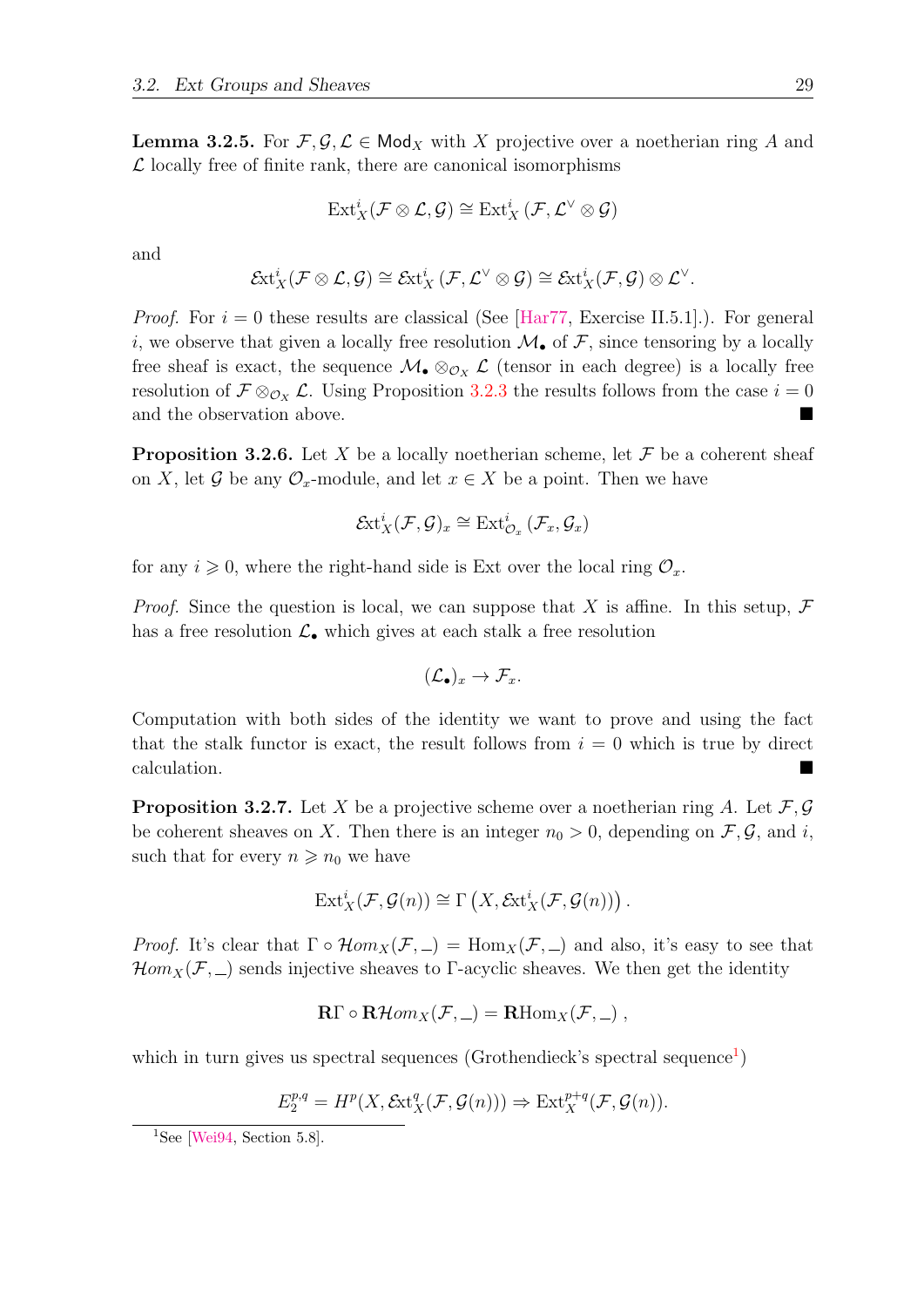<span id="page-38-1"></span>**Lemma 3.2.5.** For  $\mathcal{F}, \mathcal{G}, \mathcal{L} \in \mathsf{Mod}_X$  with X projective over a noetherian ring A and  $\mathcal L$  locally free of finite rank, there are canonical isomorphisms

$$
\mathop{\mathrm{Ext}}\nolimits_X^i({\mathcal F}\otimes{\mathcal L},{\mathcal G})\cong\mathop{\mathrm{Ext}}\nolimits_X^i({\mathcal F},{\mathcal L}^\vee\otimes{\mathcal G})
$$

and

$$
\mathcal{E}\!\mathrm{xt}^i_X(\mathcal{F}\otimes\mathcal{L},\mathcal{G})\cong\mathcal{E}\!\mathrm{xt}^i_X\left(\mathcal{F},\mathcal{L}^\vee\otimes\mathcal{G}\right)\cong\mathcal{E}\!\mathrm{xt}^i_X(\mathcal{F},\mathcal{G})\otimes\mathcal{L}^\vee.
$$

*Proof.* For  $i = 0$  these results are classical (See [\[Har77,](#page-56-0) Exercise II.5.1].). For general i, we observe that given a locally free resolution  $\mathcal{M}_{\bullet}$  of  $\mathcal{F}$ , since tensoring by a locally free sheaf is exact, the sequence  $\mathcal{M}_{\bullet} \otimes_{\mathcal{O}_X} \mathcal{L}$  (tensor in each degree) is a locally free resolution of  $\mathcal{F} \otimes_{\mathcal{O}_X} \mathcal{L}$ . Using Proposition [3.2.3](#page-37-0) the results follows from the case  $i = 0$ and the observation above.

**Proposition 3.2.6.** Let X be a locally noetherian scheme, let  $\mathcal F$  be a coherent sheaf on X, let G be any  $\mathcal{O}_x$ -module, and let  $x \in X$  be a point. Then we have

$$
\mathcal{E}\mathrm{xt}_X^i(\mathcal{F},\mathcal{G})_x \cong \mathrm{Ext}^i_{\mathcal{O}_x}\left(\mathcal{F}_x,\mathcal{G}_x\right)
$$

for any  $i \geq 0$ , where the right-hand side is Ext over the local ring  $\mathcal{O}_x$ .

*Proof.* Since the question is local, we can suppose that X is affine. In this setup,  $\mathcal F$ has a free resolution  $\mathcal{L}_{\bullet}$  which gives at each stalk a free resolution

$$
(\mathcal{L}_{\bullet})_x \to \mathcal{F}_x.
$$

Computation with both sides of the identity we want to prove and using the fact that the stalk functor is exact, the result follows from  $i = 0$  which is true by direct calculation.

<span id="page-38-2"></span>**Proposition 3.2.7.** Let X be a projective scheme over a noetherian ring A. Let  $\mathcal{F}, \mathcal{G}$ be coherent sheaves on X. Then there is an integer  $n_0 > 0$ , depending on  $\mathcal{F}, \mathcal{G}$ , and i, such that for every  $n \geq n_0$  we have

$$
Ext_X^i(\mathcal{F}, \mathcal{G}(n)) \cong \Gamma\left(X, \mathcal{E}xt_X^i(\mathcal{F}, \mathcal{G}(n))\right).
$$

*Proof.* It's clear that  $\Gamma \circ \mathcal{H}om_X(\mathcal{F},\_) = \text{Hom}_X(\mathcal{F},\_)$  and also, it's easy to see that  $\mathcal{H}om_X(\mathcal{F},\_)$  sends injective sheaves to Γ-acyclic sheaves. We then get the identity

$$
\mathbf{R}\Gamma \circ \mathbf{R}\mathcal{H}om_X(\mathcal{F},\_) = \mathbf{R}\text{Hom}_X(\mathcal{F},\_)\;,
$$

which in turn gives us spectral sequences (Grothendieck's spectral sequence<sup>[1](#page-38-0)</sup>)

$$
E_2^{p,q} = H^p(X, \mathcal{E}xt_X^q(\mathcal{F}, \mathcal{G}(n))) \Rightarrow Ext_X^{p+q}(\mathcal{F}, \mathcal{G}(n)).
$$

<span id="page-38-0"></span><sup>&</sup>lt;sup>1</sup>See [\[Wei94,](#page-57-2) Section 5.8].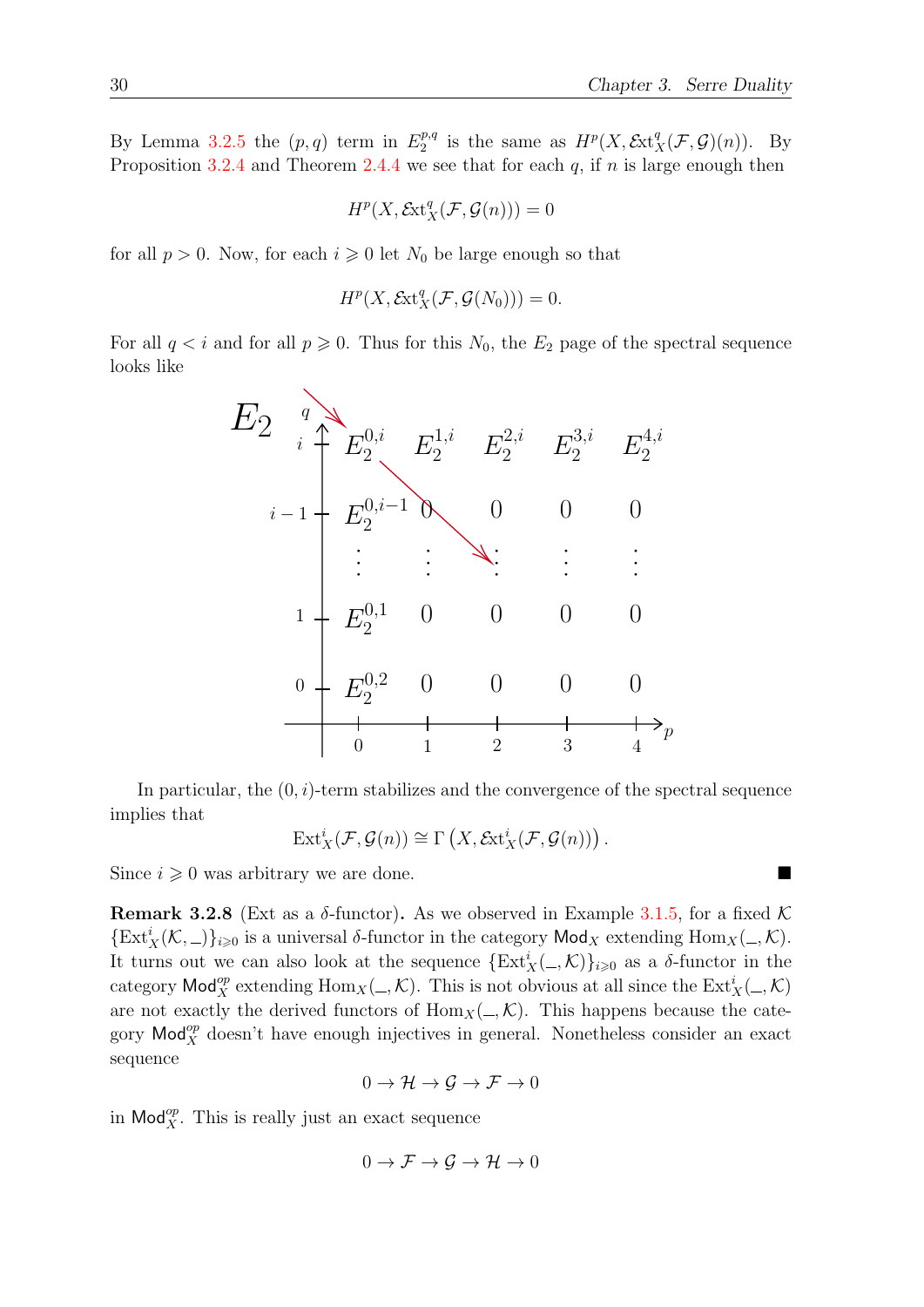By Lemma [3.2.5](#page-38-1) the  $(p, q)$  term in  $E_2^{p,q}$  $u_2^{p,q}$  is the same as  $H^p(X, \mathcal{E}xt_X^q(\mathcal{F}, \mathcal{G})(n)).$  By Proposition [3.2.4](#page-37-1) and Theorem [2.4.4](#page-33-3) we see that for each q, if  $n$  is large enough then

$$
H^p(X, \mathcal{E}\mathrm{xt}^q_X(\mathcal{F}, \mathcal{G}(n))) = 0
$$

for all  $p > 0$ . Now, for each  $i \geq 0$  let  $N_0$  be large enough so that

$$
H^p(X, \mathcal{E}xt_X^q(\mathcal{F}, \mathcal{G}(N_0))) = 0.
$$

For all  $q < i$  and for all  $p \ge 0$ . Thus for this  $N_0$ , the  $E_2$  page of the spectral sequence looks like



In particular, the  $(0, i)$ -term stabilizes and the convergence of the spectral sequence implies that

$$
\text{Ext}^i_X(\mathcal{F},\mathcal{G}(n)) \cong \Gamma\left(X,\mathcal{E}\text{xt}^i_X(\mathcal{F},\mathcal{G}(n))\right).
$$

Since  $i \geqslant 0$  was arbitrary we are done.

<span id="page-39-0"></span>**Remark 3.2.8** (Ext as a  $\delta$ -functor). As we observed in Example [3.1.5,](#page-36-3) for a fixed K  ${\textstyle\{\text{Ext}_X^i(\mathcal{K},\_\text{max})\}_{i\geqslant 0}}$  is a universal  $\delta$ -functor in the category  $\mathsf{Mod}_X$  extending  $\mathsf{Hom}_X(\_,\mathcal{K}).$ It turns out we can also look at the sequence  $\{Ext^i_X(\_,\mathcal{K})\}_{i\geqslant 0}$  as a  $\delta$ -functor in the category  $\text{Mod}_X^{\text{op}}$  extending  $\text{Hom}_X(\_,\mathcal{K})$ . This is not obvious at all since the  $\text{Ext}_X^i(\_,\mathcal{K})$ are not exactly the derived functors of  $\text{Hom}_X(\_,\mathcal{K})$ . This happens because the category  $\mathsf{Mod}_{X}^{op}$  doesn't have enough injectives in general. Nonetheless consider an exact sequence

$$
0 \to \mathcal{H} \to \mathcal{G} \to \mathcal{F} \to 0
$$

in  $\mathsf{Mod}_{X}^{op}$ . This is really just an exact sequence

$$
0 \to \mathcal{F} \to \mathcal{G} \to \mathcal{H} \to 0
$$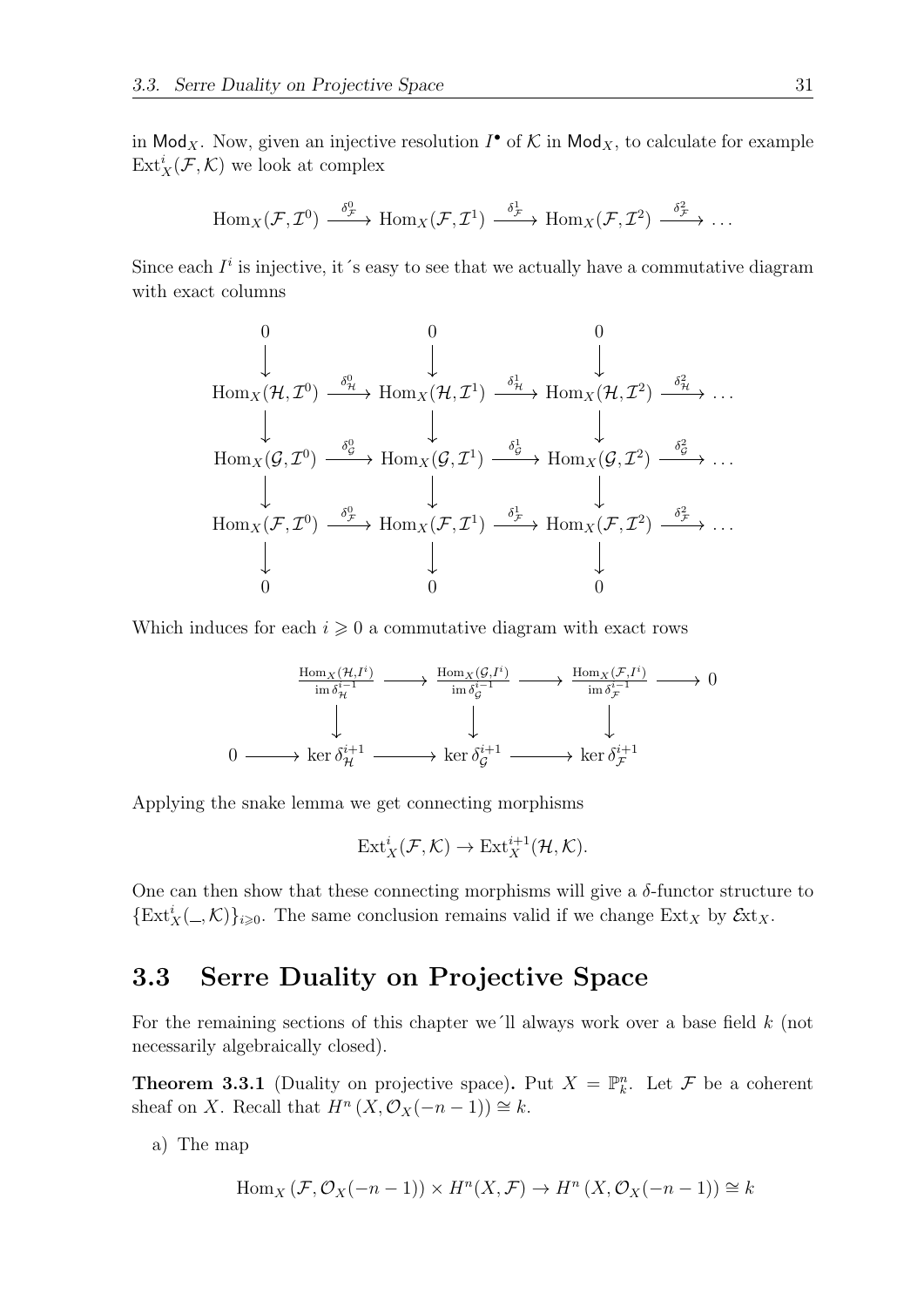in Mod<sub>X</sub>. Now, given an injective resolution  $I^{\bullet}$  of  $K$  in Mod<sub>X</sub>, to calculate for example  $\text{Ext}^i_X(\mathcal{F},\mathcal{K})$  we look at complex

$$
\text{Hom}_X(\mathcal{F},\mathcal{I}^0)\stackrel{\delta^0_{\mathcal{F}}}{\longrightarrow}\text{Hom}_X(\mathcal{F},\mathcal{I}^1)\stackrel{\delta^1_{\mathcal{F}}}{\longrightarrow}\text{Hom}_X(\mathcal{F},\mathcal{I}^2)\stackrel{\delta^2_{\mathcal{F}}}{\longrightarrow}\ldots
$$

Since each  $I^i$  is injective, it 's easy to see that we actually have a commutative diagram with exact columns

$$
\begin{array}{ccccccc}\n & & & & 0 & & 0 & & 0 & & & \\
 & & & & & \downarrow & & & \downarrow & & & \\
\text{Hom}_X(\mathcal{H}, \mathcal{I}^0) & \xrightarrow{\delta^0_{\mathcal{H}}} & \text{Hom}_X(\mathcal{H}, \mathcal{I}^1) & \xrightarrow{\delta^1_{\mathcal{H}}} & \text{Hom}_X(\mathcal{H}, \mathcal{I}^2) & \xrightarrow{\delta^2_{\mathcal{H}}} & \dots \\
 & & & & & \downarrow & & & \downarrow & & \\
\text{Hom}_X(\mathcal{G}, \mathcal{I}^0) & \xrightarrow{\delta^0_{\mathcal{G}}} & \text{Hom}_X(\mathcal{G}, \mathcal{I}^1) & \xrightarrow{\delta^1_{\mathcal{G}}} & \text{Hom}_X(\mathcal{G}, \mathcal{I}^2) & \xrightarrow{\delta^2_{\mathcal{G}}} & \dots \\
 & & & & & \downarrow & & \downarrow & & \\
\text{Hom}_X(\mathcal{F}, \mathcal{I}^0) & \xrightarrow{\delta^0_{\mathcal{F}}} & \text{Hom}_X(\mathcal{F}, \mathcal{I}^1) & \xrightarrow{\delta^1_{\mathcal{F}}} & \text{Hom}_X(\mathcal{F}, \mathcal{I}^2) & \xrightarrow{\delta^2_{\mathcal{F}}} & \dots \\
 & & & & & \downarrow & & \downarrow & & \\
 & & & & & \downarrow & & & \downarrow & & \\
 & & & & & & \downarrow & & & \downarrow & & \\
 & & & & & & \downarrow & & & \downarrow & & \\
 & & & & & & & \downarrow & & & \downarrow & & \\
 & & & & & & & \downarrow & & & \downarrow & & \\
 & & & & & & & \downarrow & & & \downarrow & & \\
 & & & & & & & \downarrow & & & \downarrow & & \\
 & & & & & & & \downarrow & & & \downarrow & & \\
 & & & & & & & \downarrow & & & \downarrow & & & \\
 & & & & & & & & \downarrow & & & \downarrow & & & \\
 & & & & & & & & \downarrow & & & \downarrow & & & \\
 & & & & & & & & \downarrow & & & \downarrow & & & \\
 & & & & & & & & \downarrow & & & \downarrow & & & \\
 & & & & & & & & \downarrow & & & \downarrow & & & \\
 & & & & & & & & \downarrow & & & \downarrow & & & \\
 & & & & & & & & & \downarrow & & & \downarrow & & & \\
 & & & & & & & &
$$

Which induces for each  $i \geq 0$  a commutative diagram with exact rows

$$
\begin{array}{ccc}\n\text{Hom}_X(\mathcal{H},I^i) & \longrightarrow & \text{Hom}_X(\mathcal{G},I^i) & \longrightarrow & \text{Hom}_X(\mathcal{F},I^i) & \longrightarrow & 0 \\
\text{im } \delta_{\mathcal{H}}^{i-1} & \longrightarrow & \text{im } \delta_{\mathcal{G}}^{i-1} & \longrightarrow & \text{im } \delta_{\mathcal{F}}^{i-1} & \longrightarrow & 0 \\
\downarrow & & & & \downarrow & & \downarrow & \\
0 & \longrightarrow & \text{ker } \delta_{\mathcal{H}}^{i+1} & \longrightarrow & \text{ker } \delta_{\mathcal{G}}^{i+1} & \longrightarrow & \text{ker } \delta_{\mathcal{F}}^{i+1}\n\end{array}
$$

Applying the snake lemma we get connecting morphisms

$$
\text{Ext}^i_X(\mathcal{F},\mathcal{K}) \to \text{Ext}^{i+1}_X(\mathcal{H},\mathcal{K}).
$$

One can then show that these connecting morphisms will give a  $\delta$ -functor structure to  $\{\text{Ext}_X^i(\_,\mathcal{K})\}_{i\geqslant 0}$ . The same conclusion remains valid if we change  $\text{Ext}_X$  by  $\mathcal{E}_{X}$ .

#### <span id="page-40-0"></span>3.3 Serre Duality on Projective Space

For the remaining sections of this chapter we´ll always work over a base field k (not necessarily algebraically closed).

**Theorem 3.3.1** (Duality on projective space). Put  $X = \mathbb{P}_k^n$ . Let F be a coherent sheaf on X. Recall that  $H^n(X, \mathcal{O}_X(-n-1)) \cong k$ .

a) The map

$$
Hom_X(\mathcal{F}, \mathcal{O}_X(-n-1)) \times H^n(X, \mathcal{F}) \to H^n(X, \mathcal{O}_X(-n-1)) \cong k
$$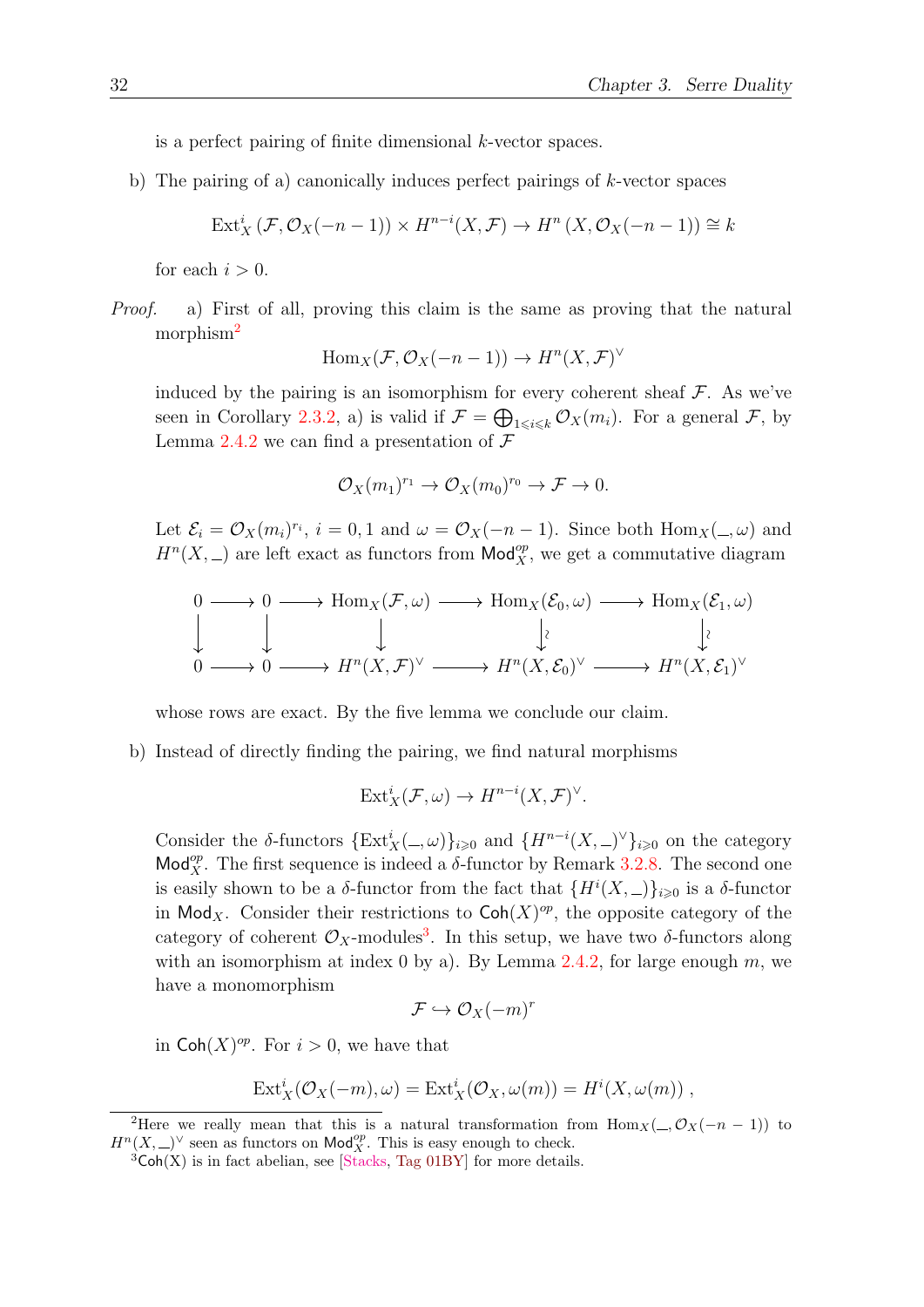is a perfect pairing of finite dimensional k-vector spaces.

b) The pairing of a) canonically induces perfect pairings of  $k$ -vector spaces

$$
\text{Ext}^i_X(\mathcal{F},\mathcal{O}_X(-n-1)) \times H^{n-i}(X,\mathcal{F}) \to H^n(X,\mathcal{O}_X(-n-1)) \cong k
$$

for each  $i > 0$ .

Proof. a) First of all, proving this claim is the same as proving that the natural morphism<sup>[2](#page-41-0)</sup>

$$
Hom_X(\mathcal{F}, \mathcal{O}_X(-n-1)) \to H^n(X, \mathcal{F})^{\vee}
$$

induced by the pairing is an isomorphism for every coherent sheaf  $\mathcal{F}$ . As we've seen in Corollary [2.3.2,](#page-31-5) a) is valid if  $\mathcal{F} = \bigoplus_{1 \leq i \leq k} \mathcal{O}_X(m_i)$ . For a general  $\mathcal{F}$ , by Lemma [2.4.2](#page-32-1) we can find a presentation of  $\mathcal F$ 

$$
\mathcal{O}_X(m_1)^{r_1} \to \mathcal{O}_X(m_0)^{r_0} \to \mathcal{F} \to 0.
$$

Let  $\mathcal{E}_i = \mathcal{O}_X(m_i)^{r_i}$ ,  $i = 0, 1$  and  $\omega = \mathcal{O}_X(-n-1)$ . Since both  $\text{Hom}_X(\omega)$  and  $H^{n}(X, \_)$  are left exact as functors from  $\mathsf{Mod}^{op}_X$ , we get a commutative diagram

$$
\begin{array}{ccc}\n0 & \longrightarrow & 0 \longrightarrow \text{Hom}_X(\mathcal{F}, \omega) \longrightarrow \text{Hom}_X(\mathcal{E}_0, \omega) \longrightarrow \text{Hom}_X(\mathcal{E}_1, \omega) \\
\downarrow & \downarrow & \downarrow & \downarrow \\
0 & \longrightarrow & 0 \longrightarrow H^n(X, \mathcal{F})^\vee \longrightarrow H^n(X, \mathcal{E}_0)^\vee \longrightarrow H^n(X, \mathcal{E}_1)^\vee\n\end{array}
$$

whose rows are exact. By the five lemma we conclude our claim.

b) Instead of directly finding the pairing, we find natural morphisms

$$
Ext_X^i(\mathcal{F}, \omega) \to H^{n-i}(X, \mathcal{F})^{\vee}.
$$

Consider the δ-functors  $\{Ext^i_X(\_,\omega)\}_{i\geqslant 0}$  and  $\{H^{n-i}(X,\_)^{\vee}\}_{i\geqslant 0}$  on the category Mod<sub>X</sub><sup>op</sup>. The first sequence is indeed a  $\delta$ -functor by Remark [3.2.8.](#page-39-0) The second one is easily shown to be a  $\delta$ -functor from the fact that  $\{H^i(X,\_)\}_{i\geqslant 0}$  is a  $\delta$ -functor in Mod<sub>X</sub>. Consider their restrictions to  $\mathsf{Coh}(X)^{op}$ , the opposite category of the category of coherent  $\mathcal{O}_X$ -modules<sup>[3](#page-41-1)</sup>. In this setup, we have two  $\delta$ -functors along with an isomorphism at index 0 by a). By Lemma [2.4.2,](#page-32-1) for large enough  $m$ , we have a monomorphism

$$
\mathcal{F} \hookrightarrow \mathcal{O}_X(-m)^r
$$

in  $\mathsf{Coh}(X)^{op}$ . For  $i > 0$ , we have that

$$
Ext_X^i(\mathcal{O}_X(-m), \omega) = Ext_X^i(\mathcal{O}_X, \omega(m)) = H^i(X, \omega(m)),
$$

<span id="page-41-0"></span><sup>&</sup>lt;sup>2</sup>Here we really mean that this is a natural transformation from Hom<sub>X</sub>( –,  $\mathcal{O}_X(-n-1)$ ) to  $H^{n}(X, \underline{\hspace{0.3cm}})^{\vee}$  seen as functors on  $\mathsf{Mod}_X^{op}$ . This is easy enough to check.

<span id="page-41-1"></span> ${}^{3}Coh(X)$  is in fact abelian, see [\[Stacks,](#page-57-5) [Tag 01BY\]](https://stacks.math.columbia.edu/tag/01BY) for more details.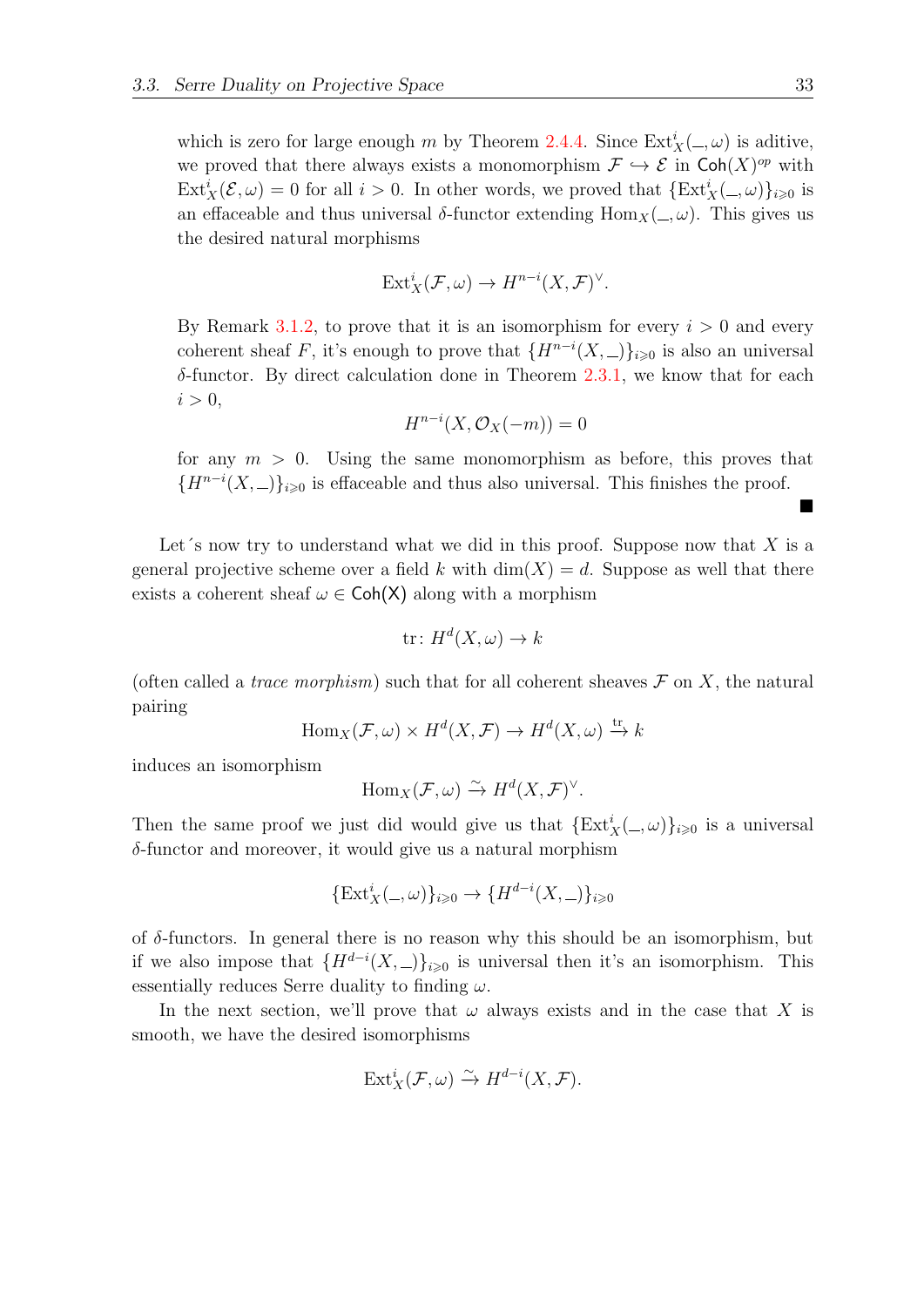which is zero for large enough m by Theorem [2.4.4.](#page-33-3) Since  $\text{Ext}^i_X(\_,\omega)$  is aditive, we proved that there always exists a monomorphism  $\mathcal{F} \hookrightarrow \mathcal{E}$  in Coh $(X)^{op}$  with  $\text{Ext}^i_X(\mathcal{E}, \omega) = 0$  for all  $i > 0$ . In other words, we proved that  $\{\text{Ext}^i_X(\_, \omega)\}_{i \geq 0}$  is an effaceable and thus universal  $\delta$ -functor extending  $\text{Hom}_X(\_,\omega)$ . This gives us the desired natural morphisms

$$
Ext_X^i(\mathcal{F}, \omega) \to H^{n-i}(X, \mathcal{F})^{\vee}.
$$

By Remark [3.1.2,](#page-36-4) to prove that it is an isomorphism for every  $i > 0$  and every coherent sheaf F, it's enough to prove that  $\{H^{n-i}(X,\_)\}_{i\geqslant 0}$  is also an universal  $\delta$ -functor. By direct calculation done in Theorem [2.3.1,](#page-28-1) we know that for each  $i > 0$ ,

$$
H^{n-i}(X, \mathcal{O}_X(-m)) = 0
$$

for any  $m > 0$ . Using the same monomorphism as before, this proves that  ${H^{n-i}(X, )}_{i\geqslant0}$  is effaceable and thus also universal. This finishes the proof.

Let's now try to understand what we did in this proof. Suppose now that  $X$  is a general projective scheme over a field k with  $\dim(X) = d$ . Suppose as well that there exists a coherent sheaf  $\omega \in \mathsf{Coh}(X)$  along with a morphism

$$
\text{tr}: H^d(X, \omega) \to k
$$

(often called a *trace morphism*) such that for all coherent sheaves  $\mathcal F$  on X, the natural pairing

$$
\text{Hom}_X(\mathcal{F}, \omega) \times H^d(X, \mathcal{F}) \to H^d(X, \omega) \xrightarrow{\text{tr}} k
$$

induces an isomorphism

$$
\text{Hom}_X(\mathcal{F},\omega) \xrightarrow{\sim} H^d(X,\mathcal{F})^{\vee}.
$$

Then the same proof we just did would give us that  $\{Ext^i_X(\_,\omega)\}_{i\geqslant 0}$  is a universal  $\delta$ -functor and moreover, it would give us a natural morphism

$$
\{Ext_X^i(\_,\omega)\}_{i\geq 0} \to \{H^{d-i}(X,\_)\}_{i\geq 0}
$$

of  $\delta$ -functors. In general there is no reason why this should be an isomorphism, but if we also impose that  $\{H^{d-i}(X,\_)\}_{i\geqslant 0}$  is universal then it's an isomorphism. This essentially reduces Serre duality to finding  $\omega$ .

In the next section, we'll prove that  $\omega$  always exists and in the case that X is smooth, we have the desired isomorphisms

$$
\text{Ext}^i_X(\mathcal{F},\omega) \xrightarrow{\sim} H^{d-i}(X,\mathcal{F}).
$$

■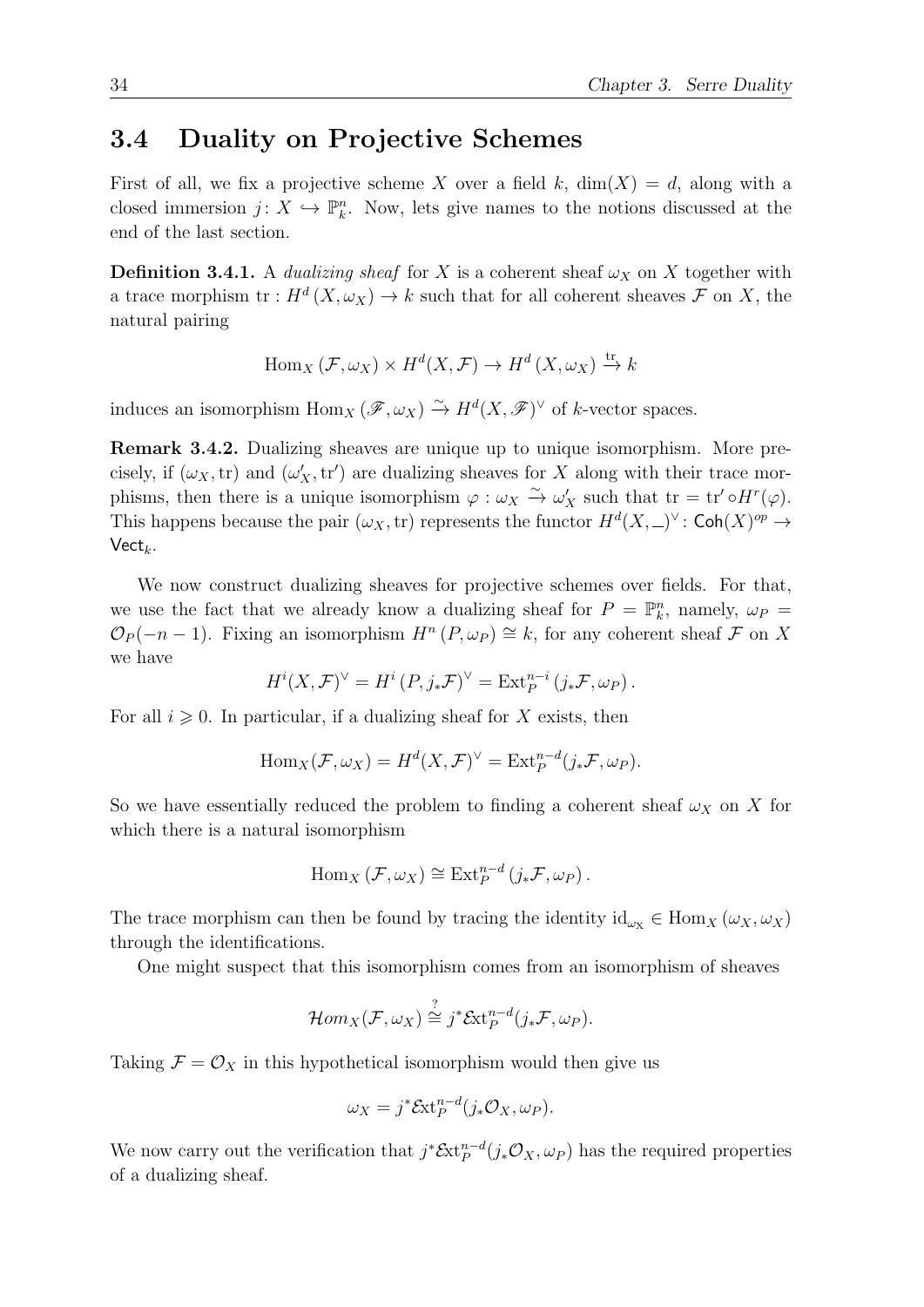#### <span id="page-43-0"></span>3.4 Duality on Projective Schemes

First of all, we fix a projective scheme X over a field k,  $\dim(X) = d$ , along with a closed immersion  $j: X \hookrightarrow \mathbb{P}_{k}^{n}$ . Now, lets give names to the notions discussed at the end of the last section.

**Definition 3.4.1.** A dualizing sheaf for X is a coherent sheaf  $\omega_X$  on X together with a trace morphism  $\text{tr}: H^d(X, \omega_X) \to k$  such that for all coherent sheaves  $\mathcal F$  on X, the natural pairing

$$
\text{Hom}_X(\mathcal{F}, \omega_X) \times H^d(X, \mathcal{F}) \to H^d(X, \omega_X) \xrightarrow{\text{tr}} k
$$

induces an isomorphism  $\text{Hom}_X(\mathscr{F}, \omega_X) \xrightarrow{\sim} H^d(X, \mathscr{F})^{\vee}$  of k-vector spaces.

Remark 3.4.2. Dualizing sheaves are unique up to unique isomorphism. More precisely, if  $(\omega_X, \text{tr})$  and  $(\omega'_X, \text{tr}')$  are dualizing sheaves for X along with their trace morphisms, then there is a unique isomorphism  $\varphi : \omega_X \overset{\sim}{\to} \omega'_X$  such that  $tr = tr' \circ H^r(\varphi)$ . This happens because the pair  $(\omega_X, \text{tr})$  represents the functor  $H^d(X, \_)^{\vee}$ : Coh $(X)^{op} \to$  $Vect_k$ .

We now construct dualizing sheaves for projective schemes over fields. For that, we use the fact that we already know a dualizing sheaf for  $P = \mathbb{P}_k^n$ , namely,  $\omega_P =$  $\mathcal{O}_P(-n-1)$ . Fixing an isomorphism  $H^n(P, \omega_P) \cong k$ , for any coherent sheaf  $\mathcal F$  on X we have

$$
H^{i}(X,\mathcal{F})^{\vee} = H^{i}(P,j_{*}\mathcal{F})^{\vee} = \text{Ext}_{P}^{n-i}(j_{*}\mathcal{F},\omega_{P}).
$$

For all  $i \geqslant 0$ . In particular, if a dualizing sheaf for X exists, then

$$
\operatorname{Hom}_{X}(\mathcal{F}, \omega_{X}) = H^{d}(X, \mathcal{F})^{\vee} = \operatorname{Ext}_{P}^{n-d}(j_{*}\mathcal{F}, \omega_{P}).
$$

So we have essentially reduced the problem to finding a coherent sheaf  $\omega_X$  on X for which there is a natural isomorphism

$$
\mathrm{Hom}_X\left(\mathcal{F},\omega_X\right)\cong\mathrm{Ext}^{n-d}_P\left(j_*\mathcal{F},\omega_P\right).
$$

The trace morphism can then be found by tracing the identity  $\mathrm{id}_{\omega_X} \in \mathrm{Hom}_X(\omega_X, \omega_X)$ through the identifications.

One might suspect that this isomorphism comes from an isomorphism of sheaves

$$
\mathcal{H}om_X(\mathcal{F},\omega_X)\stackrel{?}{\cong} j^*\mathcal{E}\mathrm{xt}_P^{n-d}(j_*\mathcal{F},\omega_P).
$$

Taking  $\mathcal{F} = \mathcal{O}_X$  in this hypothetical isomorphism would then give us

$$
\omega_X = j^* \mathcal{E}xt_P^{n-d}(j_*\mathcal{O}_X, \omega_P).
$$

We now carry out the verification that  $j^* \mathcal{E}xt_p^{n-d}(j_*\mathcal{O}_X, \omega_P)$  has the required properties of a dualizing sheaf.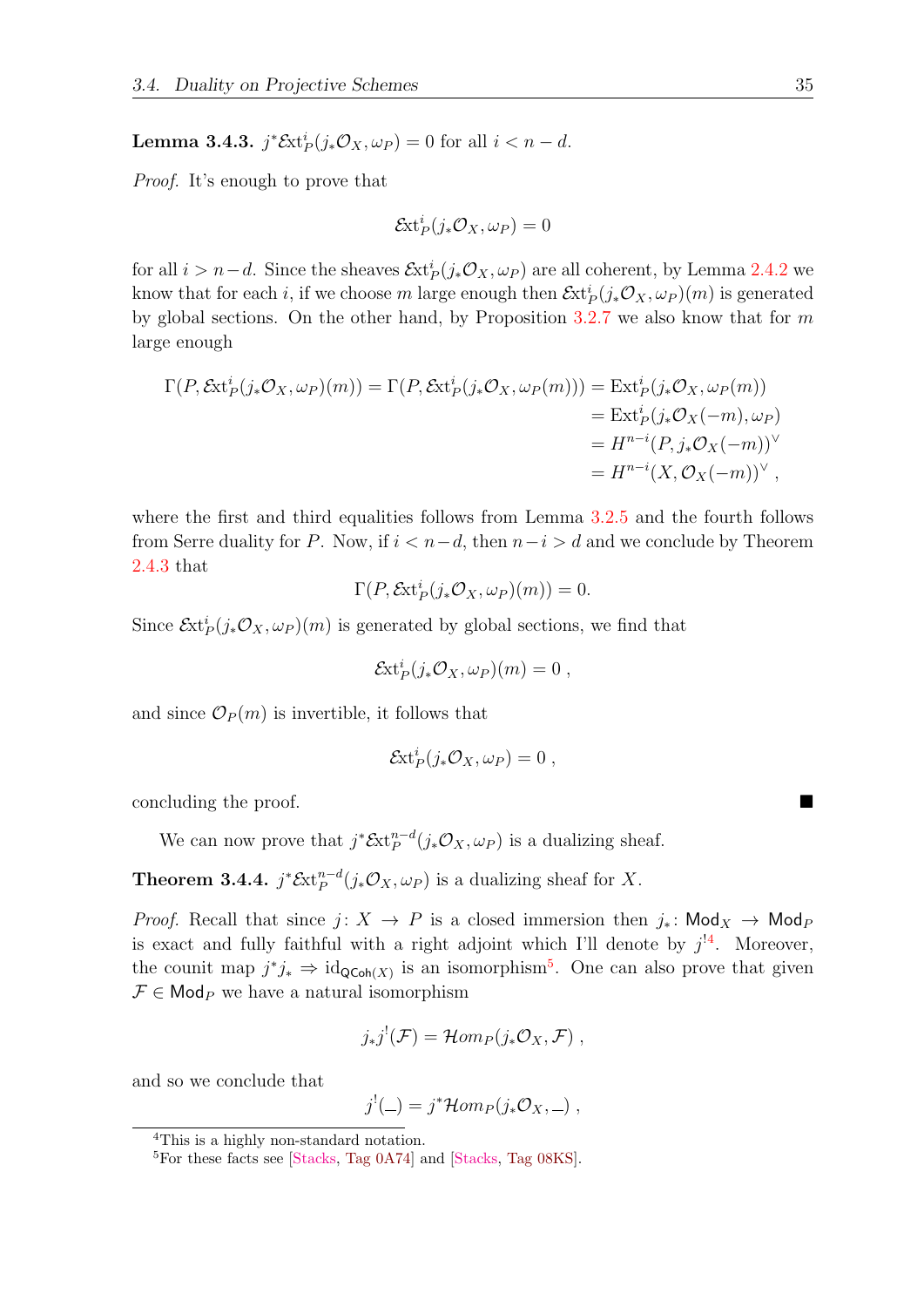<span id="page-44-2"></span>**Lemma 3.4.3.**  $j^* \mathcal{E}xt^i_P(j_*\mathcal{O}_X,\omega_P) = 0$  for all  $i < n - d$ .

Proof. It's enough to prove that

$$
\mathcal{E}xt_P^i(j_*\mathcal{O}_X,\omega_P)=0
$$

for all  $i > n-d$ . Since the sheaves  $\mathcal{E}xt^i_P(j_*\mathcal{O}_X,\omega_P)$  are all coherent, by Lemma [2.4.2](#page-32-1) we know that for each i, if we choose m large enough then  $\mathcal{E}xt^i_P(j_*\mathcal{O}_X,\omega_P)(m)$  is generated by global sections. On the other hand, by Proposition  $3.2.7$  we also know that for m large enough

$$
\Gamma(P, \mathcal{E}xt^i_P(j_*\mathcal{O}_X, \omega_P)(m)) = \Gamma(P, \mathcal{E}xt^i_P(j_*\mathcal{O}_X, \omega_P(m))) = \text{Ext}^i_P(j_*\mathcal{O}_X, \omega_P(m))
$$
  
= 
$$
\text{Ext}^i_P(j_*\mathcal{O}_X(-m), \omega_P)
$$
  
= 
$$
H^{n-i}(P, j_*\mathcal{O}_X(-m))^\vee
$$
  
= 
$$
H^{n-i}(X, \mathcal{O}_X(-m))^\vee
$$

where the first and third equalities follows from Lemma  $3.2.5$  and the fourth follows from Serre duality for P. Now, if  $i < n-d$ , then  $n-i > d$  and we conclude by Theorem [2.4.3](#page-33-1) that

$$
\Gamma(P, \mathcal{E}xt^i_P(j_*\mathcal{O}_X, \omega_P)(m)) = 0.
$$

Since  $\mathcal{E}xt^i_P(j_*\mathcal{O}_X,\omega_P)(m)$  is generated by global sections, we find that

$$
\mathcal{E}xt_P^i(j_*\mathcal{O}_X,\omega_P)(m)=0,
$$

and since  $\mathcal{O}_P(m)$  is invertible, it follows that

$$
\mathcal{E}xt_P^i(j_*\mathcal{O}_X,\omega_P)=0\ ,
$$

concluding the proof.

We can now prove that  $j^* \mathcal{E}xt_p^{n-d}(j_*\mathcal{O}_X,\omega_P)$  is a dualizing sheaf.

**Theorem 3.4.4.**  $j^* \mathcal{E}xt_p^{n-d}(j_*\mathcal{O}_X, \omega_P)$  is a dualizing sheaf for X.

*Proof.* Recall that since  $j: X \to P$  is a closed immersion then  $j_*$ : Mod<sub>X</sub>  $\to$  Mod<sub>P</sub> is exact and fully faithful with a right adjoint which I'll denote by  $j^{14}$ . Moreover, the counit map  $j^*j_* \Rightarrow \mathrm{id}_{\mathsf{QCoh}(X)}$  is an isomorphism<sup>[5](#page-44-1)</sup>. One can also prove that given  $\mathcal{F} \in \mathsf{Mod}_P$  we have a natural isomorphism

$$
j_*j^!(\mathcal{F})=\mathcal{H}om_P(j_*\mathcal{O}_X,\mathcal{F}) ,
$$

and so we conclude that

$$
j^{!}(\underline{\hspace{0.05cm}}) = j^* \mathcal{H}om_P(j_* \mathcal{O}_X, \underline{\hspace{0.05cm}}) ,
$$

<span id="page-44-0"></span><sup>4</sup>This is a highly non-standard notation.

<span id="page-44-1"></span><sup>5</sup>For these facts see [\[Stacks,](#page-57-5) [Tag 0A74\]](https://stacks.math.columbia.edu/tag/0A74) and [\[Stacks,](#page-57-5) [Tag 08KS\]](https://stacks.math.columbia.edu/tag/08KS).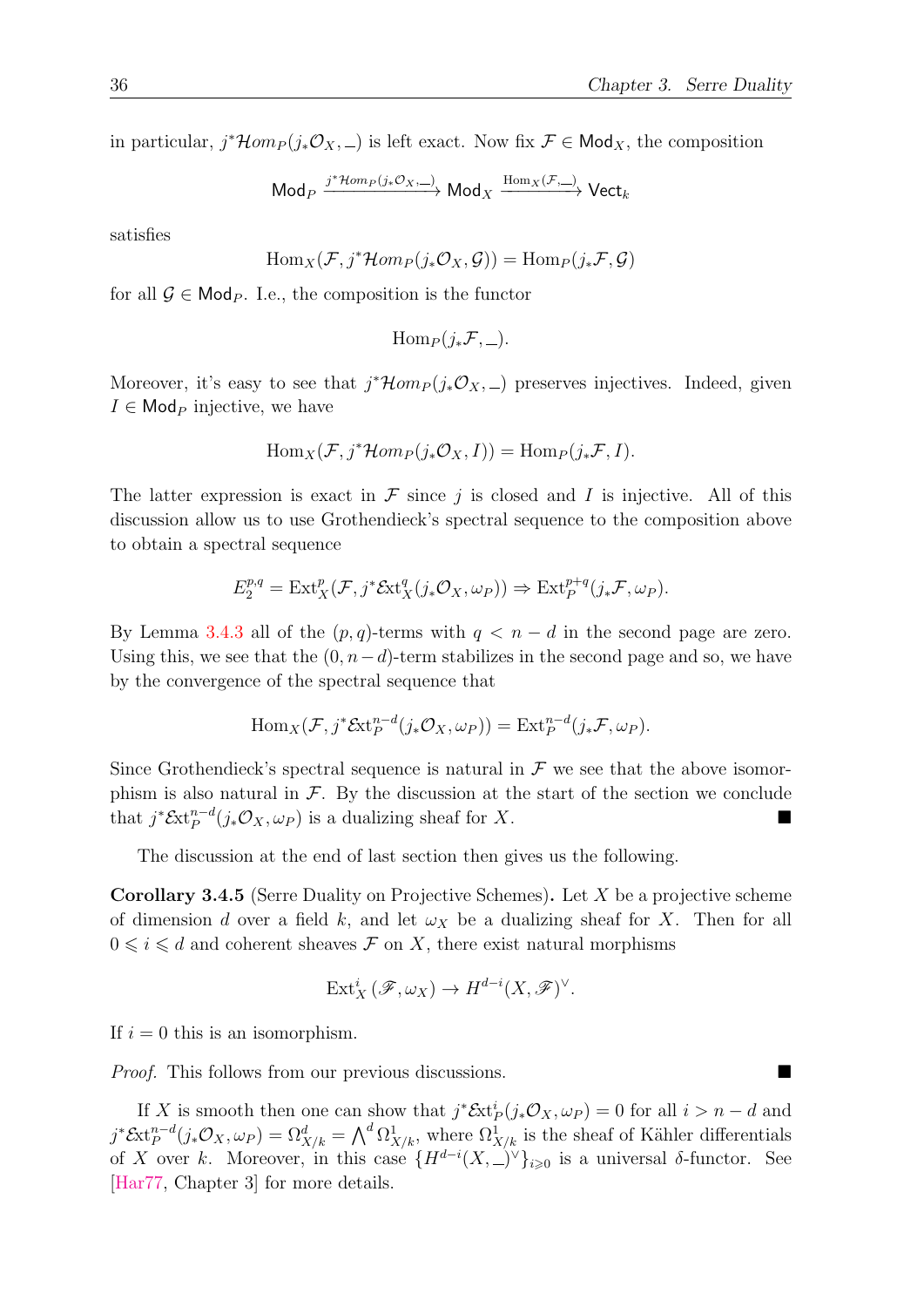in particular,  $j^* \mathcal{H}om_P(j_*\mathcal{O}_X, ...)$  is left exact. Now fix  $\mathcal{F} \in \mathsf{Mod}_X$ , the composition

$$
\mathsf{Mod}_P \xrightarrow{j^*\mathcal{H}om_P(j_*\mathcal{O}_X,\_\_\})} \mathsf{Mod}_X \xrightarrow{\mathrm{Hom}_X(\mathcal{F},\_\_\)} \mathsf{Vect}_k
$$

satisfies

$$
\operatorname{Hom}_X(\mathcal{F}, j^*\mathcal{H}om_P(j_*\mathcal{O}_X, \mathcal{G})) = \operatorname{Hom}_P(j_*\mathcal{F}, \mathcal{G})
$$

for all  $\mathcal{G} \in \mathsf{Mod}_P$ . I.e., the composition is the functor

$$
\mathrm{Hom}_P(j_*\mathcal{F},\_).
$$

Moreover, it's easy to see that  $j^* \mathcal{H}om_P(j_*\mathcal{O}_{X, -})$  preserves injectives. Indeed, given  $I \in \mathsf{Mod}_P$  injective, we have

$$
\operatorname{Hom}_X(\mathcal{F}, j^*\mathcal{H}om_P(j_*\mathcal{O}_X, I)) = \operatorname{Hom}_P(j_*\mathcal{F}, I).
$$

The latter expression is exact in  $\mathcal F$  since j is closed and I is injective. All of this discussion allow us to use Grothendieck's spectral sequence to the composition above to obtain a spectral sequence

$$
E_2^{p,q} = \text{Ext}^p_X(\mathcal{F}, j^* \mathcal{E}xt_X^q(j_* \mathcal{O}_X, \omega_P)) \Rightarrow \text{Ext}^{p+q}_P(j_* \mathcal{F}, \omega_P).
$$

By Lemma [3.4.3](#page-44-2) all of the  $(p, q)$ -terms with  $q < n - d$  in the second page are zero. Using this, we see that the  $(0, n-d)$ -term stabilizes in the second page and so, we have by the convergence of the spectral sequence that

$$
\operatorname{Hom}_{X}(\mathcal{F},j^{*}\mathcal{E}xt_{P}^{n-d}(j_{*}\mathcal{O}_{X},\omega_{P})) = \operatorname{Ext}_{P}^{n-d}(j_{*}\mathcal{F},\omega_{P}).
$$

Since Grothendieck's spectral sequence is natural in  $\mathcal F$  we see that the above isomorphism is also natural in  $\mathcal F$ . By the discussion at the start of the section we conclude that  $j^* \mathcal{E}xt^{n-d}_P(j_*\mathcal{O}_X,\omega_P)$  is a dualizing sheaf for X.

The discussion at the end of last section then gives us the following.

Corollary 3.4.5 (Serre Duality on Projective Schemes). Let X be a projective scheme of dimension d over a field k, and let  $\omega_X$  be a dualizing sheaf for X. Then for all  $0 \leq i \leq d$  and coherent sheaves  $\mathcal F$  on X, there exist natural morphisms

$$
\text{Ext}^i_X(\mathscr{F},\omega_X) \to H^{d-i}(X,\mathscr{F})^{\vee}.
$$

If  $i = 0$  this is an isomorphism.

*Proof.* This follows from our previous discussions. ■

If X is smooth then one can show that  $j^* \mathcal{E}xt^i_P(j_*\mathcal{O}_X,\omega_P) = 0$  for all  $i > n - d$  and  $j^* \mathcal{E}xt_P^{n-d}(j_*\mathcal{O}_X, \omega_P) = \Omega^d_{X/k} = \bigwedge^d \Omega^1_{X/k}$ , where  $\Omega^1_{X/k}$  is the sheaf of Kähler differentials of X over k. Moreover, in this case  $\{H^{d-i}(X, \_)\vee\}_{i\geqslant 0}$  is a universal  $\delta$ -functor. See [\[Har77,](#page-56-0) Chapter 3] for more details.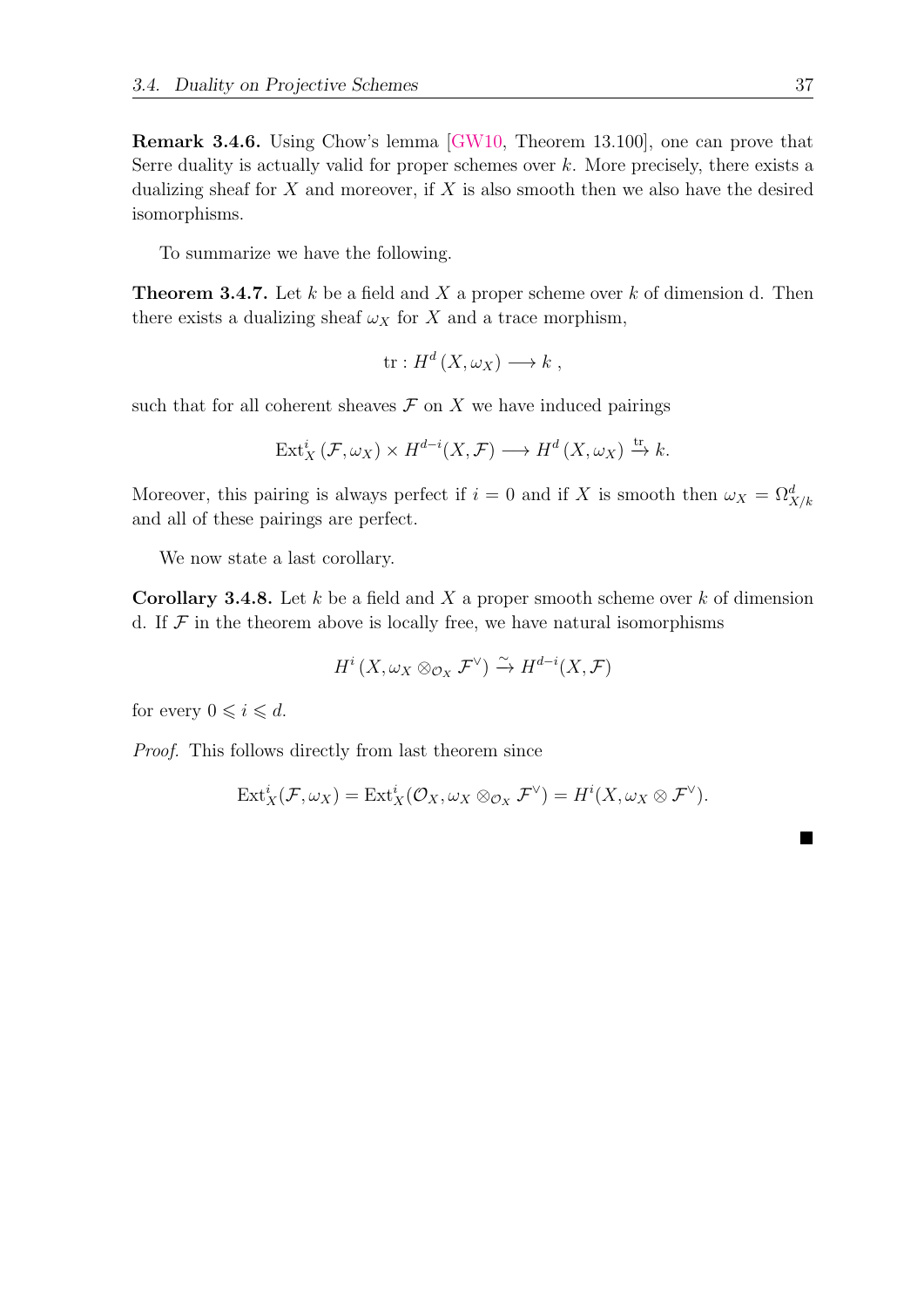Remark 3.4.6. Using Chow's lemma [\[GW10,](#page-56-2) Theorem 13.100], one can prove that Serre duality is actually valid for proper schemes over  $k$ . More precisely, there exists a dualizing sheaf for  $X$  and moreover, if  $X$  is also smooth then we also have the desired isomorphisms.

To summarize we have the following.

<span id="page-46-1"></span>**Theorem 3.4.7.** Let k be a field and X a proper scheme over k of dimension d. Then there exists a dualizing sheaf  $\omega_X$  for X and a trace morphism,

$$
\text{tr}: H^d(X, \omega_X) \longrightarrow k ,
$$

such that for all coherent sheaves  $\mathcal F$  on  $X$  we have induced pairings

$$
\text{Ext}^i_X(\mathcal{F},\omega_X) \times H^{d-i}(X,\mathcal{F}) \longrightarrow H^d(X,\omega_X) \xrightarrow{\text{tr}} k.
$$

Moreover, this pairing is always perfect if  $i = 0$  and if X is smooth then  $\omega_X = \Omega^d_{X/k}$ and all of these pairings are perfect.

We now state a last corollary.

<span id="page-46-0"></span>**Corollary 3.4.8.** Let k be a field and X a proper smooth scheme over k of dimension d. If  $\mathcal F$  in the theorem above is locally free, we have natural isomorphisms

$$
H^i(X,\omega_X \otimes_{\mathcal{O}_X} \mathcal{F}^{\vee}) \xrightarrow{\sim} H^{d-i}(X,\mathcal{F})
$$

for every  $0 \leq i \leq d$ .

Proof. This follows directly from last theorem since

$$
\text{Ext}^i_X(\mathcal{F},\omega_X)=\text{Ext}^i_X(\mathcal{O}_X,\omega_X\otimes_{\mathcal{O}_X}\mathcal{F}^{\vee})=H^i(X,\omega_X\otimes \mathcal{F}^{\vee}).
$$

■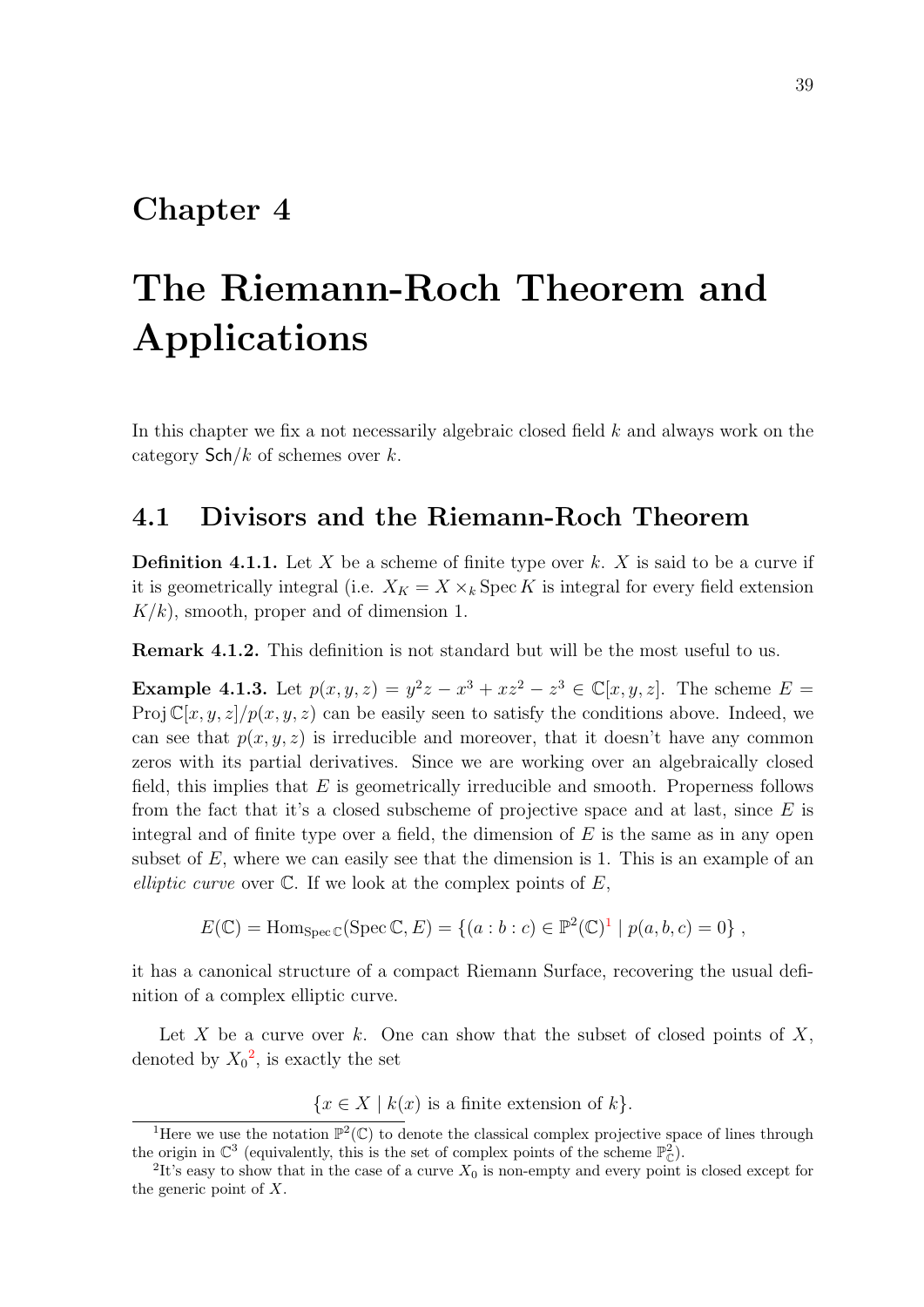### <span id="page-48-0"></span>Chapter 4

# The Riemann-Roch Theorem and Applications

In this chapter we fix a not necessarily algebraic closed field  $k$  and always work on the category  $\mathsf{Sch}/k$  of schemes over k.

#### <span id="page-48-1"></span>4.1 Divisors and the Riemann-Roch Theorem

**Definition 4.1.1.** Let X be a scheme of finite type over k. X is said to be a curve if it is geometrically integral (i.e.  $X_K = X \times_k \text{Spec } K$  is integral for every field extension  $K/k$ , smooth, proper and of dimension 1.

Remark 4.1.2. This definition is not standard but will be the most useful to us.

**Example 4.1.3.** Let  $p(x, y, z) = y^2z - x^3 + xz^2 - z^3 \in \mathbb{C}[x, y, z]$ . The scheme  $E =$ Proj  $\mathbb{C}[x, y, z]/p(x, y, z)$  can be easily seen to satisfy the conditions above. Indeed, we can see that  $p(x, y, z)$  is irreducible and moreover, that it doesn't have any common zeros with its partial derivatives. Since we are working over an algebraically closed field, this implies that  $E$  is geometrically irreducible and smooth. Properness follows from the fact that it's a closed subscheme of projective space and at last, since  $E$  is integral and of finite type over a field, the dimension of  $E$  is the same as in any open subset of  $E$ , where we can easily see that the dimension is 1. This is an example of an elliptic curve over  $\mathbb C$ . If we look at the complex points of  $E$ ,

$$
E(\mathbb{C}) = \text{Hom}_{\text{Spec } \mathbb{C}}(\text{Spec } \mathbb{C}, E) = \{ (a : b : c) \in \mathbb{P}^2(\mathbb{C})^1 \mid p(a, b, c) = 0 \},
$$

it has a canonical structure of a compact Riemann Surface, recovering the usual definition of a complex elliptic curve.

Let X be a curve over k. One can show that the subset of closed points of  $X$ , denoted by  $X_0^2$  $X_0^2$ , is exactly the set

 ${x \in X \mid k(x)$  is a finite extension of  $k$ .

<span id="page-48-2"></span><sup>&</sup>lt;sup>1</sup>Here we use the notation  $\mathbb{P}^2(\mathbb{C})$  to denote the classical complex projective space of lines through the origin in  $\mathbb{C}^3$  (equivalently, this is the set of complex points of the scheme  $\mathbb{P}^2_{\mathbb{C}}$ ).

<span id="page-48-3"></span><sup>&</sup>lt;sup>2</sup>It's easy to show that in the case of a curve  $X_0$  is non-empty and every point is closed except for the generic point of X.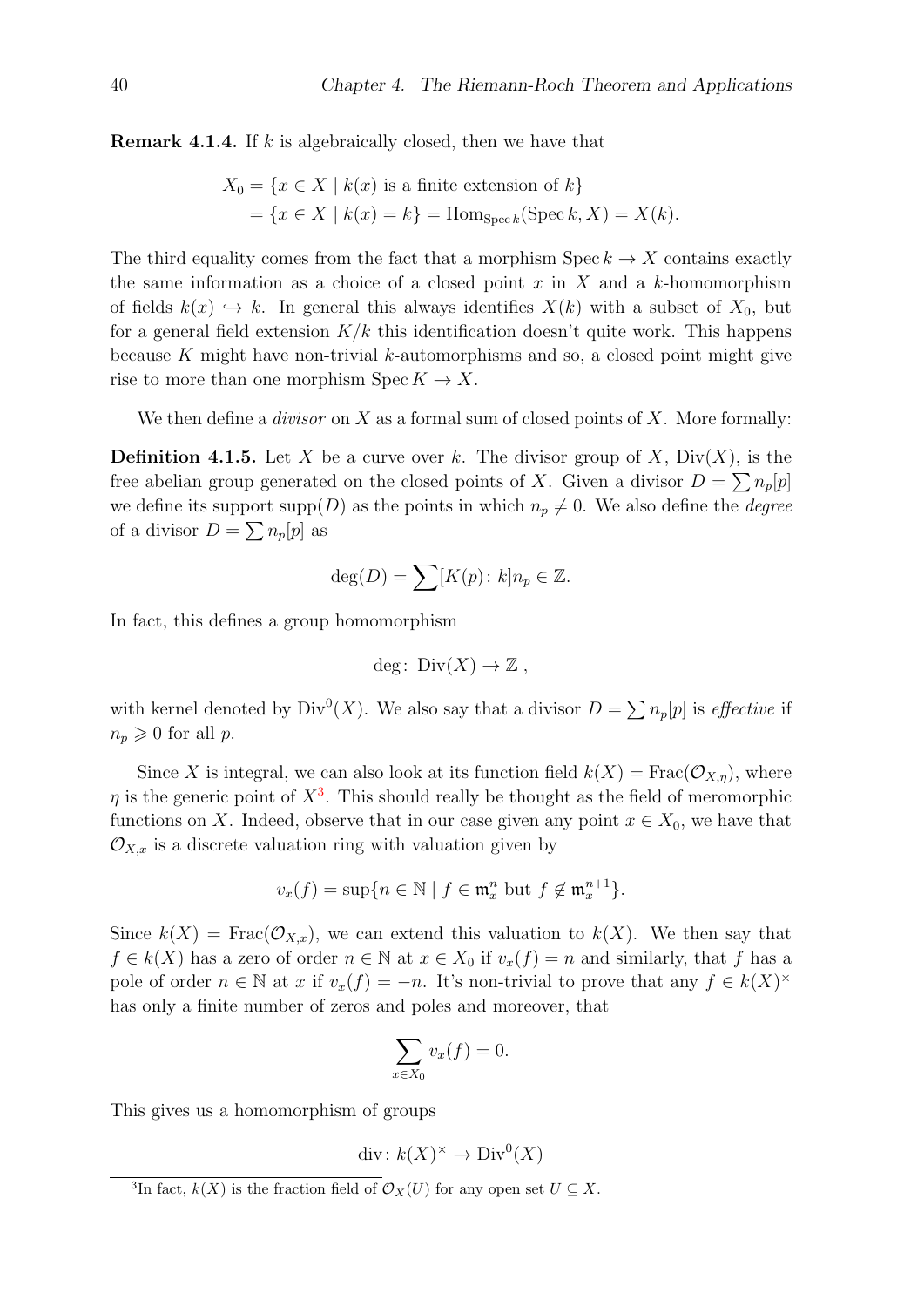**Remark 4.1.4.** If  $k$  is algebraically closed, then we have that

$$
X_0 = \{x \in X \mid k(x) \text{ is a finite extension of } k\}
$$
  
= 
$$
\{x \in X \mid k(x) = k\} = \text{Hom}_{\text{Spec } k}(\text{Spec } k, X) = X(k).
$$

The third equality comes from the fact that a morphism  $\text{Spec } k \to X$  contains exactly the same information as a choice of a closed point x in X and a k-homomorphism of fields  $k(x) \hookrightarrow k$ . In general this always identifies  $X(k)$  with a subset of  $X_0$ , but for a general field extension  $K/k$  this identification doesn't quite work. This happens because K might have non-trivial  $k$ -automorphisms and so, a closed point might give rise to more than one morphism  $\text{Spec } K \to X$ .

We then define a *divisor* on  $X$  as a formal sum of closed points of  $X$ . More formally:

**Definition 4.1.5.** Let X be a curve over k. The divisor group of X,  $Div(X)$ , is the free abelian group generated on the closed points of X. Given a divisor  $D = \sum n_p[p]$ we define its support  $\text{supp}(D)$  as the points in which  $n_p \neq 0$ . We also define the *degree* of a divisor  $D = \sum n_p[p]$  as

$$
\deg(D) = \sum [K(p) : k] n_p \in \mathbb{Z}.
$$

In fact, this defines a group homomorphism

$$
deg\colon \operatorname{Div}(X) \to \mathbb{Z} \ ,
$$

with kernel denoted by  $Div^0(X)$ . We also say that a divisor  $D = \sum n_p[p]$  is *effective* if  $n_p \geqslant 0$  for all p.

Since X is integral, we can also look at its function field  $k(X) = Frac(\mathcal{O}_{X,n})$ , where  $\eta$  is the generic point of  $X^3$  $X^3$ . This should really be thought as the field of meromorphic functions on X. Indeed, observe that in our case given any point  $x \in X_0$ , we have that  $\mathcal{O}_{X,x}$  is a discrete valuation ring with valuation given by

$$
v_x(f) = \sup\{n \in \mathbb{N} \mid f \in \mathfrak{m}_x^n \text{ but } f \notin \mathfrak{m}_x^{n+1}\}.
$$

Since  $k(X)$  = Frac $(\mathcal{O}_{X,x})$ , we can extend this valuation to  $k(X)$ . We then say that  $f \in k(X)$  has a zero of order  $n \in \mathbb{N}$  at  $x \in X_0$  if  $v_x(f) = n$  and similarly, that f has a pole of order  $n \in \mathbb{N}$  at x if  $v_x(f) = -n$ . It's non-trivial to prove that any  $f \in k(X)^\times$ has only a finite number of zeros and poles and moreover, that

$$
\sum_{x \in X_0} v_x(f) = 0.
$$

This gives us a homomorphism of groups

$$
\operatorname{div}: k(X)^{\times} \to \operatorname{Div}^{0}(X)
$$

<span id="page-49-0"></span><sup>&</sup>lt;sup>3</sup>In fact,  $k(X)$  is the fraction field of  $\mathcal{O}_X(U)$  for any open set  $U \subseteq X$ .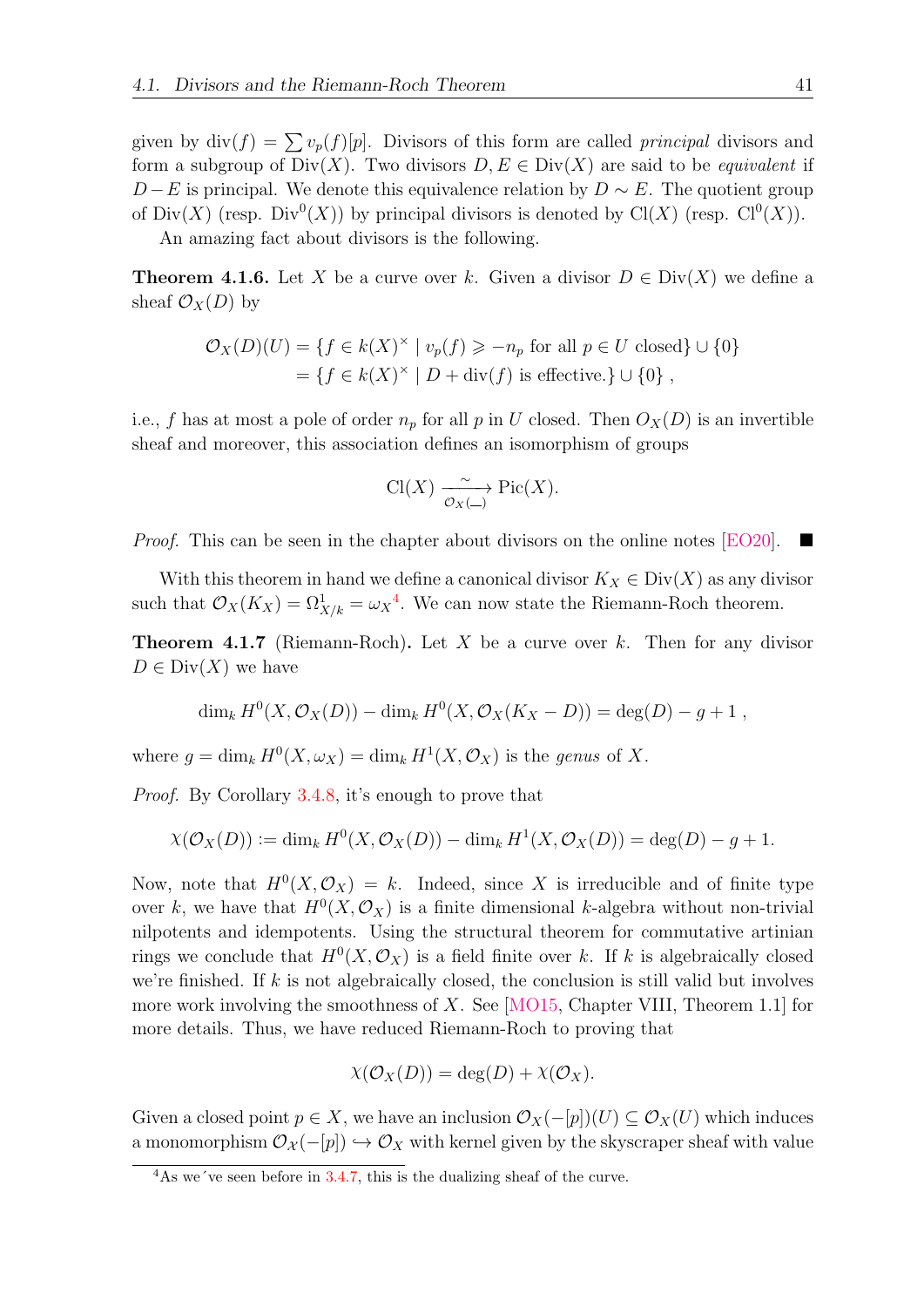given by  $\text{div}(f) = \sum v_p(f)[p]$ . Divisors of this form are called *principal* divisors and form a subgroup of  $Div(X)$ . Two divisors  $D, E \in Div(X)$  are said to be *equivalent* if  $D - E$  is principal. We denote this equivalence relation by  $D \sim E$ . The quotient group of  $Div(X)$  (resp.  $Div^0(X)$ ) by principal divisors is denoted by  $Cl(X)$  (resp.  $Cl^0(X)$ ).

An amazing fact about divisors is the following.

**Theorem 4.1.6.** Let X be a curve over k. Given a divisor  $D \in Div(X)$  we define a sheaf  $\mathcal{O}_X(D)$  by

$$
\mathcal{O}_X(D)(U) = \{ f \in k(X)^\times \mid v_p(f) \geqslant -n_p \text{ for all } p \in U \text{ closed} \} \cup \{0\}
$$

$$
= \{ f \in k(X)^\times \mid D + \text{div}(f) \text{ is effective.} \} \cup \{0\} ,
$$

i.e., f has at most a pole of order  $n_p$  for all p in U closed. Then  $O_X(D)$  is an invertible sheaf and moreover, this association defines an isomorphism of groups

$$
\operatorname{Cl}(X) \xrightarrow[\mathcal{O}_X(\_)]{{\mathcal O}_X(\_)} \operatorname{Pic}(X).
$$

*Proof.* This can be seen in the chapter about divisors on the online notes [\[EO20\]](#page-56-8).  $\blacksquare$ 

With this theorem in hand we define a canonical divisor  $K_X \in Div(X)$  as any divisor such that  $\mathcal{O}_X(K_X) = \Omega^1_{X/k} = \omega_X^4$  $\mathcal{O}_X(K_X) = \Omega^1_{X/k} = \omega_X^4$ . We can now state the Riemann-Roch theorem.

<span id="page-50-1"></span>**Theorem 4.1.7** (Riemann-Roch). Let X be a curve over k. Then for any divisor  $D \in Div(X)$  we have

$$
\dim_k H^0(X, \mathcal{O}_X(D)) - \dim_k H^0(X, \mathcal{O}_X(K_X - D)) = \deg(D) - g + 1,
$$

where  $g = \dim_k H^0(X, \omega_X) = \dim_k H^1(X, \mathcal{O}_X)$  is the genus of X.

Proof. By Corollary [3.4.8,](#page-46-0) it's enough to prove that

$$
\chi(\mathcal{O}_X(D)) := \dim_k H^0(X, \mathcal{O}_X(D)) - \dim_k H^1(X, \mathcal{O}_X(D)) = \deg(D) - g + 1.
$$

Now, note that  $H^0(X, \mathcal{O}_X) = k$ . Indeed, since X is irreducible and of finite type over k, we have that  $H^0(X, \mathcal{O}_X)$  is a finite dimensional k-algebra without non-trivial nilpotents and idempotents. Using the structural theorem for commutative artinian rings we conclude that  $H^0(X, \mathcal{O}_X)$  is a field finite over k. If k is algebraically closed we're finished. If  $k$  is not algebraically closed, the conclusion is still valid but involves more work involving the smoothness of X. See  $[MO15, Chapter VIII, Theorem 1.1]$  for more details. Thus, we have reduced Riemann-Roch to proving that

$$
\chi(\mathcal{O}_X(D)) = \deg(D) + \chi(\mathcal{O}_X).
$$

Given a closed point  $p \in X$ , we have an inclusion  $\mathcal{O}_X(-[p])(U) \subseteq \mathcal{O}_X(U)$  which induces a monomorphism  $\mathcal{O}_{\mathcal{X}}(-[p]) \hookrightarrow \mathcal{O}_{X}$  with kernel given by the skyscraper sheaf with value

<span id="page-50-0"></span><sup>&</sup>lt;sup>4</sup>As we've seen before in [3.4.7,](#page-46-1) this is the dualizing sheaf of the curve.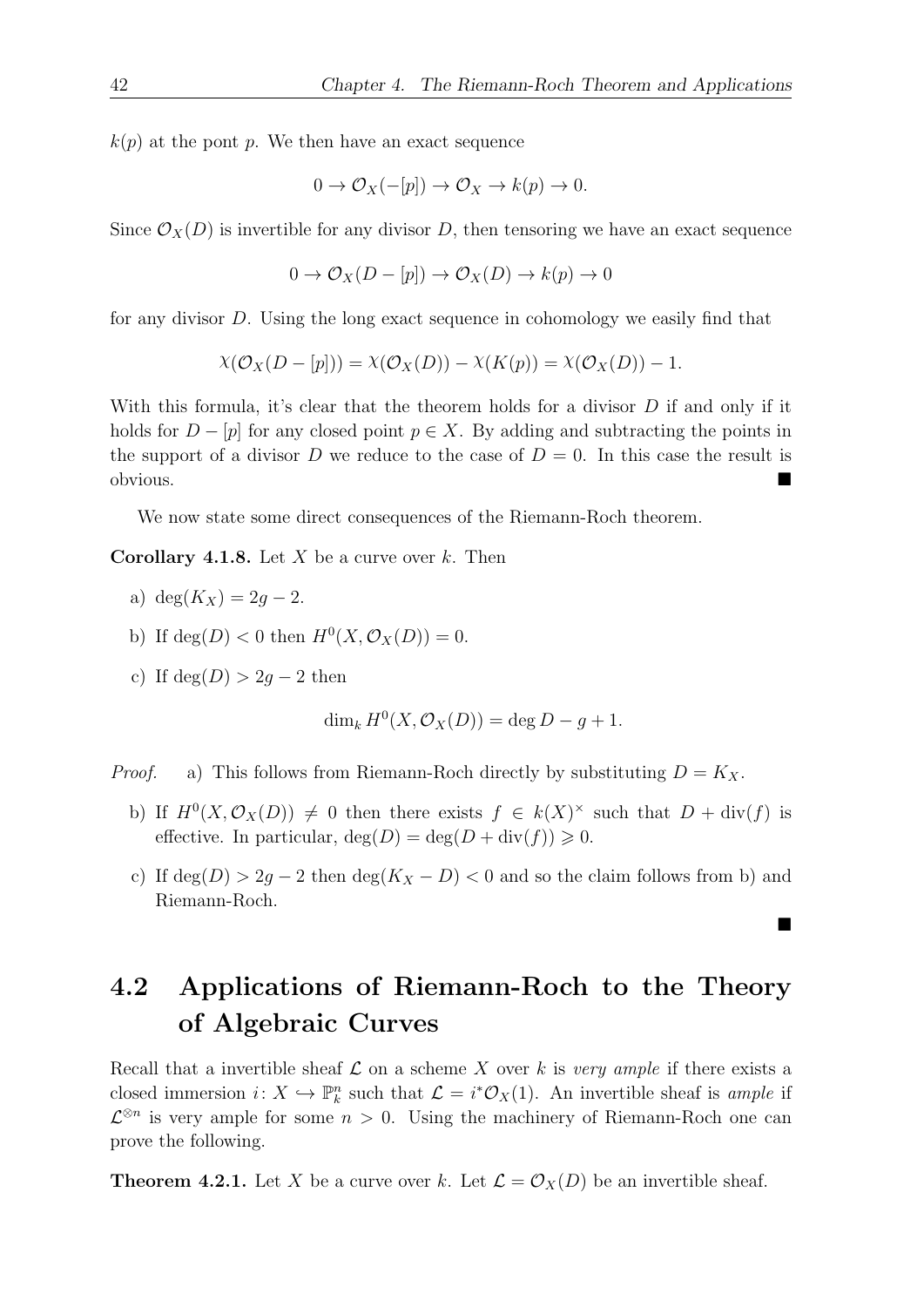$k(p)$  at the pont p. We then have an exact sequence

$$
0 \to \mathcal{O}_X(-[p]) \to \mathcal{O}_X \to k(p) \to 0.
$$

Since  $\mathcal{O}_X(D)$  is invertible for any divisor D, then tensoring we have an exact sequence

$$
0 \to \mathcal{O}_X(D - [p]) \to \mathcal{O}_X(D) \to k(p) \to 0
$$

for any divisor D. Using the long exact sequence in cohomology we easily find that

$$
\chi(\mathcal{O}_X(D-[p])) = \chi(\mathcal{O}_X(D)) - \chi(K(p)) = \chi(\mathcal{O}_X(D)) - 1.
$$

With this formula, it's clear that the theorem holds for a divisor  $D$  if and only if it holds for  $D - [p]$  for any closed point  $p \in X$ . By adding and subtracting the points in the support of a divisor D we reduce to the case of  $D = 0$ . In this case the result is obvious.

We now state some direct consequences of the Riemann-Roch theorem.

**Corollary 4.1.8.** Let X be a curve over k. Then

- a) deg( $K_X$ ) = 2g 2.
- b) If  $deg(D) < 0$  then  $H^0(X, \mathcal{O}_X(D)) = 0$ .
- c) If  $deg(D) > 2q 2$  then

$$
\dim_k H^0(X, \mathcal{O}_X(D)) = \deg D - g + 1.
$$

*Proof.* a) This follows from Riemann-Roch directly by substituting  $D = K_X$ .

- b) If  $H^0(X, \mathcal{O}_X(D)) \neq 0$  then there exists  $f \in k(X)^\times$  such that  $D + \text{div}(f)$  is effective. In particular,  $deg(D) = deg(D + div(f)) \geq 0$ .
- c) If  $deg(D) > 2g 2$  then  $deg(K_X D) < 0$  and so the claim follows from b) and Riemann-Roch.

■

## <span id="page-51-0"></span>4.2 Applications of Riemann-Roch to the Theory of Algebraic Curves

Recall that a invertible sheaf  $\mathcal L$  on a scheme X over k is very ample if there exists a closed immersion  $i: X \hookrightarrow \mathbb{P}_k^n$  such that  $\mathcal{L} = i^*\mathcal{O}_X(1)$ . An invertible sheaf is ample if  $\mathcal{L}^{\otimes n}$  is very ample for some  $n > 0$ . Using the machinery of Riemann-Roch one can prove the following.

<span id="page-51-1"></span>**Theorem 4.2.1.** Let X be a curve over k. Let  $\mathcal{L} = \mathcal{O}_X(D)$  be an invertible sheaf.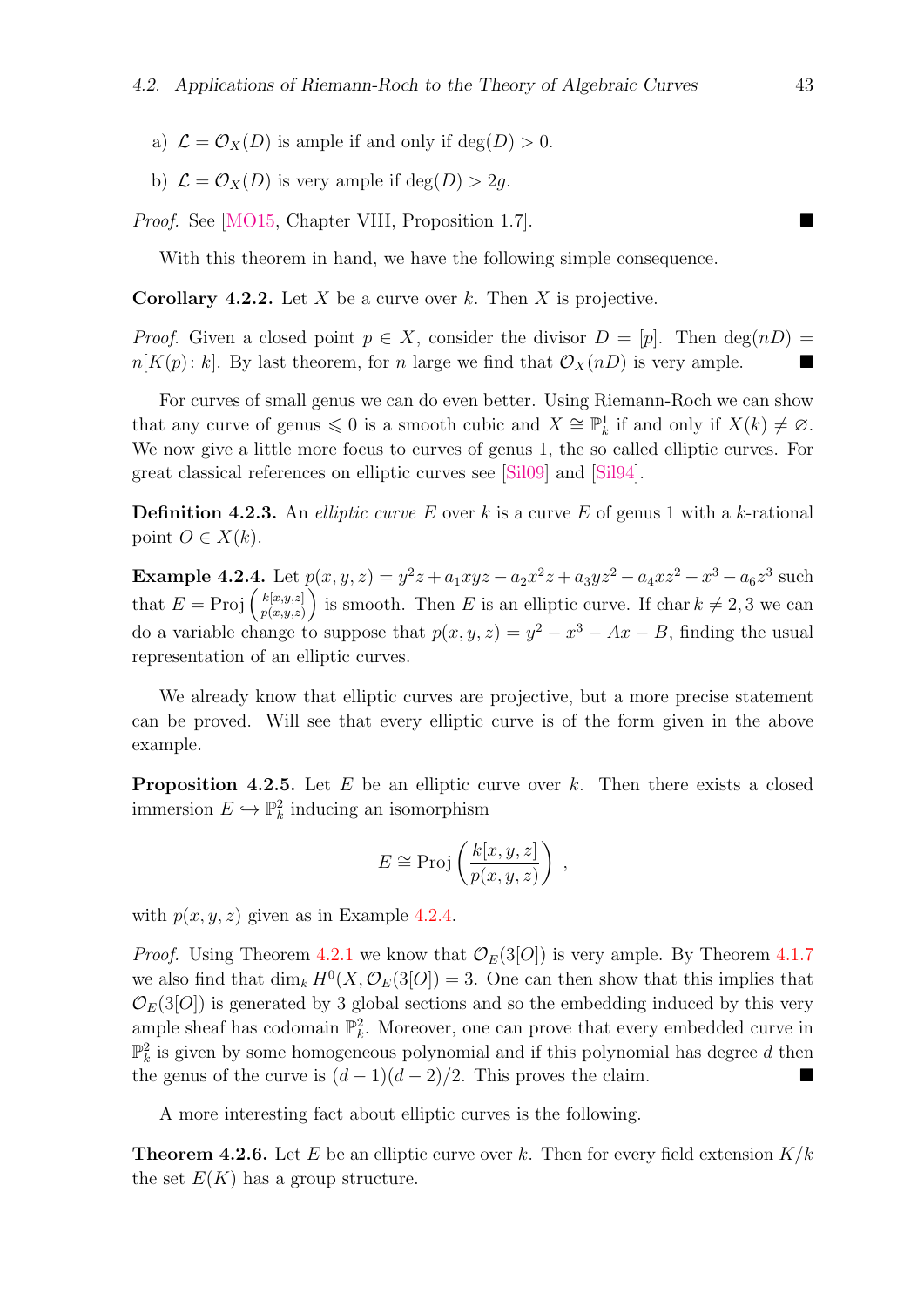- a)  $\mathcal{L} = \mathcal{O}_X(D)$  is ample if and only if  $deg(D) > 0$ .
- b)  $\mathcal{L} = \mathcal{O}_X(D)$  is very ample if  $deg(D) > 2q$ .

*Proof.* See [\[MO15,](#page-57-1) Chapter VIII, Proposition 1.7].

With this theorem in hand, we have the following simple consequence.

**Corollary 4.2.2.** Let X be a curve over k. Then X is projective.

*Proof.* Given a closed point  $p \in X$ , consider the divisor  $D = |p|$ . Then  $\deg(nD) =$  $n[K(p): k]$ . By last theorem, for n large we find that  $\mathcal{O}_X(n)$  is very ample.

For curves of small genus we can do even better. Using Riemann-Roch we can show that any curve of genus  $\leq 0$  is a smooth cubic and  $X \cong \mathbb{P}^1_k$  if and only if  $X(k) \neq \emptyset$ . We now give a little more focus to curves of genus 1, the so called elliptic curves. For great classical references on elliptic curves see [\[Sil09\]](#page-57-8) and [\[Sil94\]](#page-57-9).

**Definition 4.2.3.** An *elliptic curve E* over k is a curve E of genus 1 with a k-rational point  $O \in X(k)$ .

<span id="page-52-0"></span>**Example 4.2.4.** Let  $p(x, y, z) = y^2z + a_1xyz - a_2x^2z + a_3yz^2 - a_4xz^2 - x^3 - a_6z^3$  such that  $E = \text{Proj}\left(\frac{k[x,y,z]}{p(x,y,z)}\right)$  $\frac{k[x,y,z]}{p(x,y,z)}$  is smooth. Then E is an elliptic curve. If char  $k \neq 2,3$  we can do a variable change to suppose that  $p(x, y, z) = y^2 - x^3 - Ax - B$ , finding the usual representation of an elliptic curves.

We already know that elliptic curves are projective, but a more precise statement can be proved. Will see that every elliptic curve is of the form given in the above example.

**Proposition 4.2.5.** Let  $E$  be an elliptic curve over  $k$ . Then there exists a closed immersion  $E \hookrightarrow \mathbb{P}^2_k$  inducing an isomorphism

$$
E \cong \mathrm{Proj}\left(\frac{k[x,y,z]}{p(x,y,z)}\right) ,
$$

with  $p(x, y, z)$  given as in Example [4.2.4.](#page-52-0)

*Proof.* Using Theorem [4.2.1](#page-51-1) we know that  $\mathcal{O}_E(3[O])$  is very ample. By Theorem [4.1.7](#page-50-1) we also find that  $\dim_k H^0(X, \mathcal{O}_E(3[O]) = 3$ . One can then show that this implies that  $\mathcal{O}_E(3[O])$  is generated by 3 global sections and so the embedding induced by this very ample sheaf has codomain  $\mathbb{P}_k^2$ . Moreover, one can prove that every embedded curve in  $\mathbb{P}_k^2$  is given by some homogeneous polynomial and if this polynomial has degree d then the genus of the curve is  $(d-1)(d-2)/2$ . This proves the claim.

A more interesting fact about elliptic curves is the following.

<span id="page-52-1"></span>**Theorem 4.2.6.** Let E be an elliptic curve over k. Then for every field extension  $K/k$ the set  $E(K)$  has a group structure.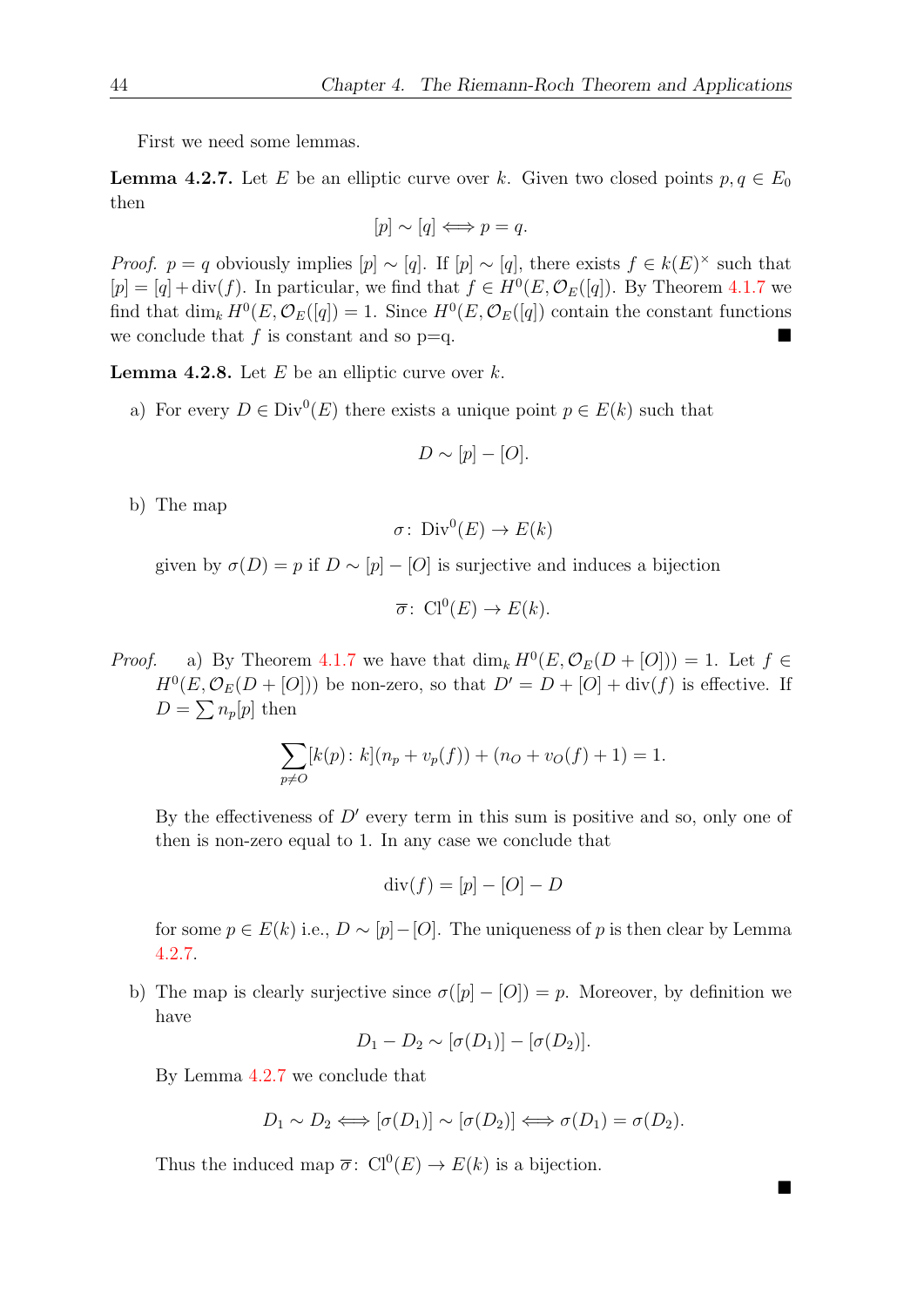First we need some lemmas.

<span id="page-53-1"></span>**Lemma 4.2.7.** Let E be an elliptic curve over k. Given two closed points  $p, q \in E_0$ then

$$
[p] \sim [q] \Longleftrightarrow p = q.
$$

*Proof.*  $p = q$  obviously implies  $[p] \sim [q]$ . If  $[p] \sim [q]$ , there exists  $f \in k(E)^\times$  such that  $[p] = [q] + \text{div}(f)$ . In particular, we find that  $f \in H^0(E, \mathcal{O}_E([q])$ . By Theorem [4.1.7](#page-50-1) we find that  $\dim_k H^0(E, \mathcal{O}_E([q]) = 1$ . Since  $H^0(E, \mathcal{O}_E([q])$  contain the constant functions we conclude that f is constant and so  $p=q$ .

<span id="page-53-2"></span>**Lemma 4.2.8.** Let  $E$  be an elliptic curve over  $k$ .

a) For every  $D \in Div^0(E)$  there exists a unique point  $p \in E(k)$  such that

$$
D \sim [p] - [O].
$$

b) The map

$$
\sigma\colon \operatorname{Div}^0(E) \to E(k)
$$

given by  $\sigma(D) = p$  if  $D \sim [p] - [O]$  is surjective and induces a bijection

$$
\overline{\sigma} \colon \operatorname{Cl}^0(E) \to E(k).
$$

*Proof.* a) By Theorem [4.1.7](#page-50-1) we have that  $\dim_k H^0(E, \mathcal{O}_E(D + [O])) = 1$ . Let  $f \in$  $H^0(E, \mathcal{O}_E(D+[O]))$  be non-zero, so that  $D' = D + [O] + \text{div}(f)$  is effective. If  $D = \sum n_p[p]$  then

$$
\sum_{p \neq O} [k(p) : k] (n_p + v_p(f)) + (n_O + v_O(f) + 1) = 1.
$$

By the effectiveness of  $D'$  every term in this sum is positive and so, only one of then is non-zero equal to 1. In any case we conclude that

$$
\operatorname{div}(f) = [p] - [O] - D
$$

for some  $p \in E(k)$  i.e.,  $D \sim [p]-[O]$ . The uniqueness of p is then clear by Lemma [4.2.7.](#page-53-1)

<span id="page-53-0"></span>b) The map is clearly surjective since  $\sigma([p] - [O]) = p$ . Moreover, by definition we have

$$
D_1 - D_2 \sim [\sigma(D_1)] - [\sigma(D_2)].
$$

By Lemma [4.2.7](#page-53-1) we conclude that

$$
D_1 \sim D_2 \Longleftrightarrow [\sigma(D_1)] \sim [\sigma(D_2)] \Longleftrightarrow \sigma(D_1) = \sigma(D_2).
$$

■

Thus the induced map  $\overline{\sigma}$ :  $Cl^0(E) \rightarrow E(k)$  is a bijection.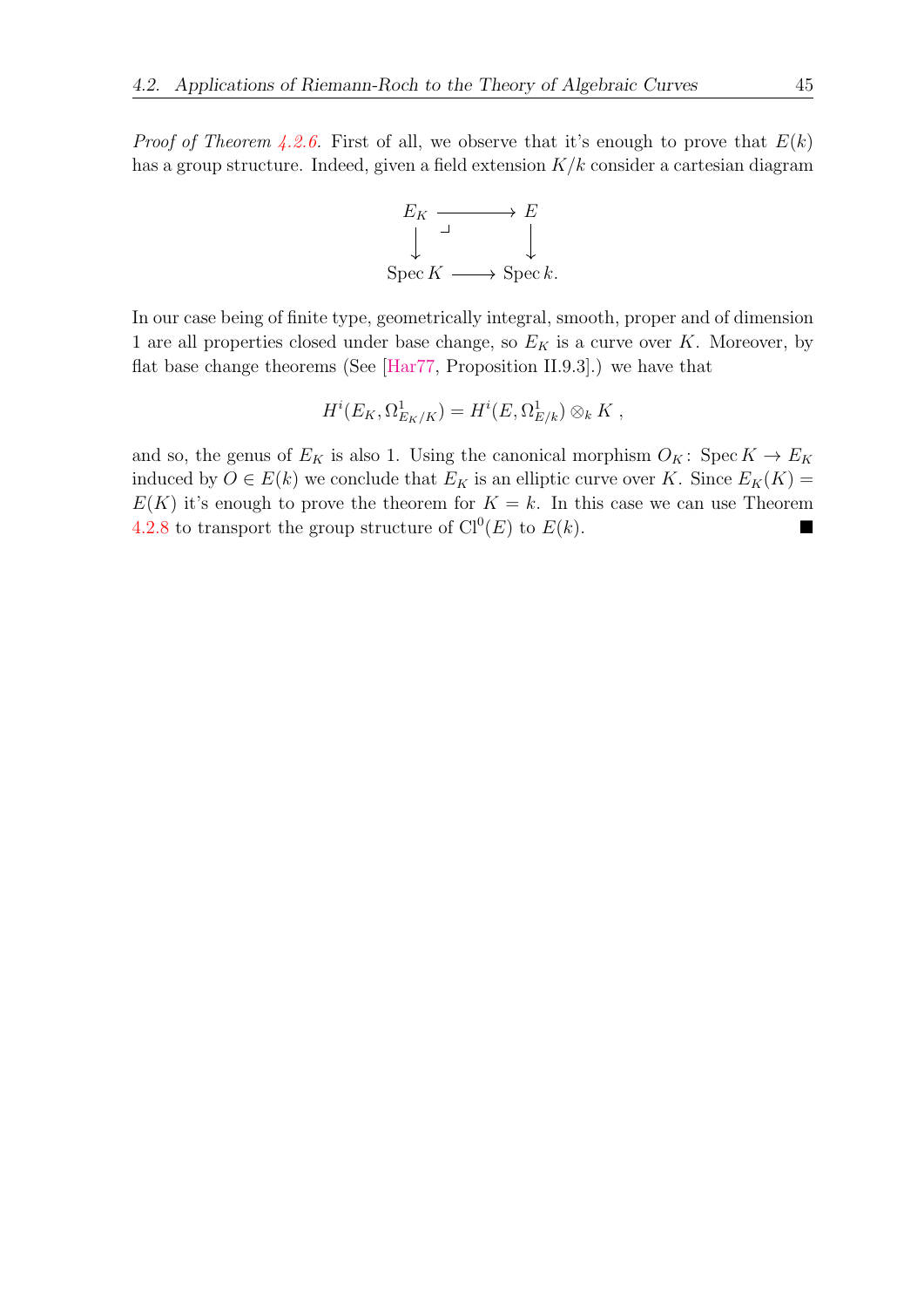*Proof of Theorem [4.2.6.](#page-52-1)* First of all, we observe that it's enough to prove that  $E(k)$ has a group structure. Indeed, given a field extension  $K/k$  consider a cartesian diagram



In our case being of finite type, geometrically integral, smooth, proper and of dimension 1 are all properties closed under base change, so  $E_K$  is a curve over K. Moreover, by flat base change theorems (See [\[Har77,](#page-56-0) Proposition II.9.3].) we have that

$$
H^{i}(E_K, \Omega^1_{E_K/K}) = H^{i}(E, \Omega^1_{E/k}) \otimes_k K ,
$$

and so, the genus of  $E_K$  is also 1. Using the canonical morphism  $O_K$ : Spec  $K \to E_K$ induced by  $O \in E(k)$  we conclude that  $E_K$  is an elliptic curve over K. Since  $E_K(K)$  =  $E(K)$  it's enough to prove the theorem for  $K = k$ . In this case we can use Theorem [4.2.8](#page-53-2) to transport the group structure of  $Cl^0(E)$  to  $E(k)$ .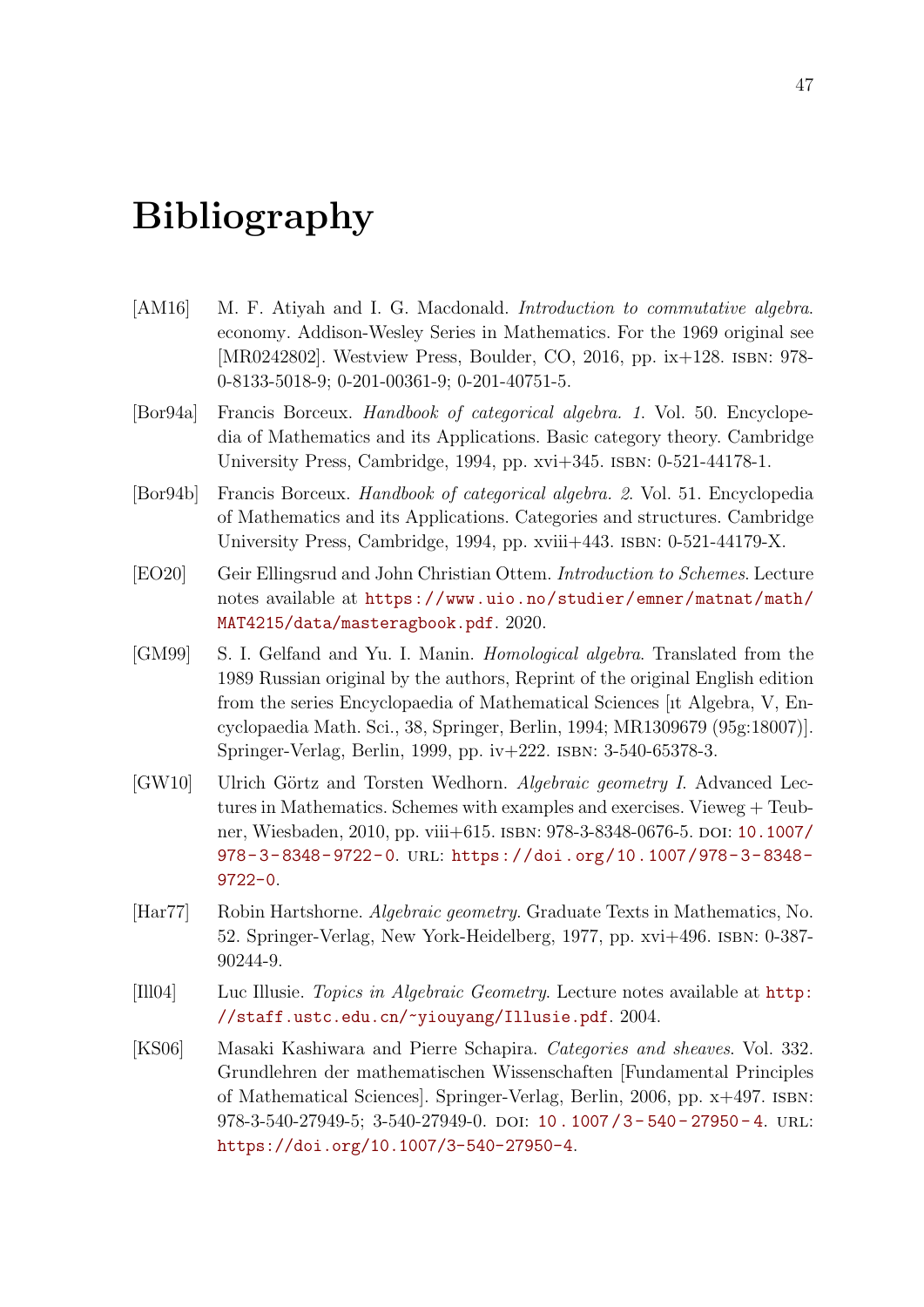## Bibliography

- <span id="page-56-5"></span>[AM16] M. F. Atiyah and I. G. Macdonald. *Introduction to commutative algebra.* economy. Addison-Wesley Series in Mathematics. For the 1969 original see [MR0242802]. Westview Press, Boulder, CO, 2016, pp. ix+128. isbn: 978- 0-8133-5018-9; 0-201-00361-9; 0-201-40751-5.
- <span id="page-56-3"></span>[Bor94a] Francis Borceux. Handbook of categorical algebra. 1. Vol. 50. Encyclopedia of Mathematics and its Applications. Basic category theory. Cambridge University Press, Cambridge, 1994, pp. xvi+345. isbn: 0-521-44178-1.
- <span id="page-56-4"></span>[Bor94b] Francis Borceux. Handbook of categorical algebra. 2. Vol. 51. Encyclopedia of Mathematics and its Applications. Categories and structures. Cambridge University Press, Cambridge, 1994, pp. xviii $+443$ . ISBN: 0-521-44179-X.
- <span id="page-56-8"></span>[EO20] Geir Ellingsrud and John Christian Ottem. Introduction to Schemes. Lecture notes available at [https://www.uio.no/studier/emner/matnat/math/](https://www.uio.no/studier/emner/matnat/math/MAT4215/data/masteragbook.pdf) [MAT4215/data/masteragbook.pdf](https://www.uio.no/studier/emner/matnat/math/MAT4215/data/masteragbook.pdf). 2020.
- <span id="page-56-6"></span>[GM99] S. I. Gelfand and Yu. I. Manin. Homological algebra. Translated from the 1989 Russian original by the authors, Reprint of the original English edition from the series Encyclopaedia of Mathematical Sciences [ıt Algebra, V, Encyclopaedia Math. Sci., 38, Springer, Berlin, 1994; MR1309679 (95g:18007)]. Springer-Verlag, Berlin, 1999, pp. iv+222. isbn: 3-540-65378-3.
- <span id="page-56-2"></span>[GW10] Ulrich Görtz and Torsten Wedhorn. Algebraic geometry I. Advanced Lectures in Mathematics. Schemes with examples and exercises. Vieweg + Teub-ner, Wiesbaden, 2010, pp. viii+615. ISBN: 978-3-8348-0676-5. DOI: [10.1007/](https://doi.org/10.1007/978-3-8348-9722-0) [978- 3- 8348- 9722- 0](https://doi.org/10.1007/978-3-8348-9722-0). url: [https://doi.org/10.1007/978- 3- 8348-](https://doi.org/10.1007/978-3-8348-9722-0) [9722-0](https://doi.org/10.1007/978-3-8348-9722-0).
- <span id="page-56-0"></span>[Har77] Robin Hartshorne. Algebraic geometry. Graduate Texts in Mathematics, No. 52. Springer-Verlag, New York-Heidelberg, 1977, pp. xvi+496. isbn: 0-387- 90244-9.
- <span id="page-56-1"></span>[Ill04] Luc Illusie. Topics in Algebraic Geometry. Lecture notes available at [http:](http://staff.ustc.edu.cn/~yiouyang/Illusie.pdf) [//staff.ustc.edu.cn/~yiouyang/Illusie.pdf](http://staff.ustc.edu.cn/~yiouyang/Illusie.pdf). 2004.
- <span id="page-56-7"></span>[KS06] Masaki Kashiwara and Pierre Schapira. Categories and sheaves. Vol. 332. Grundlehren der mathematischen Wissenschaften [Fundamental Principles of Mathematical Sciences]. Springer-Verlag, Berlin, 2006, pp. x+497. isbn: 978-3-540-27949-5; 3-540-27949-0. doi: 10.1007/3-540-27950-4. url: <https://doi.org/10.1007/3-540-27950-4>.